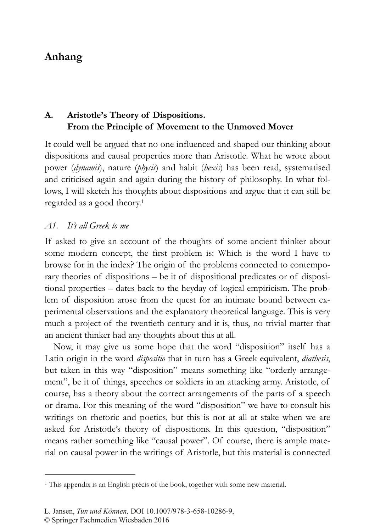## **Anhang**

## **A. Aristotle's Theory of Dispositions. From the Principle of Movement to the Unmoved Mover**

It could well be argued that no one influenced and shaped our thinking about dispositions and causal properties more than Aristotle. What he wrote about power (*dynamis*), nature (*physis*) and habit (*hexis*) has been read, systematised and criticised again and again during the history of philosophy. In what follows, I will sketch his thoughts about dispositions and argue that it can still be regarded as a good theory.<sup>1</sup>

#### *A1. It's all Greek to me*

If asked to give an account of the thoughts of some ancient thinker about some modern concept, the first problem is: Which is the word I have to browse for in the index? The origin of the problems connected to contemporary theories of dispositions – be it of dispositional predicates or of dispositional properties – dates back to the heyday of logical empiricism. The problem of disposition arose from the quest for an intimate bound between experimental observations and the explanatory theoretical language. This is very much a project of the twentieth century and it is, thus, no trivial matter that an ancient thinker had any thoughts about this at all.

Now, it may give us some hope that the word "disposition" itself has a Latin origin in the word *dispositio* that in turn has a Greek equivalent, *diathesis*, but taken in this way "disposition" means something like "orderly arrangement", be it of things, speeches or soldiers in an attacking army. Aristotle, of course, has a theory about the correct arrangements of the parts of a speech or drama. For this meaning of the word "disposition" we have to consult his writings on rhetoric and poetics, but this is not at all at stake when we are asked for Aristotle's theory of dispositions. In this question, "disposition" means rather something like "causal power". Of course, there is ample material on causal power in the writings of Aristotle, but this material is connected

<sup>&</sup>lt;sup>1</sup> This appendix is an English précis of the book, together with some new material.

L. Jansen, *Tun und Können,* DOI 10.1007/978-3-658-10286-9,

<sup>©</sup> Springer Fachmedien Wiesbaden 2016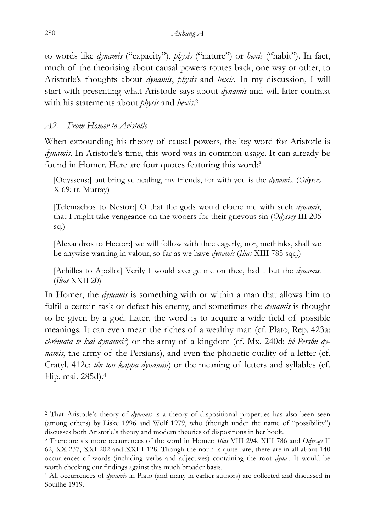to words like *dynamis* ("capacity"), *physis* ("nature") or *hexis* ("habit"). In fact, much of the theorising about causal powers routes back, one way or other, to Aristotle's thoughts about *dynamis*, *physis* and *hexis*. In my discussion, I will start with presenting what Aristotle says about *dynamis* and will later contrast with his statements about *physis* and *hexis*. 2

### *A2. From Homer to Aristotle*

When expounding his theory of causal powers, the key word for Aristotle is *dynamis*. In Aristotle's time, this word was in common usage. It can already be found in Homer. Here are four quotes featuring this word:<sup>3</sup>

[Odysseus:] but bring ye healing, my friends, for with you is the *dynamis*. (*Odyssey* X 69; tr. Murray)

[Telemachos to Nestor:] O that the gods would clothe me with such *dynamis*, that I might take vengeance on the wooers for their grievous sin (*Odyssey* III 205 sq.)

[Alexandros to Hector:] we will follow with thee eagerly, nor, methinks, shall we be anywise wanting in valour, so far as we have *dynamis* (*Ilias* XIII 785 sqq.)

[Achilles to Apollo:] Verily I would avenge me on thee, had I but the *dynamis.* (*Ilias* XXII 20)

In Homer, the *dynamis* is something with or within a man that allows him to fulfil a certain task or defeat his enemy, and sometimes the *dynamis* is thought to be given by a god. Later, the word is to acquire a wide field of possible meanings. It can even mean the riches of a wealthy man (cf. Plato, Rep. 423a: *chrêmata te kai dynameis*) or the army of a kingdom (cf. Mx. 240d: *hê Persôn dynamis*, the army of the Persians), and even the phonetic quality of a letter (cf. Cratyl. 412c: *tên tou kappa dynamin*) or the meaning of letters and syllables (cf. Hip. mai. 285d).<sup>4</sup>

<sup>2</sup> That Aristotle's theory of *dynamis* is a theory of dispositional properties has also been seen (among others) by Liske 1996 and Wolf 1979, who (though under the name of "possibility") discusses both Aristotle's theory and modern theories of dispositions in her book.

<sup>3</sup> There are six more occurrences of the word in Homer: *Ilias* VIII 294, XIII 786 and *Odyssey* II 62, XX 237, XXI 202 and XXIII 128. Though the noun is quite rare, there are in all about 140 occurrences of words (including verbs and adjectives) containing the root *dyna-*. It would be worth checking our findings against this much broader basis.

<sup>4</sup> All occurrences of *dynamis* in Plato (and many in earlier authors) are collected and discussed in Souilhé 1919.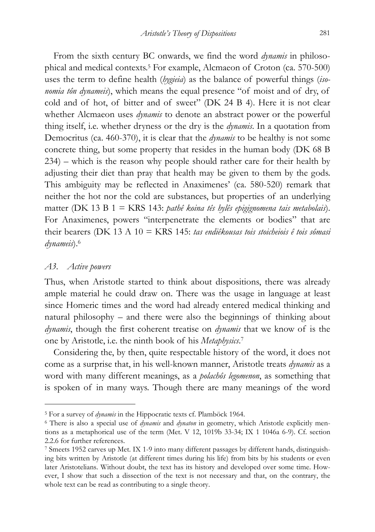From the sixth century BC onwards, we find the word *dynamis* in philosophical and medical contexts.<sup>5</sup> For example, Alcmaeon of Croton (ca. 570-500) uses the term to define health (*hygieia*) as the balance of powerful things (*isonomia tôn dynameis*), which means the equal presence "of moist and of dry, of cold and of hot, of bitter and of sweet" (DK 24 B 4). Here it is not clear whether Alcmaeon uses *dynamis* to denote an abstract power or the powerful thing itself, i.e. whether dryness or the dry is the *dynamis*. In a quotation from Democritus (ca. 460-370), it is clear that the *dynamis* to be healthy is not some concrete thing, but some property that resides in the human body (DK 68 B 234) – which is the reason why people should rather care for their health by adjusting their diet than pray that health may be given to them by the gods. This ambiguity may be reflected in Anaximenes' (ca. 580-520) remark that neither the hot nor the cold are substances, but properties of an underlying matter (DK 13 B 1 = KRS 143: *pathê koina tês hylês epigignomena tais metabolais*). For Anaximenes, powers "interpenetrate the elements or bodies" that are their bearers (DK 13 A 10 = KRS 145: *tas endiêkousas tois stoicheiois ê tois sômasi dynameis*).<sup>6</sup>

#### *A3. Active powers*

Thus, when Aristotle started to think about dispositions, there was already ample material he could draw on. There was the usage in language at least since Homeric times and the word had already entered medical thinking and natural philosophy – and there were also the beginnings of thinking about *dynamis*, though the first coherent treatise on *dynamis* that we know of is the one by Aristotle, i.e. the ninth book of his *Metaphysics*. 7

Considering the, by then, quite respectable history of the word, it does not come as a surprise that, in his well-known manner, Aristotle treats *dynamis* as a word with many different meanings, as a *polachôs legomenon*, as something that is spoken of in many ways. Though there are many meanings of the word

<sup>5</sup> For a survey of *dynamis* in the Hippocratic texts cf. Plamböck 1964.

<sup>6</sup> There is also a special use of *dynamis* and *dynaton* in geometry, which Aristotle explicitly mentions as a metaphorical use of the term (Met. V 12, 1019b 33-34; IX 1 1046a 6-9). Cf. section 2.2.6 for further references.

<sup>7</sup> Smeets 1952 carves up Met. IX 1-9 into many different passages by different hands, distinguishing bits written by Aristotle (at different times during his life) from bits by his students or even later Aristotelians. Without doubt, the text has its history and developed over some time. However, I show that such a dissection of the text is not necessary and that, on the contrary, the whole text can be read as contributing to a single theory.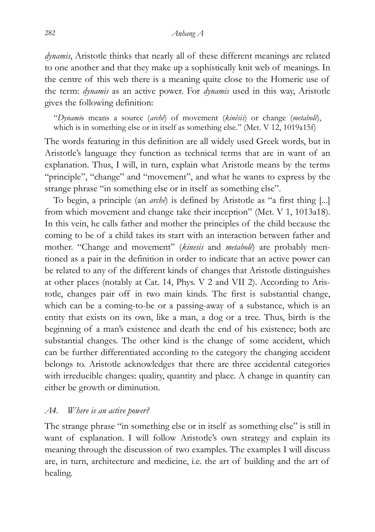*dynamis*, Aristotle thinks that nearly all of these different meanings are related to one another and that they make up a sophistically knit web of meanings. In the centre of this web there is a meaning quite close to the Homeric use of the term: *dynamis* as an active power. For *dynamis* used in this way, Aristotle gives the following definition:

"*Dynami*s means a source (*archê*) of movement (*kinêsis*) or change (*metabolê*), which is in something else or in itself as something else." (Met. V 12, 1019a15f)

The words featuring in this definition are all widely used Greek words, but in Aristotle's language they function as technical terms that are in want of an explanation. Thus, I will, in turn, explain what Aristotle means by the terms "principle", "change" and "movement", and what he wants to express by the strange phrase "in something else or in itself as something else".

To begin, a principle (an *archê*) is defined by Aristotle as "a first thing [...] from which movement and change take their inception" (Met. V 1, 1013a18). In this vein, he calls father and mother the principles of the child because the coming to be of a child takes its start with an interaction between father and mother. "Change and movement" (*kinesis* and *metabolê*) are probably mentioned as a pair in the definition in order to indicate that an active power can be related to any of the different kinds of changes that Aristotle distinguishes at other places (notably at Cat. 14, Phys. V 2 and VII 2). According to Aristotle, changes pair off in two main kinds. The first is substantial change, which can be a coming-to-be or a passing-away of a substance, which is an entity that exists on its own, like a man, a dog or a tree. Thus, birth is the beginning of a man's existence and death the end of his existence; both are substantial changes. The other kind is the change of some accident, which can be further differentiated according to the category the changing accident belongs to. Aristotle acknowledges that there are three accidental categories with irreducible changes: quality, quantity and place. A change in quantity can either be growth or diminution.

## *A4. Where is an active power?*

The strange phrase "in something else or in itself as something else" is still in want of explanation. I will follow Aristotle's own strategy and explain its meaning through the discussion of two examples. The examples I will discuss are, in turn, architecture and medicine, i.e. the art of building and the art of healing.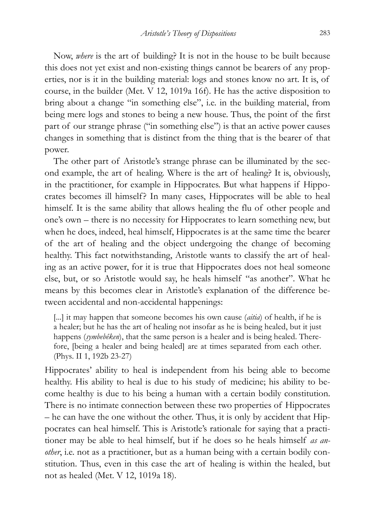Now, *where* is the art of building? It is not in the house to be built because this does not yet exist and non-existing things cannot be bearers of any properties, nor is it in the building material: logs and stones know no art. It is, of course, in the builder (Met. V 12, 1019a 16f). He has the active disposition to bring about a change "in something else", i.e. in the building material, from being mere logs and stones to being a new house. Thus, the point of the first part of our strange phrase ("in something else") is that an active power causes changes in something that is distinct from the thing that is the bearer of that power.

The other part of Aristotle's strange phrase can be illuminated by the second example, the art of healing. Where is the art of healing? It is, obviously, in the practitioner, for example in Hippocrates. But what happens if Hippocrates becomes ill himself? In many cases, Hippocrates will be able to heal himself. It is the same ability that allows healing the flu of other people and one's own – there is no necessity for Hippocrates to learn something new, but when he does, indeed, heal himself, Hippocrates is at the same time the bearer of the art of healing and the object undergoing the change of becoming healthy. This fact notwithstanding, Aristotle wants to classify the art of healing as an active power, for it is true that Hippocrates does not heal someone else, but, or so Aristotle would say, he heals himself "as another". What he means by this becomes clear in Aristotle's explanation of the difference between accidental and non-accidental happenings:

[...] it may happen that someone becomes his own cause (*aitia*) of health, if he is a healer; but he has the art of healing not insofar as he is being healed, but it just happens (*symbebêken*), that the same person is a healer and is being healed. Therefore, [being a healer and being healed] are at times separated from each other. (Phys. II 1, 192b 23-27)

Hippocrates' ability to heal is independent from his being able to become healthy. His ability to heal is due to his study of medicine; his ability to become healthy is due to his being a human with a certain bodily constitution. There is no intimate connection between these two properties of Hippocrates – he can have the one without the other. Thus, it is only by accident that Hippocrates can heal himself. This is Aristotle's rationale for saying that a practitioner may be able to heal himself, but if he does so he heals himself *as another*, i.e. not as a practitioner, but as a human being with a certain bodily constitution. Thus, even in this case the art of healing is within the healed, but not as healed (Met. V 12, 1019a 18).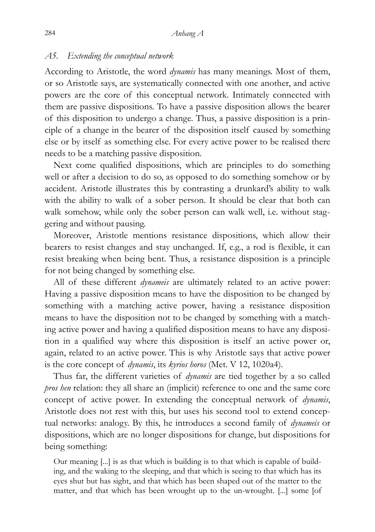### *A5. Extending the conceptual network*

According to Aristotle, the word *dynamis* has many meanings. Most of them, or so Aristotle says, are systematically connected with one another, and active powers are the core of this conceptual network. Intimately connected with them are passive dispositions. To have a passive disposition allows the bearer of this disposition to undergo a change. Thus, a passive disposition is a principle of a change in the bearer of the disposition itself caused by something else or by itself as something else. For every active power to be realised there needs to be a matching passive disposition.

Next come qualified dispositions, which are principles to do something well or after a decision to do so, as opposed to do something somehow or by accident. Aristotle illustrates this by contrasting a drunkard's ability to walk with the ability to walk of a sober person. It should be clear that both can walk somehow, while only the sober person can walk well, i.e. without staggering and without pausing.

Moreover, Aristotle mentions resistance dispositions, which allow their bearers to resist changes and stay unchanged. If, e.g., a rod is flexible, it can resist breaking when being bent. Thus, a resistance disposition is a principle for not being changed by something else.

All of these different *dynameis* are ultimately related to an active power: Having a passive disposition means to have the disposition to be changed by something with a matching active power, having a resistance disposition means to have the disposition not to be changed by something with a matching active power and having a qualified disposition means to have any disposition in a qualified way where this disposition is itself an active power or, again, related to an active power. This is why Aristotle says that active power is the core concept of *dynamis*, its *kyrios horos* (Met. V 12, 1020a4).

Thus far, the different varieties of *dynamis* are tied together by a so called *pros hen* relation: they all share an (implicit) reference to one and the same core concept of active power. In extending the conceptual network of *dynamis*, Aristotle does not rest with this, but uses his second tool to extend conceptual networks: analogy. By this, he introduces a second family of *dynameis* or dispositions, which are no longer dispositions for change, but dispositions for being something:

Our meaning [...] is as that which is building is to that which is capable of building, and the waking to the sleeping, and that which is seeing to that which has its eyes shut but has sight, and that which has been shaped out of the matter to the matter, and that which has been wrought up to the un-wrought. [...] some [of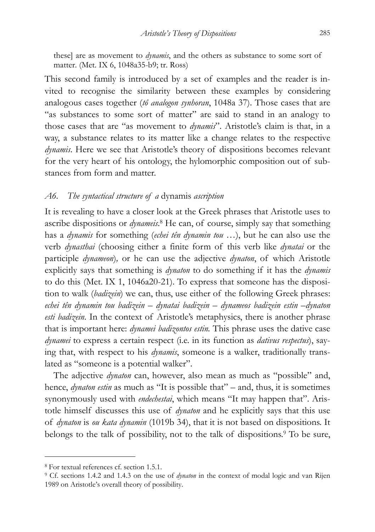these] are as movement to *dynamis*, and the others as substance to some sort of matter. (Met. IX 6, 1048a35-b9; tr. Ross)

This second family is introduced by a set of examples and the reader is invited to recognise the similarity between these examples by considering analogous cases together (*tô analogon synhoran*, 1048a 37). Those cases that are "as substances to some sort of matter" are said to stand in an analogy to those cases that are "as movement to *dynamis*". Aristotle's claim is that, in a way, a substance relates to its matter like a change relates to the respective *dynamis*. Here we see that Aristotle's theory of dispositions becomes relevant for the very heart of his ontology, the hylomorphic composition out of substances from form and matter.

#### *A6. The syntactical structure of a* dynamis *ascription*

It is revealing to have a closer look at the Greek phrases that Aristotle uses to ascribe dispositions or *dynameis*.<sup>8</sup> He can, of course, simply say that something has a *dynamis* for something (*echei tên dynamin tou* …), but he can also use the verb *dynasthai* (choosing either a finite form of this verb like *dynatai* or the participle *dynameon*)*,* or he can use the adjective *dynaton*, of which Aristotle explicitly says that something is *dynaton* to do something if it has the *dynamis* to do this (Met. IX 1, 1046a20-21). To express that someone has the disposition to walk (*badizein*) we can, thus, use either of the following Greek phrases: *echei tên dynamin tou badizein – dynatai badizein – dynameos badizein estin –dynaton esti badizein*. In the context of Aristotle's metaphysics, there is another phrase that is important here: *dynamei badizontos estin.* This phrase uses the dative case *dynamei* to express a certain respect (i.e. in its function as *dativus respectus*), saying that, with respect to his *dynamis*, someone is a walker, traditionally translated as "someone is a potential walker".

The adjective *dynaton* can, however, also mean as much as "possible" and, hence, *dynaton estin* as much as "It is possible that" – and, thus, it is sometimes synonymously used with *endechestai*, which means "It may happen that". Aristotle himself discusses this use of *dynaton* and he explicitly says that this use of *dynaton* is *ou kata dynamin* (1019b 34), that it is not based on dispositions. It belongs to the talk of possibility, not to the talk of dispositions.<sup>9</sup> To be sure,

<sup>8</sup> For textual references cf. section 1.5.1.

<sup>9</sup> Cf. sections 1.4.2 and 1.4.3 on the use of *dynaton* in the context of modal logic and van Rijen 1989 on Aristotle's overall theory of possibility.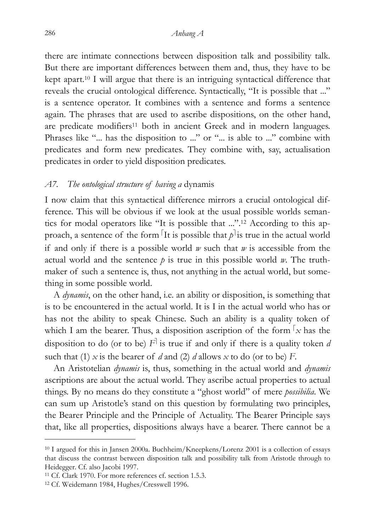there are intimate connections between disposition talk and possibility talk. But there are important differences between them and, thus, they have to be kept apart.10 I will argue that there is an intriguing syntactical difference that reveals the crucial ontological difference. Syntactically, "It is possible that ..." is a sentence operator. It combines with a sentence and forms a sentence again. The phrases that are used to ascribe dispositions, on the other hand, are predicate modifiers<sup>11</sup> both in ancient Greek and in modern languages. Phrases like "... has the disposition to ..." or "... is able to ..." combine with predicates and form new predicates. They combine with, say, actualisation predicates in order to yield disposition predicates.

### *A7. The ontological structure of having a* dynamis

I now claim that this syntactical difference mirrors a crucial ontological difference. This will be obvious if we look at the usual possible worlds semantics for modal operators like "It is possible that ...".12 According to this approach, a sentence of the form  $[I$ t is possible that  $p$ <sup> $]$ </sup> is true in the actual world if and only if there is a possible world *w* such that *w* is accessible from the actual world and the sentence  $p$  is true in this possible world  $w$ . The truthmaker of such a sentence is, thus, not anything in the actual world, but something in some possible world.

A *dynamis*, on the other hand, i.e. an ability or disposition, is something that is to be encountered in the actual world. It is I in the actual world who has or has not the ability to speak Chinese. Such an ability is a quality token of which I am the bearer. Thus, a disposition ascription of the form  $\lceil x \rceil$  has the disposition to do (or to be)  $F^{\dagger}$  is true if and only if there is a quality token *d* such that (1) *x* is the bearer of *d* and (2) *d* allows *x* to do (or to be) *F*.

An Aristotelian *dynamis* is, thus, something in the actual world and *dynamis* ascriptions are about the actual world. They ascribe actual properties to actual things. By no means do they constitute a "ghost world" of mere *possibilia*. We can sum up Aristotle's stand on this question by formulating two principles, the Bearer Principle and the Principle of Actuality. The Bearer Principle says that, like all properties, dispositions always have a bearer. There cannot be a

<sup>10</sup> I argued for this in Jansen 2000a. Buchheim/Kneepkens/Lorenz 2001 is a collection of essays that discuss the contrast between disposition talk and possibility talk from Aristotle through to Heidegger. Cf. also Jacobi 1997.

<sup>11</sup> Cf. Clark 1970. For more references cf. section 1.5.3.

<sup>12</sup> Cf. Weidemann 1984, Hughes/Cresswell 1996.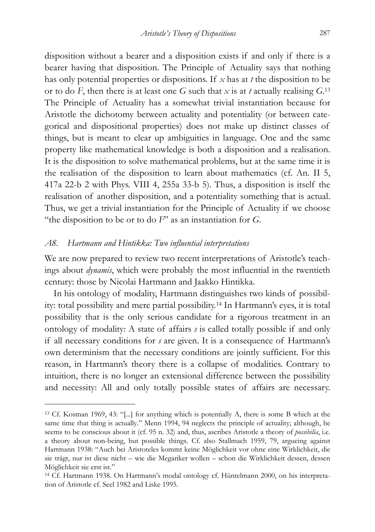disposition without a bearer and a disposition exists if and only if there is a bearer having that disposition. The Principle of Actuality says that nothing has only potential properties or dispositions. If *x* has at *t* the disposition to be or to do *F*, then there is at least one *G* such that *x* is at *t* actually realising *G*. 13 The Principle of Actuality has a somewhat trivial instantiation because for Aristotle the dichotomy between actuality and potentiality (or between categorical and dispositional properties) does not make up distinct classes of things, but is meant to clear up ambiguities in language. One and the same property like mathematical knowledge is both a disposition and a realisation. It is the disposition to solve mathematical problems, but at the same time it is the realisation of the disposition to learn about mathematics (cf. An. II 5, 417a 22-b 2 with Phys. VIII 4, 255a 33-b 5). Thus, a disposition is itself the realisation of another disposition, and a potentiality something that is actual. Thus, we get a trivial instantiation for the Principle of Actuality if we choose "the disposition to be or to do *F*" as an instantiation for *G*.

#### *A8. Hartmann and Hintikka: Two influential interpretations*

We are now prepared to review two recent interpretations of Aristotle's teachings about *dynamis*, which were probably the most influential in the twentieth century: those by Nicolai Hartmann and Jaakko Hintikka.

In his ontology of modality, Hartmann distinguishes two kinds of possibility: total possibility and mere partial possibility.14 In Hartmann's eyes, it is total possibility that is the only serious candidate for a rigorous treatment in an ontology of modality: A state of affairs *s* is called totally possible if and only if all necessary conditions for *s* are given. It is a consequence of Hartmann's own determinism that the necessary conditions are jointly sufficient. For this reason, in Hartmann's theory there is a collapse of modalities. Contrary to intuition, there is no longer an extensional difference between the possibility and necessity: All and only totally possible states of affairs are necessary.

<sup>13</sup> Cf. Kosman 1969, 43: "[...] for anything which is potentially A, there is some B which at the same time that thing is actually." Menn 1994, 94 neglects the principle of actuality; although, he seems to be conscious about it (cf. 95 n. 32) and, thus, ascribes Aristotle a theory of *possibilia*, i.e. a theory about non-being, but possible things. Cf. also Stallmach 1959, 79, argueing against Hartmann 1938: "Auch bei Aristoteles kommt keine Möglichkeit vor ohne eine Wirklichkeit, die sie trägt, nur ist diese nicht – wie die Megariker wollen – schon die Wirklichkeit dessen, dessen Möglichkeit sie erst ist."

<sup>14</sup> Cf. Hartmann 1938. On Hartmann's modal ontology cf. Hüntelmann 2000, on his interpretation of Aristotle cf. Seel 1982 and Liske 1995.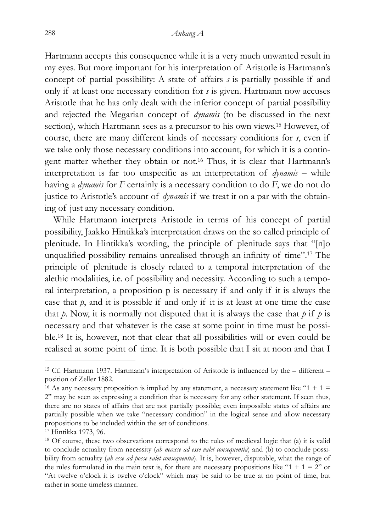Hartmann accepts this consequence while it is a very much unwanted result in my eyes. But more important for his interpretation of Aristotle is Hartmann's concept of partial possibility: A state of affairs *s* is partially possible if and only if at least one necessary condition for *s* is given. Hartmann now accuses Aristotle that he has only dealt with the inferior concept of partial possibility and rejected the Megarian concept of *dynamis* (to be discussed in the next section), which Hartmann sees as a precursor to his own views.15 However, of course, there are many different kinds of necessary conditions for *s*, even if we take only those necessary conditions into account, for which it is a contingent matter whether they obtain or not.16 Thus, it is clear that Hartmann's interpretation is far too unspecific as an interpretation of *dynamis –* while having a *dynamis* for *F* certainly is a necessary condition to do *F*, we do not do justice to Aristotle's account of *dynamis* if we treat it on a par with the obtaining of just any necessary condition.

While Hartmann interprets Aristotle in terms of his concept of partial possibility, Jaakko Hintikka's interpretation draws on the so called principle of plenitude. In Hintikka's wording, the principle of plenitude says that "[n]o unqualified possibility remains unrealised through an infinity of time".17 The principle of plenitude is closely related to a temporal interpretation of the alethic modalities, i.e. of possibility and necessity. According to such a temporal interpretation, a proposition p is necessary if and only if it is always the case that  $p$ , and it is possible if and only if it is at least at one time the case that  $p$ . Now, it is normally not disputed that it is always the case that  $p$  if  $p$  is necessary and that whatever is the case at some point in time must be possible.18 It is, however, not that clear that all possibilities will or even could be realised at some point of time. It is both possible that I sit at noon and that I

<sup>15</sup> Cf. Hartmann 1937. Hartmann's interpretation of Aristotle is influenced by the – different – position of Zeller 1882.

<sup>&</sup>lt;sup>16</sup> As any necessary proposition is implied by any statement, a necessary statement like " $1 + 1 =$ 2" may be seen as expressing a condition that is necessary for any other statement. If seen thus, there are no states of affairs that are not partially possible; even impossible states of affairs are partially possible when we take "necessary condition" in the logical sense and allow necessary propositions to be included within the set of conditions.

<sup>17</sup> Hintikka 1973, 96.

<sup>18</sup> Of course, these two observations correspond to the rules of medieval logic that (a) it is valid to conclude actuality from necessity (*ab necesse ad esse valet consequentia*) and (b) to conclude possibility from actuality (*ab esse ad posse valet consequentia*). It is, however, disputable, what the range of the rules formulated in the main text is, for there are necessary propositions like " $1 + 1 = 2$ " or "At twelve o'clock it is twelve o'clock" which may be said to be true at no point of time, but rather in some timeless manner.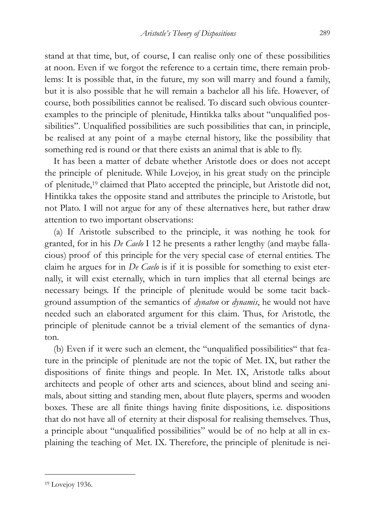stand at that time, but, of course, I can realise only one of these possibilities at noon. Even if we forgot the reference to a certain time, there remain problems: It is possible that, in the future, my son will marry and found a family, but it is also possible that he will remain a bachelor all his life. However, of course, both possibilities cannot be realised. To discard such obvious counterexamples to the principle of plenitude, Hintikka talks about "unqualified possibilities". Unqualified possibilities are such possibilities that can, in principle, be realised at any point of a maybe eternal history, like the possibility that something red is round or that there exists an animal that is able to fly.

It has been a matter of debate whether Aristotle does or does not accept the principle of plenitude. While Lovejoy, in his great study on the principle of plenitude,19 claimed that Plato accepted the principle, but Aristotle did not, Hintikka takes the opposite stand and attributes the principle to Aristotle, but not Plato. I will not argue for any of these alternatives here, but rather draw attention to two important observations:

(a) If Aristotle subscribed to the principle, it was nothing he took for granted, for in his *De Caelo* I 12 he presents a rather lengthy (and maybe fallacious) proof of this principle for the very special case of eternal entities. The claim he argues for in *De Caelo* is if it is possible for something to exist eternally, it will exist eternally, which in turn implies that all eternal beings are necessary beings. If the principle of plenitude would be some tacit background assumption of the semantics of *dynaton* or *dynamis*, he would not have needed such an elaborated argument for this claim. Thus, for Aristotle, the principle of plenitude cannot be a trivial element of the semantics of dynaton.

(b) Even if it were such an element, the "unqualified possibilities" that feature in the principle of plenitude are not the topic of Met. IX, but rather the dispositions of finite things and people. In Met. IX, Aristotle talks about architects and people of other arts and sciences, about blind and seeing animals, about sitting and standing men, about flute players, sperms and wooden boxes. These are all finite things having finite dispositions, i.e. dispositions that do not have all of eternity at their disposal for realising themselves. Thus, a principle about "unqualified possibilities" would be of no help at all in explaining the teaching of Met. IX. Therefore, the principle of plenitude is nei-

<sup>19</sup> Lovejoy 1936.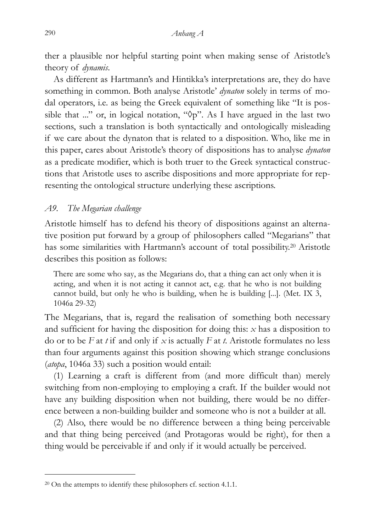ther a plausible nor helpful starting point when making sense of Aristotle's theory of *dynamis*.

As different as Hartmann's and Hintikka's interpretations are, they do have something in common. Both analyse Aristotle' *dynaton* solely in terms of modal operators, i.e. as being the Greek equivalent of something like "It is possible that ..." or, in logical notation, " $op$ ". As I have argued in the last two sections, such a translation is both syntactically and ontologically misleading if we care about the dynaton that is related to a disposition. Who, like me in this paper, cares about Aristotle's theory of dispositions has to analyse *dynaton* as a predicate modifier, which is both truer to the Greek syntactical constructions that Aristotle uses to ascribe dispositions and more appropriate for representing the ontological structure underlying these ascriptions.

#### *A9. The Megarian challenge*

Aristotle himself has to defend his theory of dispositions against an alternative position put forward by a group of philosophers called "Megarians" that has some similarities with Hartmann's account of total possibility.<sup>20</sup> Aristotle describes this position as follows:

There are some who say, as the Megarians do, that a thing can act only when it is acting, and when it is not acting it cannot act, e.g. that he who is not building cannot build, but only he who is building, when he is building [...]. (Met. IX 3, 1046a 29-32)

The Megarians, that is, regard the realisation of something both necessary and sufficient for having the disposition for doing this: *x* has a disposition to do or to be *F* at *t* if and only if *x* is actually *F* at *t*. Aristotle formulates no less than four arguments against this position showing which strange conclusions (*atopa*, 1046a 33) such a position would entail:

(1) Learning a craft is different from (and more difficult than) merely switching from non-employing to employing a craft. If the builder would not have any building disposition when not building, there would be no difference between a non-building builder and someone who is not a builder at all.

(2) Also, there would be no difference between a thing being perceivable and that thing being perceived (and Protagoras would be right), for then a thing would be perceivable if and only if it would actually be perceived.

<sup>&</sup>lt;sup>20</sup> On the attempts to identify these philosophers cf. section 4.1.1.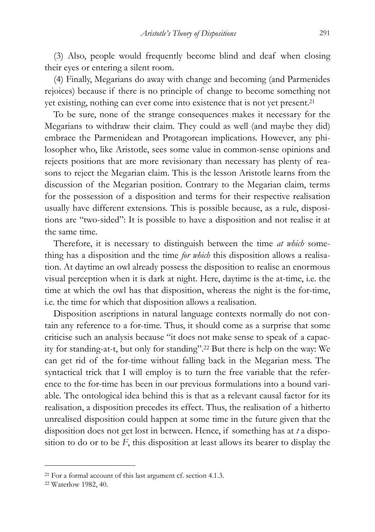(3) Also, people would frequently become blind and deaf when closing their eyes or entering a silent room.

(4) Finally, Megarians do away with change and becoming (and Parmenides rejoices) because if there is no principle of change to become something not yet existing, nothing can ever come into existence that is not yet present.<sup>21</sup>

To be sure, none of the strange consequences makes it necessary for the Megarians to withdraw their claim. They could as well (and maybe they did) embrace the Parmenidean and Protagorean implications. However, any philosopher who, like Aristotle, sees some value in common-sense opinions and rejects positions that are more revisionary than necessary has plenty of reasons to reject the Megarian claim. This is the lesson Aristotle learns from the discussion of the Megarian position. Contrary to the Megarian claim, terms for the possession of a disposition and terms for their respective realisation usually have different extensions. This is possible because, as a rule, dispositions are "two-sided": It is possible to have a disposition and not realise it at the same time.

Therefore, it is necessary to distinguish between the time *at which* something has a disposition and the time *for which* this disposition allows a realisation. At daytime an owl already possess the disposition to realise an enormous visual perception when it is dark at night. Here, daytime is the at-time, i.e. the time at which the owl has that disposition, whereas the night is the for-time, i.e. the time for which that disposition allows a realisation.

Disposition ascriptions in natural language contexts normally do not contain any reference to a for-time. Thus, it should come as a surprise that some criticise such an analysis because "it does not make sense to speak of a capacity for standing-at-t, but only for standing".22 But there is help on the way: We can get rid of the for-time without falling back in the Megarian mess. The syntactical trick that I will employ is to turn the free variable that the reference to the for-time has been in our previous formulations into a bound variable. The ontological idea behind this is that as a relevant causal factor for its realisation, a disposition precedes its effect. Thus, the realisation of a hitherto unrealised disposition could happen at some time in the future given that the disposition does not get lost in between. Hence, if something has at *t* a disposition to do or to be *F*, this disposition at least allows its bearer to display the

<sup>21</sup> For a formal account of this last argument cf. section 4.1.3.

<sup>22</sup> Waterlow 1982, 40.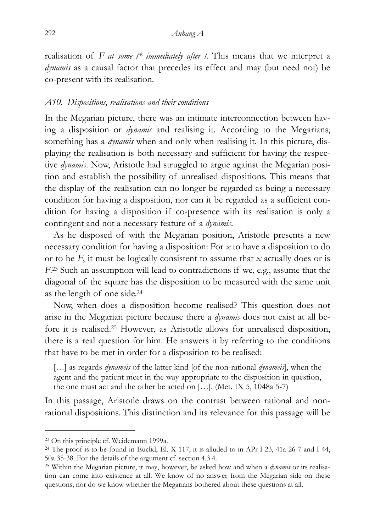realisation of *F at some t\* immediately after t.* This means that we interpret a *dynamis* as a causal factor that precedes its effect and may (but need not) be co-present with its realisation.

#### *A10. Dispositions, realisations and their conditions*

In the Megarian picture, there was an intimate interconnection between having a disposition or *dynamis* and realising it. According to the Megarians, something has a *dynamis* when and only when realising it. In this picture, displaying the realisation is both necessary and sufficient for having the respective *dynamis*. Now, Aristotle had struggled to argue against the Megarian position and establish the possibility of unrealised dispositions. This means that the display of the realisation can no longer be regarded as being a necessary condition for having a disposition, nor can it be regarded as a sufficient condition for having a disposition if co-presence with its realisation is only a contingent and not a necessary feature of a *dynamis*.

As he disposed of with the Megarian position, Aristotle presents a new necessary condition for having a disposition: For *x* to have a disposition to do or to be *F*, it must be logically consistent to assume that *x* actually does or is *F*. <sup>23</sup> Such an assumption will lead to contradictions if we, e.g., assume that the diagonal of the square has the disposition to be measured with the same unit as the length of one side.<sup>24</sup>

Now, when does a disposition become realised? This question does not arise in the Megarian picture because there a *dynamis* does not exist at all before it is realised.25 However, as Aristotle allows for unrealised disposition, there is a real question for him. He answers it by referring to the conditions that have to be met in order for a disposition to be realised:

[...] as regards *dynameis* of the latter kind [of the non-rational *dynameis*], when the agent and the patient meet in the way appropriate to the disposition in question, the one must act and the other be acted on […]. (Met. IX 5, 1048a 5-7)

In this passage, Aristotle draws on the contrast between rational and nonrational dispositions. This distinction and its relevance for this passage will be

<sup>23</sup> On this principle cf. Weidemann 1999a.

<sup>&</sup>lt;sup>24</sup> The proof is to be found in Euclid, El. X 117; it is alluded to in APr I 23, 41a 26-7 and I 44, 50a 35-38. For the details of the argument cf. section 4.3.4.

<sup>25</sup> Within the Megarian picture, it may, however, be asked how and when a *dynamis* or its realisation can come into existence at all. We know of no answer from the Megarian side on these questions, nor do we know whether the Megarians bothered about these questions at all.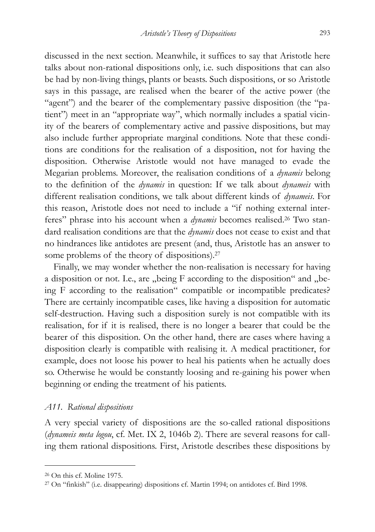discussed in the next section. Meanwhile, it suffices to say that Aristotle here talks about non-rational dispositions only, i.e. such dispositions that can also be had by non-living things, plants or beasts. Such dispositions, or so Aristotle says in this passage, are realised when the bearer of the active power (the "agent") and the bearer of the complementary passive disposition (the "patient") meet in an "appropriate way", which normally includes a spatial vicinity of the bearers of complementary active and passive dispositions, but may also include further appropriate marginal conditions. Note that these conditions are conditions for the realisation of a disposition, not for having the disposition. Otherwise Aristotle would not have managed to evade the Megarian problems. Moreover, the realisation conditions of a *dynamis* belong to the definition of the *dynamis* in question: If we talk about *dynameis* with different realisation conditions, we talk about different kinds of *dynameis*. For this reason, Aristotle does not need to include a "if nothing external interferes" phrase into his account when a *dynamis* becomes realised.26 Two standard realisation conditions are that the *dynamis* does not cease to exist and that no hindrances like antidotes are present (and, thus, Aristotle has an answer to some problems of the theory of dispositions).<sup>27</sup>

Finally, we may wonder whether the non-realisation is necessary for having a disposition or not. I.e., are "being F according to the disposition" and "being F according to the realisation" compatible or incompatible predicates? There are certainly incompatible cases, like having a disposition for automatic self-destruction. Having such a disposition surely is not compatible with its realisation, for if it is realised, there is no longer a bearer that could be the bearer of this disposition. On the other hand, there are cases where having a disposition clearly is compatible with realising it. A medical practitioner, for example, does not loose his power to heal his patients when he actually does so. Otherwise he would be constantly loosing and re-gaining his power when beginning or ending the treatment of his patients.

#### *A11. Rational dispositions*

A very special variety of dispositions are the so-called rational dispositions (*dynameis meta logou*, cf. Met. IX 2, 1046b 2). There are several reasons for calling them rational dispositions. First, Aristotle describes these dispositions by

<sup>26</sup> On this cf. Moline 1975.

<sup>27</sup> On "finkish" (i.e. disappearing) dispositions cf. Martin 1994; on antidotes cf. Bird 1998.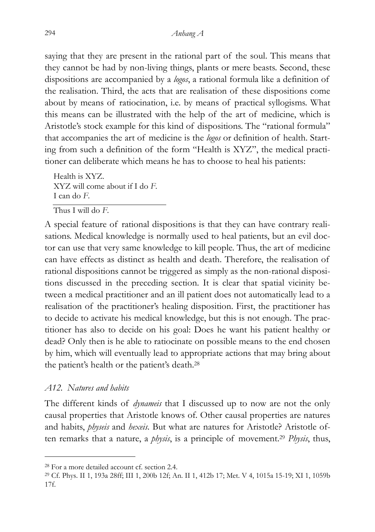saying that they are present in the rational part of the soul. This means that they cannot be had by non-living things, plants or mere beasts. Second, these dispositions are accompanied by a *logos*, a rational formula like a definition of the realisation. Third, the acts that are realisation of these dispositions come about by means of ratiocination, i.e. by means of practical syllogisms. What this means can be illustrated with the help of the art of medicine, which is Aristotle's stock example for this kind of dispositions. The "rational formula" that accompanies the art of medicine is the *logos* or definition of health. Starting from such a definition of the form "Health is XYZ", the medical practitioner can deliberate which means he has to choose to heal his patients:

Health is XYZ. XYZ will come about if I do *F*. I can do *F*.

Thus I will do *F*.

A special feature of rational dispositions is that they can have contrary realisations. Medical knowledge is normally used to heal patients, but an evil doctor can use that very same knowledge to kill people. Thus, the art of medicine can have effects as distinct as health and death. Therefore, the realisation of rational dispositions cannot be triggered as simply as the non-rational dispositions discussed in the preceding section. It is clear that spatial vicinity between a medical practitioner and an ill patient does not automatically lead to a realisation of the practitioner's healing disposition. First, the practitioner has to decide to activate his medical knowledge, but this is not enough. The practitioner has also to decide on his goal: Does he want his patient healthy or dead? Only then is he able to ratiocinate on possible means to the end chosen by him, which will eventually lead to appropriate actions that may bring about the patient's health or the patient's death.<sup>28</sup>

#### *A12. Natures and habits*

The different kinds of *dynameis* that I discussed up to now are not the only causal properties that Aristotle knows of. Other causal properties are natures and habits, *physeis* and *hexeis*. But what are natures for Aristotle? Aristotle often remarks that a nature, a *physis*, is a principle of movement.<sup>29</sup> *Physis*, thus,

<sup>28</sup> For a more detailed account cf. section 2.4.

<sup>29</sup> Cf. Phys. II 1, 193a 28ff; III 1, 200b 12f; An. II 1, 412b 17; Met. V 4, 1015a 15-19; XI 1, 1059b 17f.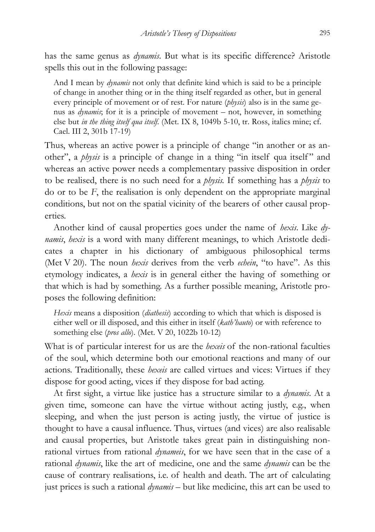has the same genus as *dynamis*. But what is its specific difference? Aristotle spells this out in the following passage:

And I mean by *dynamis* not only that definite kind which is said to be a principle of change in another thing or in the thing itself regarded as other, but in general every principle of movement or of rest. For nature (*physis*) also is in the same genus as *dynamis*; for it is a principle of movement – not, however, in something else but *in the thing itself qua itself*. (Met. IX 8, 1049b 5-10, tr. Ross, italics mine; cf. Cael. III 2, 301b 17-19)

Thus, whereas an active power is a principle of change "in another or as another", a *physis* is a principle of change in a thing "in itself qua itself " and whereas an active power needs a complementary passive disposition in order to be realised, there is no such need for a *physis.* If something has a *physis* to do or to be *F*, the realisation is only dependent on the appropriate marginal conditions, but not on the spatial vicinity of the bearers of other causal properties.

Another kind of causal properties goes under the name of *hexis*. Like *dynamis*, *hexis* is a word with many different meanings, to which Aristotle dedicates a chapter in his dictionary of ambiguous philosophical terms (Met V 20). The noun *hexis* derives from the verb *echein*, "to have". As this etymology indicates, a *hexis* is in general either the having of something or that which is had by something. As a further possible meaning, Aristotle proposes the following definition:

*Hexis* means a disposition (*diathesis*) according to which that which is disposed is either well or ill disposed, and this either in itself (*kath'hauto*) or with reference to something else (*pros allo*). (Met. V 20, 1022b 10-12)

What is of particular interest for us are the *hexeis* of the non-rational faculties of the soul, which determine both our emotional reactions and many of our actions. Traditionally, these *hexeis* are called virtues and vices: Virtues if they dispose for good acting, vices if they dispose for bad acting.

At first sight, a virtue like justice has a structure similar to a *dynamis*. At a given time, someone can have the virtue without acting justly, e.g., when sleeping, and when the just person is acting justly, the virtue of justice is thought to have a causal influence. Thus, virtues (and vices) are also realisable and causal properties, but Aristotle takes great pain in distinguishing nonrational virtues from rational *dynameis*, for we have seen that in the case of a rational *dynamis*, like the art of medicine, one and the same *dynamis* can be the cause of contrary realisations, i.e. of health and death. The art of calculating just prices is such a rational *dynamis* – but like medicine, this art can be used to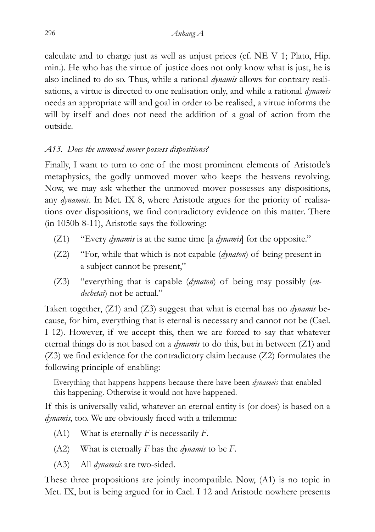calculate and to charge just as well as unjust prices (cf. NE V 1; Plato, Hip. min.). He who has the virtue of justice does not only know what is just, he is also inclined to do so. Thus, while a rational *dynamis* allows for contrary realisations, a virtue is directed to one realisation only, and while a rational *dynamis*  needs an appropriate will and goal in order to be realised, a virtue informs the will by itself and does not need the addition of a goal of action from the outside.

## *A13. Does the unmoved mover possess dispositions?*

Finally, I want to turn to one of the most prominent elements of Aristotle's metaphysics, the godly unmoved mover who keeps the heavens revolving. Now, we may ask whether the unmoved mover possesses any dispositions, any *dynameis*. In Met. IX 8, where Aristotle argues for the priority of realisations over dispositions, we find contradictory evidence on this matter. There (in 1050b 8-11), Aristotle says the following:

- (Z1) "Every *dynamis* is at the same time [a *dynamis*] for the opposite."
- (Z2) "For, while that which is not capable (*dynaton*) of being present in a subject cannot be present,"
- (Z3) "everything that is capable (*dynaton*) of being may possibly (*endechetai*) not be actual."

Taken together, (Z1) and (Z3) suggest that what is eternal has no *dynamis* because, for him, everything that is eternal is necessary and cannot not be (Cael. I 12). However, if we accept this, then we are forced to say that whatever eternal things do is not based on a *dynamis* to do this, but in between (Z1) and (Z3) we find evidence for the contradictory claim because (Z2) formulates the following principle of enabling:

Everything that happens happens because there have been *dynameis* that enabled this happening. Otherwise it would not have happened.

If this is universally valid, whatever an eternal entity is (or does) is based on a *dynamis*, too. We are obviously faced with a trilemma:

- (A1) What is eternally *F* is necessarily *F*.
- (A2) What is eternally *F* has the *dynamis* to be *F*.
- (A3) All *dynameis* are two-sided.

These three propositions are jointly incompatible. Now, (A1) is no topic in Met. IX, but is being argued for in Cael. I 12 and Aristotle nowhere presents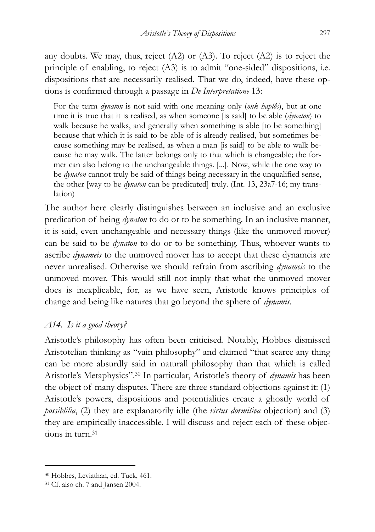any doubts. We may, thus, reject  $(A2)$  or  $(A3)$ . To reject  $(A2)$  is to reject the principle of enabling, to reject (A3) is to admit "one-sided" dispositions, i.e. dispositions that are necessarily realised. That we do, indeed, have these options is confirmed through a passage in *De Interpretatione* 13:

For the term *dynaton* is not said with one meaning only (*ouk haplôs*), but at one time it is true that it is realised, as when someone [is said] to be able (*dynaton*) to walk because he walks, and generally when something is able [to be something] because that which it is said to be able of is already realised, but sometimes because something may be realised, as when a man [is said] to be able to walk because he may walk. The latter belongs only to that which is changeable; the former can also belong to the unchangeable things. [...]. Now, while the one way to be *dynaton* cannot truly be said of things being necessary in the unqualified sense, the other [way to be *dynaton* can be predicated] truly. (Int. 13, 23a7-16; my translation)

The author here clearly distinguishes between an inclusive and an exclusive predication of being *dynaton* to do or to be something. In an inclusive manner, it is said, even unchangeable and necessary things (like the unmoved mover) can be said to be *dynaton* to do or to be something. Thus, whoever wants to ascribe *dynameis* to the unmoved mover has to accept that these dynameis are never unrealised. Otherwise we should refrain from ascribing *dynameis* to the unmoved mover. This would still not imply that what the unmoved mover does is inexplicable, for, as we have seen, Aristotle knows principles of change and being like natures that go beyond the sphere of *dynamis*.

#### *A14. Is it a good theory?*

Aristotle's philosophy has often been criticised. Notably, Hobbes dismissed Aristotelian thinking as "vain philosophy" and claimed "that scarce any thing can be more absurdly said in naturall philosophy than that which is called Aristotle's Metaphysics".30 In particular, Aristotle's theory of *dynamis* has been the object of many disputes. There are three standard objections against it: (1) Aristotle's powers, dispositions and potentialities create a ghostly world of *possiblilia*, (2) they are explanatorily idle (the *virtus dormitiva* objection) and (3) they are empirically inaccessible. I will discuss and reject each of these objections in turn 31

<sup>30</sup> Hobbes, Leviathan, ed. Tuck, 461.

<sup>31</sup> Cf. also ch. 7 and Jansen 2004.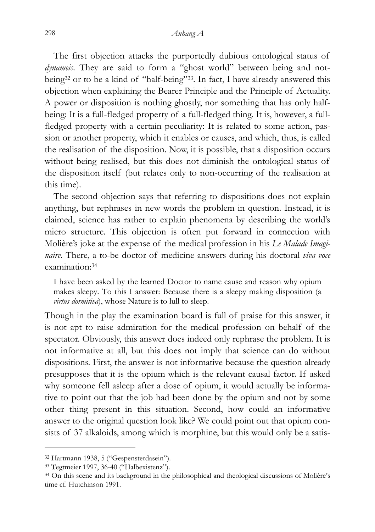The first objection attacks the purportedly dubious ontological status of *dynameis*. They are said to form a "ghost world" between being and notbeing32 or to be a kind of "half-being"33. In fact, I have already answered this objection when explaining the Bearer Principle and the Principle of Actuality. A power or disposition is nothing ghostly, nor something that has only halfbeing: It is a full-fledged property of a full-fledged thing. It is, however, a fullfledged property with a certain peculiarity: It is related to some action, passion or another property, which it enables or causes, and which, thus, is called the realisation of the disposition. Now, it is possible, that a disposition occurs without being realised, but this does not diminish the ontological status of the disposition itself (but relates only to non-occurring of the realisation at this time).

The second objection says that referring to dispositions does not explain anything, but rephrases in new words the problem in question. Instead, it is claimed, science has rather to explain phenomena by describing the world's micro structure. This objection is often put forward in connection with Molière's joke at the expense of the medical profession in his *Le Malade Imaginaire*. There, a to-be doctor of medicine answers during his doctoral *viva voce*  examination:<sup>34</sup>

I have been asked by the learned Doctor to name cause and reason why opium makes sleepy. To this I answer: Because there is a sleepy making disposition (a *virtus dormitiva*), whose Nature is to lull to sleep.

Though in the play the examination board is full of praise for this answer, it is not apt to raise admiration for the medical profession on behalf of the spectator. Obviously, this answer does indeed only rephrase the problem. It is not informative at all, but this does not imply that science can do without dispositions. First, the answer is not informative because the question already presupposes that it is the opium which is the relevant causal factor. If asked why someone fell asleep after a dose of opium, it would actually be informative to point out that the job had been done by the opium and not by some other thing present in this situation. Second, how could an informative answer to the original question look like? We could point out that opium consists of 37 alkaloids, among which is morphine, but this would only be a satis-

-

<sup>32</sup> Hartmann 1938, 5 ("Gespensterdasein").

<sup>33</sup> Tegtmeier 1997, 36-40 ("Halbexistenz").

<sup>34</sup> On this scene and its background in the philosophical and theological discussions of Molière's time cf. Hutchinson 1991.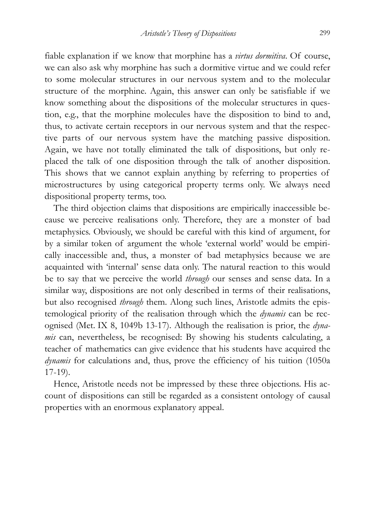fiable explanation if we know that morphine has a *virtus dormitiva*. Of course, we can also ask why morphine has such a dormitive virtue and we could refer to some molecular structures in our nervous system and to the molecular structure of the morphine. Again, this answer can only be satisfiable if we know something about the dispositions of the molecular structures in question, e.g., that the morphine molecules have the disposition to bind to and, thus, to activate certain receptors in our nervous system and that the respective parts of our nervous system have the matching passive disposition. Again, we have not totally eliminated the talk of dispositions, but only replaced the talk of one disposition through the talk of another disposition. This shows that we cannot explain anything by referring to properties of microstructures by using categorical property terms only. We always need dispositional property terms, too.

The third objection claims that dispositions are empirically inaccessible because we perceive realisations only. Therefore, they are a monster of bad metaphysics. Obviously, we should be careful with this kind of argument, for by a similar token of argument the whole 'external world' would be empirically inaccessible and, thus, a monster of bad metaphysics because we are acquainted with 'internal' sense data only. The natural reaction to this would be to say that we perceive the world *through* our senses and sense data. In a similar way, dispositions are not only described in terms of their realisations, but also recognised *through* them. Along such lines, Aristotle admits the epistemological priority of the realisation through which the *dynamis* can be recognised (Met. IX 8, 1049b 13-17). Although the realisation is prior, the *dynamis* can, nevertheless, be recognised: By showing his students calculating, a teacher of mathematics can give evidence that his students have acquired the *dynamis* for calculations and, thus, prove the efficiency of his tuition (1050a 17-19).

Hence, Aristotle needs not be impressed by these three objections. His account of dispositions can still be regarded as a consistent ontology of causal properties with an enormous explanatory appeal.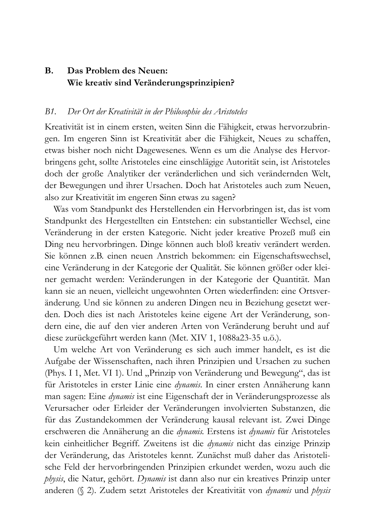## **B. Das Problem des Neuen: Wie kreativ sind Veränderungsprinzipien?**

#### *B1. Der Ort der Kreativität in der Philosophie des Aristoteles*

Kreativität ist in einem ersten, weiten Sinn die Fähigkeit, etwas hervorzubringen. Im engeren Sinn ist Kreativität aber die Fähigkeit, Neues zu schaffen, etwas bisher noch nicht Dagewesenes. Wenn es um die Analyse des Hervorbringens geht, sollte Aristoteles eine einschlägige Autorität sein, ist Aristoteles doch der große Analytiker der veränderlichen und sich verändernden Welt, der Bewegungen und ihrer Ursachen. Doch hat Aristoteles auch zum Neuen, also zur Kreativität im engeren Sinn etwas zu sagen?

Was vom Standpunkt des Herstellenden ein Hervorbringen ist, das ist vom Standpunkt des Hergestellten ein Entstehen: ein substantieller Wechsel, eine Veränderung in der ersten Kategorie. Nicht jeder kreative Prozeß muß ein Ding neu hervorbringen. Dinge können auch bloß kreativ verändert werden. Sie können z.B. einen neuen Anstrich bekommen: ein Eigenschaftswechsel, eine Veränderung in der Kategorie der Qualität. Sie können größer oder kleiner gemacht werden: Veränderungen in der Kategorie der Quantität. Man kann sie an neuen, vielleicht ungewohnten Orten wiederfinden: eine Ortsveränderung. Und sie können zu anderen Dingen neu in Beziehung gesetzt werden. Doch dies ist nach Aristoteles keine eigene Art der Veränderung, sondern eine, die auf den vier anderen Arten von Veränderung beruht und auf diese zurückgeführt werden kann (Met. XIV 1, 1088a23-35 u.ö.).

Um welche Art von Veränderung es sich auch immer handelt, es ist die Aufgabe der Wissenschaften, nach ihren Prinzipien und Ursachen zu suchen (Phys. I 1, Met. VI 1). Und "Prinzip von Veränderung und Bewegung", das ist für Aristoteles in erster Linie eine *dynamis*. In einer ersten Annäherung kann man sagen: Eine *dynamis* ist eine Eigenschaft der in Veränderungsprozesse als Verursacher oder Erleider der Veränderungen involvierten Substanzen, die für das Zustandekommen der Veränderung kausal relevant ist. Zwei Dinge erschweren die Annäherung an die *dynamis.* Erstens ist *dynamis* für Aristoteles kein einheitlicher Begriff. Zweitens ist die *dynamis* nicht das einzige Prinzip der Veränderung, das Aristoteles kennt. Zunächst muß daher das Aristotelische Feld der hervorbringenden Prinzipien erkundet werden, wozu auch die *physis*, die Natur, gehört. *Dynamis* ist dann also nur ein kreatives Prinzip unter anderen (§ 2). Zudem setzt Aristoteles der Kreativität von *dynamis* und *physis*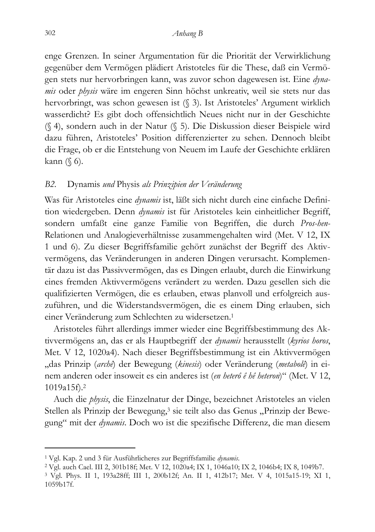enge Grenzen. In seiner Argumentation für die Priorität der Verwirklichung gegenüber dem Vermögen plädiert Aristoteles für die These, daß ein Vermögen stets nur hervorbringen kann, was zuvor schon dagewesen ist. Eine *dynamis* oder *physis* wäre im engeren Sinn höchst unkreativ, weil sie stets nur das hervorbringt, was schon gewesen ist (§ 3). Ist Aristoteles' Argument wirklich wasserdicht? Es gibt doch offensichtlich Neues nicht nur in der Geschichte (§ 4), sondern auch in der Natur (§ 5). Die Diskussion dieser Beispiele wird dazu führen, Aristoteles' Position differenzierter zu sehen. Dennoch bleibt die Frage, ob er die Entstehung von Neuem im Laufe der Geschichte erklären kann (§ 6).

#### *B2.* Dynamis *und* Physis *als Prinzipien der Veränderung*

Was für Aristoteles eine *dynamis* ist, läßt sich nicht durch eine einfache Definition wiedergeben. Denn *dynamis* ist für Aristoteles kein einheitlicher Begriff, sondern umfaßt eine ganze Familie von Begriffen, die durch *Pros-hen-*Relationen und Analogieverhältnisse zusammengehalten wird (Met. V 12, IX 1 und 6). Zu dieser Begriffsfamilie gehört zunächst der Begriff des Aktivvermögens, das Veränderungen in anderen Dingen verursacht. Komplementär dazu ist das Passivvermögen, das es Dingen erlaubt, durch die Einwirkung eines fremden Aktivvermögens verändert zu werden. Dazu gesellen sich die qualifizierten Vermögen, die es erlauben, etwas planvoll und erfolgreich auszuführen, und die Widerstandsvermögen, die es einem Ding erlauben, sich einer Veränderung zum Schlechten zu widersetzen.<sup>1</sup>

Aristoteles führt allerdings immer wieder eine Begriffsbestimmung des Aktivvermögens an, das er als Hauptbegriff der *dynamis* herausstellt (*kyrios horos*, Met. V 12, 1020a4). Nach dieser Begriffsbestimmung ist ein Aktivvermögen "das Prinzip (*archê*) der Bewegung (*kinesis*) oder Veränderung (*metabolê*) in einem anderen oder insoweit es ein anderes ist (*en heterô ê hê heteron*)" (Met. V 12, 1019a15f).<sup>2</sup>

Auch die *physis*, die Einzelnatur der Dinge, bezeichnet Aristoteles an vielen Stellen als Prinzip der Bewegung,<sup>3</sup> sie teilt also das Genus "Prinzip der Bewegung" mit der *dynamis*. Doch wo ist die spezifische Differenz, die man diesem

-

<sup>1</sup> Vgl. Kap. 2 und 3 für Ausführlicheres zur Begriffsfamilie *dynamis*.

<sup>2</sup> Vgl. auch Cael. III 2, 301b18f; Met. V 12, 1020a4; IX 1, 1046a10; IX 2, 1046b4; IX 8, 1049b7.

<sup>3</sup> Vgl. Phys. II 1, 193a28ff; III 1, 200b12f; An. II 1, 412b17; Met. V 4, 1015a15-19; XI 1, 1059b17f.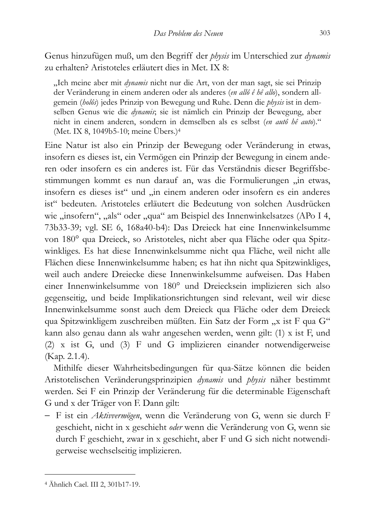Genus hinzufügen muß, um den Begriff der *physis* im Unterschied zur *dynamis*  zu erhalten? Aristoteles erläutert dies in Met. IX 8:

"Ich meine aber mit *dynamis* nicht nur die Art, von der man sagt, sie sei Prinzip der Veränderung in einem anderen oder als anderes (*en allô ê hê allo*), sondern allgemein (*holôs*) jedes Prinzip von Bewegung und Ruhe. Denn die *physis* ist in demselben Genus wie die *dynamis*; sie ist nämlich ein Prinzip der Bewegung, aber nicht in einem anderen, sondern in demselben als es selbst (*en autô hê auto*)." (Met. IX 8, 1049b5-10; meine Übers.)<sup>4</sup>

Eine Natur ist also ein Prinzip der Bewegung oder Veränderung in etwas, insofern es dieses ist, ein Vermögen ein Prinzip der Bewegung in einem anderen oder insofern es ein anderes ist. Für das Verständnis dieser Begriffsbestimmungen kommt es nun darauf an, was die Formulierungen "in etwas, insofern es dieses ist" und "in einem anderen oder insofern es ein anderes ist" bedeuten. Aristoteles erläutert die Bedeutung von solchen Ausdrücken wie "insofern", "als" oder "qua" am Beispiel des Innenwinkelsatzes (APo I 4, 73b33-39; vgl. SE 6, 168a40-b4): Das Dreieck hat eine Innenwinkelsumme von 180° qua Dreieck, so Aristoteles, nicht aber qua Fläche oder qua Spitzwinkliges. Es hat diese Innenwinkelsumme nicht qua Fläche, weil nicht alle Flächen diese Innenwinkelsumme haben; es hat ihn nicht qua Spitzwinkliges, weil auch andere Dreiecke diese Innenwinkelsumme aufweisen. Das Haben einer Innenwinkelsumme von 180° und Dreiecksein implizieren sich also gegenseitig, und beide Implikationsrichtungen sind relevant, weil wir diese Innenwinkelsumme sonst auch dem Dreieck qua Fläche oder dem Dreieck qua Spitzwinkligem zuschreiben müßten. Ein Satz der Form "x ist F qua G" kann also genau dann als wahr angesehen werden, wenn gilt: (1) x ist F, und (2) x ist G, und (3) F und G implizieren einander notwendigerweise (Kap. 2.1.4).

Mithilfe dieser Wahrheitsbedingungen für qua-Sätze können die beiden Aristotelischen Veränderungsprinzipien *dynamis* und *physis* näher bestimmt werden. Sei F ein Prinzip der Veränderung für die determinable Eigenschaft G und x der Träger von F. Dann gilt:

− F ist ein *Aktivvermögen*, wenn die Veränderung von G, wenn sie durch F geschieht, nicht in x geschieht *oder* wenn die Veränderung von G, wenn sie durch F geschieht, zwar in x geschieht, aber F und G sich nicht notwendigerweise wechselseitig implizieren.

<sup>4</sup> Ähnlich Cael. III 2, 301b17-19.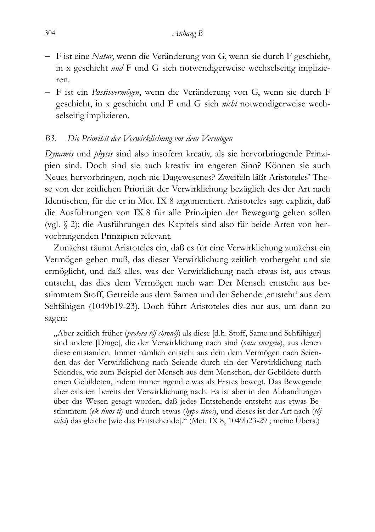- − F ist eine *Natur*, wenn die Veränderung von G, wenn sie durch F geschieht, in x geschieht *und* F und G sich notwendigerweise wechselseitig implizieren.
- − F ist ein *Passivvermögen*, wenn die Veränderung von G, wenn sie durch F geschieht, in x geschieht und F und G sich *nicht* notwendigerweise wechselseitig implizieren.

#### *B3. Die Priorität der Verwirklichung vor dem Vermögen*

*Dynamis* und *physis* sind also insofern kreativ, als sie hervorbringende Prinzipien sind. Doch sind sie auch kreativ im engeren Sinn? Können sie auch Neues hervorbringen, noch nie Dagewesenes? Zweifeln läßt Aristoteles' These von der zeitlichen Priorität der Verwirklichung bezüglich des der Art nach Identischen, für die er in Met. IX 8 argumentiert. Aristoteles sagt explizit, daß die Ausführungen von IX 8 für alle Prinzipien der Bewegung gelten sollen (vgl. § 2); die Ausführungen des Kapitels sind also für beide Arten von hervorbringenden Prinzipien relevant.

Zunächst räumt Aristoteles ein, daß es für eine Verwirklichung zunächst ein Vermögen geben muß, das dieser Verwirklichung zeitlich vorhergeht und sie ermöglicht, und daß alles, was der Verwirklichung nach etwas ist, aus etwas entsteht, das dies dem Vermögen nach war: Der Mensch entsteht aus bestimmtem Stoff, Getreide aus dem Samen und der Sehende "entsteht" aus dem Sehfähigen (1049b19-23). Doch führt Aristoteles dies nur aus, um dann zu sagen:

"Aber zeitlich früher (*protera tôj chronôj*) als diese [d.h. Stoff, Same und Sehfähiger] sind andere [Dinge], die der Verwirklichung nach sind (*onta energeia*), aus denen diese entstanden. Immer nämlich entsteht aus dem dem Vermögen nach Seienden das der Verwirklichung nach Seiende durch ein der Verwirklichung nach Seiendes, wie zum Beispiel der Mensch aus dem Menschen, der Gebildete durch einen Gebildeten, indem immer irgend etwas als Erstes bewegt. Das Bewegende aber existiert bereits der Verwirklichung nach. Es ist aber in den Abhandlungen über das Wesen gesagt worden, daß jedes Entstehende entsteht aus etwas Bestimmtem (*ek tinos ti*) und durch etwas (*hypo tinos*), und dieses ist der Art nach (*tôj eidei*) das gleiche [wie das Entstehende]." (Met. IX 8, 1049b23-29 ; meine Übers.)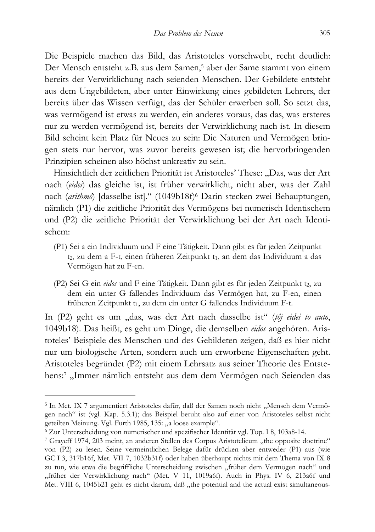Die Beispiele machen das Bild, das Aristoteles vorschwebt, recht deutlich: Der Mensch entsteht z.B. aus dem Samen,<sup>5</sup> aber der Same stammt von einem bereits der Verwirklichung nach seienden Menschen. Der Gebildete entsteht aus dem Ungebildeten, aber unter Einwirkung eines gebildeten Lehrers, der bereits über das Wissen verfügt, das der Schüler erwerben soll. So setzt das, was vermögend ist etwas zu werden, ein anderes voraus, das das, was ersteres nur zu werden vermögend ist, bereits der Verwirklichung nach ist. In diesem Bild scheint kein Platz für Neues zu sein: Die Naturen und Vermögen bringen stets nur hervor, was zuvor bereits gewesen ist; die hervorbringenden Prinzipien scheinen also höchst unkreativ zu sein.

Hinsichtlich der zeitlichen Priorität ist Aristoteles' These: "Das, was der Art nach (*eidei*) das gleiche ist, ist früher verwirklicht, nicht aber, was der Zahl nach (*arithmô*) [dasselbe ist]." (1049b18f)<sup>6</sup> Darin stecken zwei Behauptungen, nämlich (P1) die zeitliche Priorität des Vermögens bei numerisch Identischem und (P2) die zeitliche Priorität der Verwirklichung bei der Art nach Identischem:

- (P1) Sei a ein Individuum und F eine Tätigkeit. Dann gibt es für jeden Zeitpunkt t2, zu dem a F-t, einen früheren Zeitpunkt t1, an dem das Individuum a das Vermögen hat zu F-en.
- (P2) Sei G ein *eidos* und F eine Tätigkeit. Dann gibt es für jeden Zeitpunkt t2, zu dem ein unter G fallendes Individuum das Vermögen hat, zu F-en, einen früheren Zeitpunkt t<sub>1</sub>, zu dem ein unter G fallendes Individuum F-t.

In (P2) geht es um "das, was der Art nach dasselbe ist" (*tôj eidei to auto*, 1049b18). Das heißt, es geht um Dinge, die demselben *eidos* angehören. Aristoteles' Beispiele des Menschen und des Gebildeten zeigen, daß es hier nicht nur um biologische Arten, sondern auch um erworbene Eigenschaften geht. Aristoteles begründet (P2) mit einem Lehrsatz aus seiner Theorie des Entstehens:7 "Immer nämlich entsteht aus dem dem Vermögen nach Seienden das

<sup>&</sup>lt;sup>5</sup> In Met. IX 7 argumentiert Aristoteles dafür, daß der Samen noch nicht "Mensch dem Vermögen nach" ist (vgl. Kap. 5.3.1); das Beispiel beruht also auf einer von Aristoteles selbst nicht geteilten Meinung. Vgl. Furth 1985, 135: "a loose example".

<sup>6</sup> Zur Unterscheidung von numerischer und spezifischer Identität vgl. Top. I 8, 103a8-14.

<sup>&</sup>lt;sup>7</sup> Grayeff 1974, 203 meint, an anderen Stellen des Corpus Aristotelicum "the opposite doctrine" von (P2) zu lesen. Seine vermeintlichen Belege dafür drücken aber entweder (P1) aus (wie GC I 3, 317b16f, Met. VII 7, 1032b31f) oder haben überhaupt nichts mit dem Thema von IX 8 zu tun, wie etwa die begriffliche Unterscheidung zwischen "früher dem Vermögen nach" und "früher der Verwirklichung nach" (Met. V 11, 1019a6f). Auch in Phys. IV 6, 213a6f und Met. VIII 6, 1045b21 geht es nicht darum, daß "the potential and the actual exist simultaneous-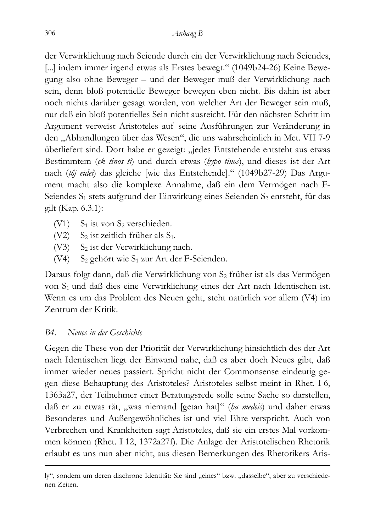der Verwirklichung nach Seiende durch ein der Verwirklichung nach Seiendes, [...] indem immer irgend etwas als Erstes bewegt." (1049b24-26) Keine Bewegung also ohne Beweger – und der Beweger muß der Verwirklichung nach sein, denn bloß potentielle Beweger bewegen eben nicht. Bis dahin ist aber noch nichts darüber gesagt worden, von welcher Art der Beweger sein muß, nur daß ein bloß potentielles Sein nicht ausreicht. Für den nächsten Schritt im Argument verweist Aristoteles auf seine Ausführungen zur Veränderung in den "Abhandlungen über das Wesen", die uns wahrscheinlich in Met. VII 7-9 überliefert sind. Dort habe er gezeigt: "jedes Entstehende entsteht aus etwas Bestimmtem (*ek tinos ti*) und durch etwas (*hypo tinos*), und dieses ist der Art nach (*tôj eidei*) das gleiche [wie das Entstehende]." (1049b27-29) Das Argument macht also die komplexe Annahme, daß ein dem Vermögen nach F-Seiendes S<sub>1</sub> stets aufgrund der Einwirkung eines Seienden S<sub>2</sub> entsteht, für das gilt (Kap. 6.3.1):

- (V1)  $S_1$  ist von  $S_2$  verschieden.
- (V2)  $S_2$  ist zeitlich früher als  $S_1$ .
- (V3) S<sub>2</sub> ist der Verwirklichung nach.
- (V4) S<sub>2</sub> gehört wie S<sub>1</sub> zur Art der F-Seienden.

Daraus folgt dann, daß die Verwirklichung von S<sub>2</sub> früher ist als das Vermögen von S<sub>1</sub> und daß dies eine Verwirklichung eines der Art nach Identischen ist. Wenn es um das Problem des Neuen geht, steht natürlich vor allem (V4) im Zentrum der Kritik.

## *B4. Neues in der Geschichte*

 $\overline{a}$ 

Gegen die These von der Priorität der Verwirklichung hinsichtlich des der Art nach Identischen liegt der Einwand nahe, daß es aber doch Neues gibt, daß immer wieder neues passiert. Spricht nicht der Commonsense eindeutig gegen diese Behauptung des Aristoteles? Aristoteles selbst meint in Rhet. I 6, 1363a27, der Teilnehmer einer Beratungsrede solle seine Sache so darstellen, daß er zu etwas rät, "was niemand [getan hat]" (*ha medeis*) und daher etwas Besonderes und Außergewöhnliches ist und viel Ehre verspricht. Auch von Verbrechen und Krankheiten sagt Aristoteles, daß sie ein erstes Mal vorkommen können (Rhet. I 12, 1372a27f). Die Anlage der Aristotelischen Rhetorik erlaubt es uns nun aber nicht, aus diesen Bemerkungen des Rhetorikers Aris-

ly", sondern um deren diachrone Identität: Sie sind "eines" bzw. "dasselbe", aber zu verschiedenen Zeiten.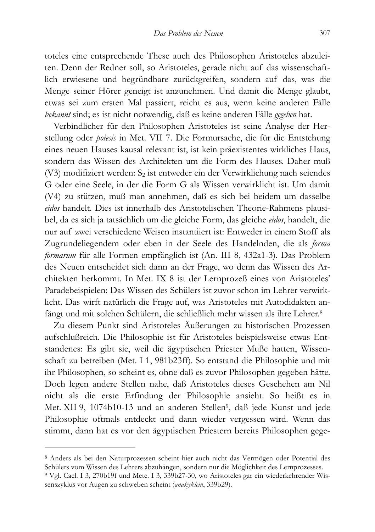toteles eine entsprechende These auch des Philosophen Aristoteles abzuleiten. Denn der Redner soll, so Aristoteles, gerade nicht auf das wissenschaftlich erwiesene und begründbare zurückgreifen, sondern auf das, was die Menge seiner Hörer geneigt ist anzunehmen. Und damit die Menge glaubt, etwas sei zum ersten Mal passiert, reicht es aus, wenn keine anderen Fälle *bekannt* sind; es ist nicht notwendig, daß es keine anderen Fälle *gegeben* hat.

Verbindlicher für den Philosophen Aristoteles ist seine Analyse der Herstellung oder *poiesis* in Met. VII 7. Die Formursache, die für die Entstehung eines neuen Hauses kausal relevant ist, ist kein präexistentes wirkliches Haus, sondern das Wissen des Architekten um die Form des Hauses. Daher muß (V3) modifiziert werden: S<sub>2</sub> ist entweder ein der Verwirklichung nach seiendes G oder eine Seele, in der die Form G als Wissen verwirklicht ist. Um damit (V4) zu stützen, muß man annehmen, daß es sich bei beidem um dasselbe *eidos* handelt. Dies ist innerhalb des Aristotelischen Theorie-Rahmens plausibel, da es sich ja tatsächlich um die gleiche Form, das gleiche *eidos*, handelt, die nur auf zwei verschiedene Weisen instantiiert ist: Entweder in einem Stoff als Zugrundeliegendem oder eben in der Seele des Handelnden, die als *forma formarum* für alle Formen empfänglich ist (An. III 8, 432a1-3). Das Problem des Neuen entscheidet sich dann an der Frage, wo denn das Wissen des Architekten herkommt. In Met. IX 8 ist der Lernprozeß eines von Aristoteles' Paradebeispielen: Das Wissen des Schülers ist zuvor schon im Lehrer verwirklicht. Das wirft natürlich die Frage auf, was Aristoteles mit Autodidakten anfängt und mit solchen Schülern, die schließlich mehr wissen als ihre Lehrer.<sup>8</sup>

Zu diesem Punkt sind Aristoteles Äußerungen zu historischen Prozessen aufschlußreich. Die Philosophie ist für Aristoteles beispielsweise etwas Entstandenes: Es gibt sie, weil die ägyptischen Priester Muße hatten, Wissenschaft zu betreiben (Met. I 1, 981b23ff). So entstand die Philosophie und mit ihr Philosophen, so scheint es, ohne daß es zuvor Philosophen gegeben hätte. Doch legen andere Stellen nahe, daß Aristoteles dieses Geschehen am Nil nicht als die erste Erfindung der Philosophie ansieht. So heißt es in Met. XII 9, 1074b10-13 und an anderen Stellen<sup>9</sup>, daß jede Kunst und jede Philosophie oftmals entdeckt und dann wieder vergessen wird. Wenn das stimmt, dann hat es vor den ägyptischen Priestern bereits Philosophen gege-

-

<sup>8</sup> Anders als bei den Naturprozessen scheint hier auch nicht das Vermögen oder Potential des Schülers vom Wissen des Lehrers abzuhängen, sondern nur die Möglichkeit des Lernprozesses.

<sup>9</sup> Vgl. Cael. I 3, 270b19f und Mete. I 3, 339b27-30, wo Aristoteles gar ein wiederkehrender Wissenszyklus vor Augen zu schweben scheint (*anakyklein*, 339b29).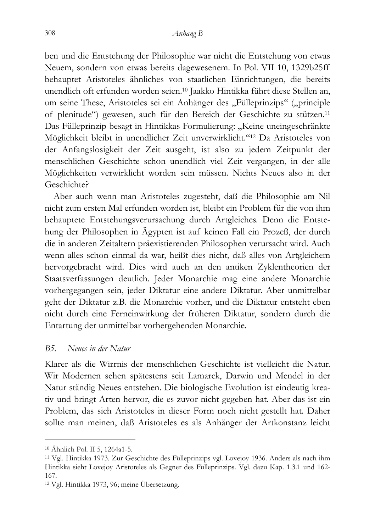ben und die Entstehung der Philosophie war nicht die Entstehung von etwas Neuem, sondern von etwas bereits dagewesenem. In Pol. VII 10, 1329b25ff behauptet Aristoteles ähnliches von staatlichen Einrichtungen, die bereits unendlich oft erfunden worden seien.10 Jaakko Hintikka führt diese Stellen an, um seine These, Aristoteles sei ein Anhänger des "Fülleprinzips" ("principle of plenitude") gewesen, auch für den Bereich der Geschichte zu stützen.<sup>11</sup> Das Fülleprinzip besagt in Hintikkas Formulierung: "Keine uneingeschränkte Möglichkeit bleibt in unendlicher Zeit unverwirklicht."12 Da Aristoteles von der Anfangslosigkeit der Zeit ausgeht, ist also zu jedem Zeitpunkt der menschlichen Geschichte schon unendlich viel Zeit vergangen, in der alle Möglichkeiten verwirklicht worden sein müssen. Nichts Neues also in der Geschichte?

Aber auch wenn man Aristoteles zugesteht, daß die Philosophie am Nil nicht zum ersten Mal erfunden worden ist, bleibt ein Problem für die von ihm behauptete Entstehungsverursachung durch Artgleiches. Denn die Entstehung der Philosophen in Ägypten ist auf keinen Fall ein Prozeß, der durch die in anderen Zeitaltern präexistierenden Philosophen verursacht wird. Auch wenn alles schon einmal da war, heißt dies nicht, daß alles von Artgleichem hervorgebracht wird. Dies wird auch an den antiken Zyklentheorien der Staatsverfassungen deutlich. Jeder Monarchie mag eine andere Monarchie vorhergegangen sein, jeder Diktatur eine andere Diktatur. Aber unmittelbar geht der Diktatur z.B. die Monarchie vorher, und die Diktatur entsteht eben nicht durch eine Ferneinwirkung der früheren Diktatur, sondern durch die Entartung der unmittelbar vorhergehenden Monarchie.

#### *B5. Neues in der Natur*

Klarer als die Wirrnis der menschlichen Geschichte ist vielleicht die Natur. Wir Modernen sehen spätestens seit Lamarck, Darwin und Mendel in der Natur ständig Neues entstehen. Die biologische Evolution ist eindeutig kreativ und bringt Arten hervor, die es zuvor nicht gegeben hat. Aber das ist ein Problem, das sich Aristoteles in dieser Form noch nicht gestellt hat. Daher sollte man meinen, daß Aristoteles es als Anhänger der Artkonstanz leicht

<sup>10</sup> Ähnlich Pol. II 5, 1264a1-5.

<sup>11</sup> Vgl. Hintikka 1973. Zur Geschichte des Fülleprinzips vgl. Lovejoy 1936. Anders als nach ihm Hintikka sieht Lovejoy Aristoteles als Gegner des Fülleprinzips. Vgl. dazu Kap. 1.3.1 und 162- 167.

<sup>12</sup> Vgl. Hintikka 1973, 96; meine Übersetzung.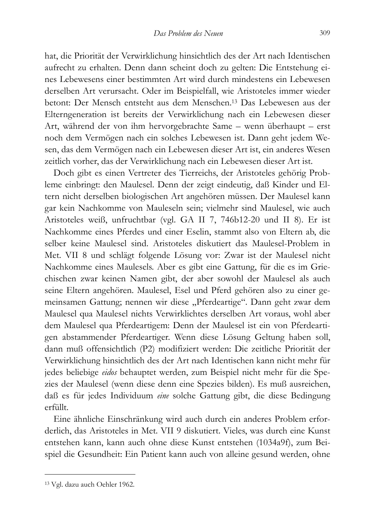hat, die Priorität der Verwirklichung hinsichtlich des der Art nach Identischen aufrecht zu erhalten. Denn dann scheint doch zu gelten: Die Entstehung eines Lebewesens einer bestimmten Art wird durch mindestens ein Lebewesen derselben Art verursacht. Oder im Beispielfall, wie Aristoteles immer wieder betont: Der Mensch entsteht aus dem Menschen.13 Das Lebewesen aus der Elterngeneration ist bereits der Verwirklichung nach ein Lebewesen dieser Art, während der von ihm hervorgebrachte Same – wenn überhaupt – erst noch dem Vermögen nach ein solches Lebewesen ist. Dann geht jedem Wesen, das dem Vermögen nach ein Lebewesen dieser Art ist, ein anderes Wesen zeitlich vorher, das der Verwirklichung nach ein Lebewesen dieser Art ist.

Doch gibt es einen Vertreter des Tierreichs, der Aristoteles gehörig Probleme einbringt: den Maulesel. Denn der zeigt eindeutig, daß Kinder und Eltern nicht derselben biologischen Art angehören müssen. Der Maulesel kann gar kein Nachkomme von Mauleseln sein; vielmehr sind Maulesel, wie auch Aristoteles weiß, unfruchtbar (vgl. GA II 7, 746b12-20 und II 8). Er ist Nachkomme eines Pferdes und einer Eselin, stammt also von Eltern ab, die selber keine Maulesel sind. Aristoteles diskutiert das Maulesel-Problem in Met. VII 8 und schlägt folgende Lösung vor: Zwar ist der Maulesel nicht Nachkomme eines Maulesels. Aber es gibt eine Gattung, für die es im Griechischen zwar keinen Namen gibt, der aber sowohl der Maulesel als auch seine Eltern angehören. Maulesel, Esel und Pferd gehören also zu einer gemeinsamen Gattung; nennen wir diese "Pferdeartige". Dann geht zwar dem Maulesel qua Maulesel nichts Verwirklichtes derselben Art voraus, wohl aber dem Maulesel qua Pferdeartigem: Denn der Maulesel ist ein von Pferdeartigen abstammender Pferdeartiger. Wenn diese Lösung Geltung haben soll, dann muß offensichtlich (P2) modifiziert werden: Die zeitliche Priorität der Verwirklichung hinsichtlich des der Art nach Identischen kann nicht mehr für jedes beliebige *eidos* behauptet werden, zum Beispiel nicht mehr für die Spezies der Maulesel (wenn diese denn eine Spezies bilden). Es muß ausreichen, daß es für jedes Individuum *eine* solche Gattung gibt, die diese Bedingung erfüllt.

Eine ähnliche Einschränkung wird auch durch ein anderes Problem erforderlich, das Aristoteles in Met. VII 9 diskutiert. Vieles, was durch eine Kunst entstehen kann, kann auch ohne diese Kunst entstehen (1034a9f), zum Beispiel die Gesundheit: Ein Patient kann auch von alleine gesund werden, ohne

<sup>13</sup> Vgl. dazu auch Oehler 1962.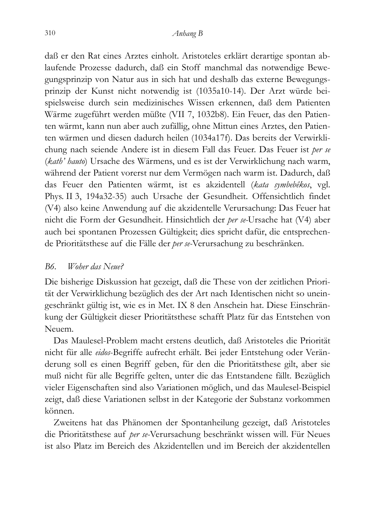daß er den Rat eines Arztes einholt. Aristoteles erklärt derartige spontan ablaufende Prozesse dadurch, daß ein Stoff manchmal das notwendige Bewegungsprinzip von Natur aus in sich hat und deshalb das externe Bewegungsprinzip der Kunst nicht notwendig ist (1035a10-14). Der Arzt würde beispielsweise durch sein medizinisches Wissen erkennen, daß dem Patienten Wärme zugeführt werden müßte (VII 7, 1032b8). Ein Feuer, das den Patienten wärmt, kann nun aber auch zufällig, ohne Mittun eines Arztes, den Patienten wärmen und diesen dadurch heilen (1034a17f). Das bereits der Verwirklichung nach seiende Andere ist in diesem Fall das Feuer. Das Feuer ist *per se* (*kath' hauto*) Ursache des Wärmens, und es ist der Verwirklichung nach warm, während der Patient vorerst nur dem Vermögen nach warm ist. Dadurch, daß das Feuer den Patienten wärmt, ist es akzidentell (*kata symbebêkos*, vgl. Phys. II 3, 194a32-35) auch Ursache der Gesundheit. Offensichtlich findet (V4) also keine Anwendung auf die akzidentelle Verursachung: Das Feuer hat nicht die Form der Gesundheit. Hinsichtlich der *per se-*Ursache hat (V4) aber auch bei spontanen Prozessen Gültigkeit; dies spricht dafür, die entsprechende Prioritätsthese auf die Fälle der *per se-*Verursachung zu beschränken.

#### *B6. Woher das Neue?*

Die bisherige Diskussion hat gezeigt, daß die These von der zeitlichen Priorität der Verwirklichung bezüglich des der Art nach Identischen nicht so uneingeschränkt gültig ist, wie es in Met. IX 8 den Anschein hat. Diese Einschränkung der Gültigkeit dieser Prioritätsthese schafft Platz für das Entstehen von Neuem.

Das Maulesel-Problem macht erstens deutlich, daß Aristoteles die Priorität nicht für alle *eidos*-Begriffe aufrecht erhält. Bei jeder Entstehung oder Veränderung soll es einen Begriff geben, für den die Prioritätsthese gilt, aber sie muß nicht für alle Begriffe gelten, unter die das Entstandene fällt. Bezüglich vieler Eigenschaften sind also Variationen möglich, und das Maulesel-Beispiel zeigt, daß diese Variationen selbst in der Kategorie der Substanz vorkommen können.

Zweitens hat das Phänomen der Spontanheilung gezeigt, daß Aristoteles die Prioritätsthese auf *per se-*Verursachung beschränkt wissen will. Für Neues ist also Platz im Bereich des Akzidentellen und im Bereich der akzidentellen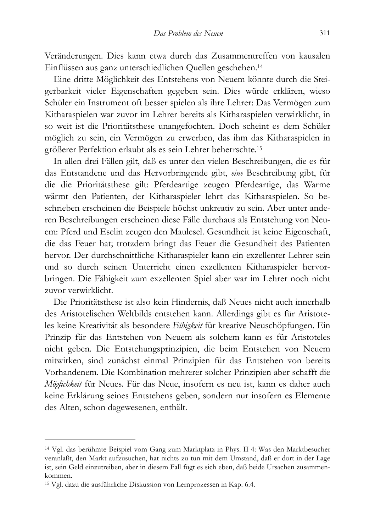Veränderungen. Dies kann etwa durch das Zusammentreffen von kausalen Einflüssen aus ganz unterschiedlichen Quellen geschehen.<sup>14</sup>

Eine dritte Möglichkeit des Entstehens von Neuem könnte durch die Steigerbarkeit vieler Eigenschaften gegeben sein. Dies würde erklären, wieso Schüler ein Instrument oft besser spielen als ihre Lehrer: Das Vermögen zum Kitharaspielen war zuvor im Lehrer bereits als Kitharaspielen verwirklicht, in so weit ist die Prioritätsthese unangefochten. Doch scheint es dem Schüler möglich zu sein, ein Vermögen zu erwerben, das ihm das Kitharaspielen in größerer Perfektion erlaubt als es sein Lehrer beherrschte.<sup>15</sup>

In allen drei Fällen gilt, daß es unter den vielen Beschreibungen, die es für das Entstandene und das Hervorbringende gibt, *eine* Beschreibung gibt, für die die Prioritätsthese gilt: Pferdeartige zeugen Pferdeartige, das Warme wärmt den Patienten, der Kitharaspieler lehrt das Kitharaspielen. So beschrieben erscheinen die Beispiele höchst unkreativ zu sein. Aber unter anderen Beschreibungen erscheinen diese Fälle durchaus als Entstehung von Neuem: Pferd und Eselin zeugen den Maulesel. Gesundheit ist keine Eigenschaft, die das Feuer hat; trotzdem bringt das Feuer die Gesundheit des Patienten hervor. Der durchschnittliche Kitharaspieler kann ein exzellenter Lehrer sein und so durch seinen Unterricht einen exzellenten Kitharaspieler hervorbringen. Die Fähigkeit zum exzellenten Spiel aber war im Lehrer noch nicht zuvor verwirklicht.

Die Prioritätsthese ist also kein Hindernis, daß Neues nicht auch innerhalb des Aristotelischen Weltbilds entstehen kann. Allerdings gibt es für Aristoteles keine Kreativität als besondere *Fähigkeit* für kreative Neuschöpfungen. Ein Prinzip für das Entstehen von Neuem als solchem kann es für Aristoteles nicht geben. Die Entstehungsprinzipien, die beim Entstehen von Neuem mitwirken, sind zunächst einmal Prinzipien für das Entstehen von bereits Vorhandenem. Die Kombination mehrerer solcher Prinzipien aber schafft die *Möglichkeit* für Neues. Für das Neue, insofern es neu ist, kann es daher auch keine Erklärung seines Entstehens geben, sondern nur insofern es Elemente des Alten, schon dagewesenen, enthält.

<sup>14</sup> Vgl. das berühmte Beispiel vom Gang zum Marktplatz in Phys. II 4: Was den Marktbesucher veranlaßt, den Markt aufzusuchen, hat nichts zu tun mit dem Umstand, daß er dort in der Lage ist, sein Geld einzutreiben, aber in diesem Fall fügt es sich eben, daß beide Ursachen zusammenkommen.

<sup>15</sup> Vgl. dazu die ausführliche Diskussion von Lernprozessen in Kap. 6.4.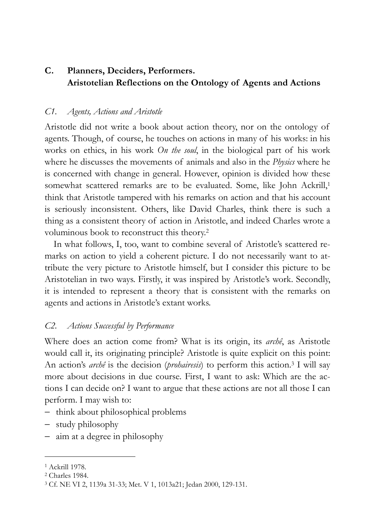## **C. Planners, Deciders, Performers. Aristotelian Reflections on the Ontology of Agents and Actions**

#### *C1. Agents, Actions and Aristotle*

Aristotle did not write a book about action theory, nor on the ontology of agents. Though, of course, he touches on actions in many of his works: in his works on ethics, in his work *On the soul*, in the biological part of his work where he discusses the movements of animals and also in the *Physics* where he is concerned with change in general. However, opinion is divided how these somewhat scattered remarks are to be evaluated. Some, like John Ackrill,<sup>1</sup> think that Aristotle tampered with his remarks on action and that his account is seriously inconsistent. Others, like David Charles, think there is such a thing as a consistent theory of action in Aristotle, and indeed Charles wrote a voluminous book to reconstruct this theory.<sup>2</sup>

In what follows, I, too, want to combine several of Aristotle's scattered remarks on action to yield a coherent picture. I do not necessarily want to attribute the very picture to Aristotle himself, but I consider this picture to be Aristotelian in two ways. Firstly, it was inspired by Aristotle's work. Secondly, it is intended to represent a theory that is consistent with the remarks on agents and actions in Aristotle's extant works.

## *C2. Actions Successful by Performance*

Where does an action come from? What is its origin, its *archê*, as Aristotle would call it, its originating principle? Aristotle is quite explicit on this point: An action's *archê* is the decision (*prohairesis*) to perform this action.<sup>3</sup> I will say more about decisions in due course. First, I want to ask: Which are the actions I can decide on? I want to argue that these actions are not all those I can perform. I may wish to:

- − think about philosophical problems
- − study philosophy
- − aim at a degree in philosophy

<sup>1</sup> Ackrill 1978.

<sup>2</sup> Charles 1984.

<sup>3</sup> Cf. NE VI 2, 1139a 31-33; Met. V 1, 1013a21; Jedan 2000, 129-131.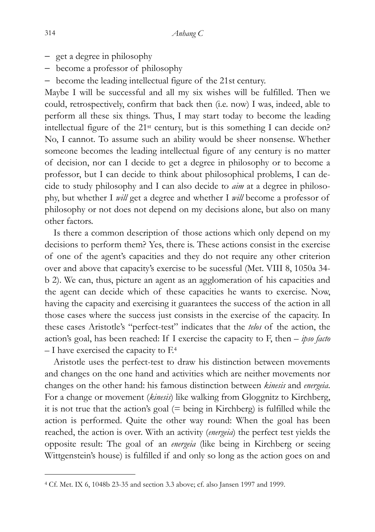- − get a degree in philosophy
- − become a professor of philosophy
- − become the leading intellectual figure of the 21st century.

Maybe I will be successful and all my six wishes will be fulfilled. Then we could, retrospectively, confirm that back then (i.e. now) I was, indeed, able to perform all these six things. Thus, I may start today to become the leading intellectual figure of the 21st century, but is this something I can decide on? No, I cannot. To assume such an ability would be sheer nonsense. Whether someone becomes the leading intellectual figure of any century is no matter of decision, nor can I decide to get a degree in philosophy or to become a professor, but I can decide to think about philosophical problems, I can decide to study philosophy and I can also decide to *aim* at a degree in philosophy, but whether I *will* get a degree and whether I *will* become a professor of philosophy or not does not depend on my decisions alone, but also on many other factors.

Is there a common description of those actions which only depend on my decisions to perform them? Yes, there is. These actions consist in the exercise of one of the agent's capacities and they do not require any other criterion over and above that capacity's exercise to be sucessful (Met. VIII 8, 1050a 34 b 2). We can, thus, picture an agent as an agglomeration of his capacities and the agent can decide which of these capacities he wants to exercise. Now, having the capacity and exercising it guarantees the success of the action in all those cases where the success just consists in the exercise of the capacity. In these cases Aristotle's "perfect-test" indicates that the *telos* of the action, the action's goal, has been reached: If I exercise the capacity to F, then – *ipso facto*  $-$  I have exercised the capacity to  $F^4$ .

Aristotle uses the perfect-test to draw his distinction between movements and changes on the one hand and activities which are neither movements nor changes on the other hand: his famous distinction between *kinesis* and *energeia*. For a change or movement (*kinesis*) like walking from Gloggnitz to Kirchberg, it is not true that the action's goal (= being in Kirchberg) is fulfilled while the action is performed. Quite the other way round: When the goal has been reached, the action is over. With an activity (*energeia*) the perfect test yields the opposite result: The goal of an *energeia* (like being in Kirchberg or seeing Wittgenstein's house) is fulfilled if and only so long as the action goes on and

<sup>4</sup> Cf. Met. IX 6, 1048b 23-35 and section 3.3 above; cf. also Jansen 1997 and 1999.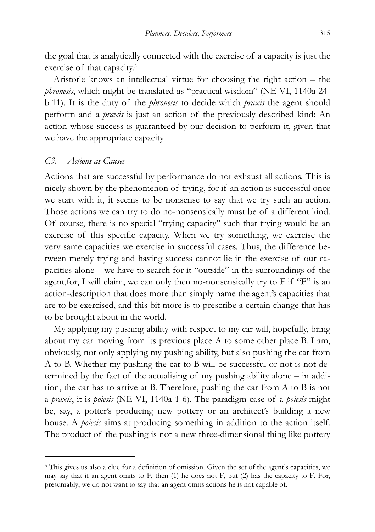the goal that is analytically connected with the exercise of a capacity is just the exercise of that capacity.<sup>5</sup>

Aristotle knows an intellectual virtue for choosing the right action – the *phronesis*, which might be translated as "practical wisdom" (NE VI, 1140a 24 b 11). It is the duty of the *phronesis* to decide which *praxis* the agent should perform and a *praxis* is just an action of the previously described kind: An action whose success is guaranteed by our decision to perform it, given that we have the appropriate capacity.

#### *C3. Actions as Causes*

Actions that are successful by performance do not exhaust all actions. This is nicely shown by the phenomenon of trying, for if an action is successful once we start with it, it seems to be nonsense to say that we try such an action. Those actions we can try to do no-nonsensically must be of a different kind. Of course, there is no special "trying capacity" such that trying would be an exercise of this specific capacity. When we try something, we exercise the very same capacities we exercise in successful cases. Thus, the difference between merely trying and having success cannot lie in the exercise of our capacities alone – we have to search for it "outside" in the surroundings of the agent,for, I will claim, we can only then no-nonsensically try to F if "F" is an action-description that does more than simply name the agent's capacities that are to be exercised, and this bit more is to prescribe a certain change that has to be brought about in the world.

My applying my pushing ability with respect to my car will, hopefully, bring about my car moving from its previous place A to some other place B. I am, obviously, not only applying my pushing ability, but also pushing the car from A to B. Whether my pushing the car to B will be successful or not is not determined by the fact of the actualising of my pushing ability alone – in addition, the car has to arrive at B. Therefore, pushing the car from A to B is not a *praxis*, it is *poiesis* (NE VI, 1140a 1-6)*.* The paradigm case of a *poiesis* might be, say, a potter's producing new pottery or an architect's building a new house. A *poiesis* aims at producing something in addition to the action itself. The product of the pushing is not a new three-dimensional thing like pottery

<sup>5</sup> This gives us also a clue for a definition of omission. Given the set of the agent's capacities, we may say that if an agent omits to  $F$ , then  $(1)$  he does not  $F$ , but  $(2)$  has the capacity to  $F$ . For, presumably, we do not want to say that an agent omits actions he is not capable of.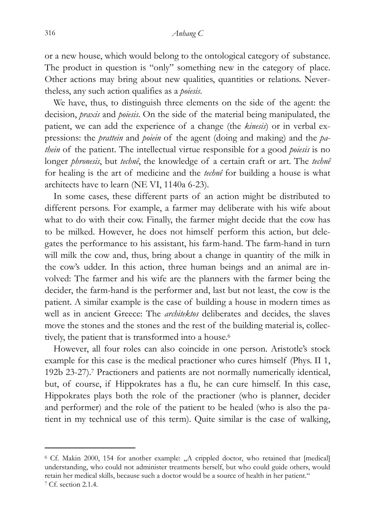or a new house, which would belong to the ontological category of substance. The product in question is "only" something new in the category of place. Other actions may bring about new qualities, quantities or relations. Nevertheless, any such action qualifies as a *poiesis*.

We have, thus, to distinguish three elements on the side of the agent: the decision, *praxis* and *poiesis*. On the side of the material being manipulated, the patient, we can add the experience of a change (the *kinesis*) or in verbal expressions: the *prattein* and *poiein* of the agent (doing and making) and the *pathein* of the patient. The intellectual virtue responsible for a good *poiesis* is no longer *phronesis*, but *technê*, the knowledge of a certain craft or art. The *technê*  for healing is the art of medicine and the *technê* for building a house is what architects have to learn (NE VI, 1140a 6-23).

In some cases, these different parts of an action might be distributed to different persons. For example, a farmer may deliberate with his wife about what to do with their cow. Finally, the farmer might decide that the cow has to be milked. However, he does not himself perform this action, but delegates the performance to his assistant, his farm-hand. The farm-hand in turn will milk the cow and, thus, bring about a change in quantity of the milk in the cow's udder. In this action, three human beings and an animal are involved: The farmer and his wife are the planners with the farmer being the decider, the farm-hand is the performer and, last but not least, the cow is the patient. A similar example is the case of building a house in modern times as well as in ancient Greece: The *architektos* deliberates and decides, the slaves move the stones and the stones and the rest of the building material is, collectively, the patient that is transformed into a house.<sup>6</sup>

However, all four roles can also coincide in one person. Aristotle's stock example for this case is the medical practioner who cures himself (Phys. II 1, 192b 23-27).<sup>7</sup> Practioners and patients are not normally numerically identical, but, of course, if Hippokrates has a flu, he can cure himself. In this case, Hippokrates plays both the role of the practioner (who is planner, decider and performer) and the role of the patient to be healed (who is also the patient in my technical use of this term). Quite similar is the case of walking,

-

<sup>&</sup>lt;sup>6</sup> Cf. Makin 2000, 154 for another example: "A crippled doctor, who retained that [medical] understanding, who could not administer treatments herself, but who could guide others, would retain her medical skills, because such a doctor would be a source of health in her patient." 7 Cf. section 2.1.4.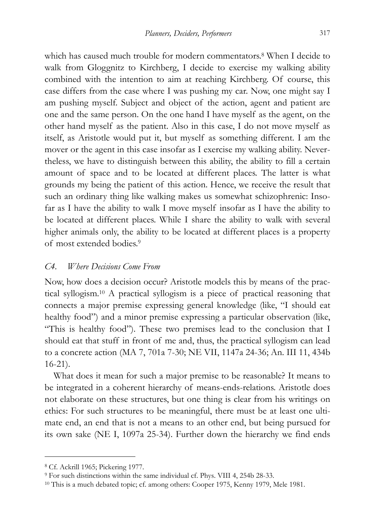which has caused much trouble for modern commentators.<sup>8</sup> When I decide to walk from Gloggnitz to Kirchberg, I decide to exercise my walking ability combined with the intention to aim at reaching Kirchberg. Of course, this case differs from the case where I was pushing my car. Now, one might say I am pushing myself. Subject and object of the action, agent and patient are one and the same person. On the one hand I have myself as the agent, on the other hand myself as the patient. Also in this case, I do not move myself as itself, as Aristotle would put it, but myself as something different. I am the mover or the agent in this case insofar as I exercise my walking ability. Nevertheless, we have to distinguish between this ability, the ability to fill a certain amount of space and to be located at different places. The latter is what grounds my being the patient of this action. Hence, we receive the result that such an ordinary thing like walking makes us somewhat schizophrenic: Insofar as I have the ability to walk I move myself insofar as I have the ability to be located at different places. While I share the ability to walk with several higher animals only, the ability to be located at different places is a property of most extended bodies.<sup>9</sup>

#### *C4. Where Decisions Come From*

Now, how does a decision occur? Aristotle models this by means of the practical syllogism.10 A practical syllogism is a piece of practical reasoning that connects a major premise expressing general knowledge (like, "I should eat healthy food") and a minor premise expressing a particular observation (like, "This is healthy food"). These two premises lead to the conclusion that I should eat that stuff in front of me and, thus, the practical syllogism can lead to a concrete action (MA 7, 701a 7-30; NE VII, 1147a 24-36; An. III 11, 434b 16-21).

What does it mean for such a major premise to be reasonable? It means to be integrated in a coherent hierarchy of means-ends-relations. Aristotle does not elaborate on these structures, but one thing is clear from his writings on ethics: For such structures to be meaningful, there must be at least one ultimate end, an end that is not a means to an other end, but being pursued for its own sake (NE I, 1097a 25-34). Further down the hierarchy we find ends

<sup>8</sup> Cf. Ackrill 1965; Pickering 1977.

<sup>9</sup> For such distinctions within the same individual cf. Phys. VIII 4, 254b 28-33.

<sup>10</sup> This is a much debated topic; cf. among others: Cooper 1975, Kenny 1979, Mele 1981.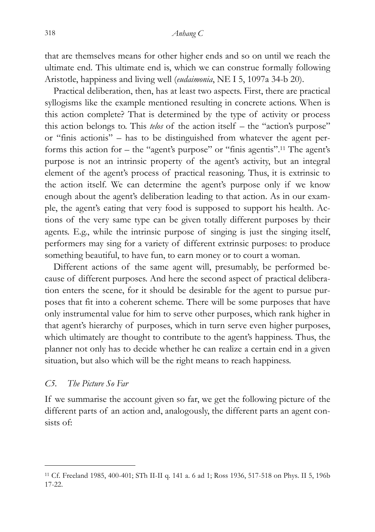that are themselves means for other higher ends and so on until we reach the ultimate end. This ultimate end is, which we can construe formally following Aristotle, happiness and living well (*eudaimonia*, NE I 5, 1097a 34-b 20).

Practical deliberation, then, has at least two aspects. First, there are practical syllogisms like the example mentioned resulting in concrete actions. When is this action complete? That is determined by the type of activity or process this action belongs to. This *telos* of the action itself – the "action's purpose" or "finis actionis" – has to be distinguished from whatever the agent performs this action for – the "agent's purpose" or "finis agentis".11 The agent's purpose is not an intrinsic property of the agent's activity, but an integral element of the agent's process of practical reasoning. Thus, it is extrinsic to the action itself. We can determine the agent's purpose only if we know enough about the agent's deliberation leading to that action. As in our example, the agent's eating that very food is supposed to support his health. Actions of the very same type can be given totally different purposes by their agents. E.g., while the intrinsic purpose of singing is just the singing itself, performers may sing for a variety of different extrinsic purposes: to produce something beautiful, to have fun, to earn money or to court a woman.

Different actions of the same agent will, presumably, be performed because of different purposes. And here the second aspect of practical deliberation enters the scene, for it should be desirable for the agent to pursue purposes that fit into a coherent scheme. There will be some purposes that have only instrumental value for him to serve other purposes, which rank higher in that agent's hierarchy of purposes, which in turn serve even higher purposes, which ultimately are thought to contribute to the agent's happiness. Thus, the planner not only has to decide whether he can realize a certain end in a given situation, but also which will be the right means to reach happiness.

#### *C5. The Picture So Far*

 $\overline{a}$ 

If we summarise the account given so far, we get the following picture of the different parts of an action and, analogously, the different parts an agent consists of:

<sup>11</sup> Cf. Freeland 1985, 400-401; STh II-II q. 141 a. 6 ad 1; Ross 1936, 517-518 on Phys. II 5, 196b 17-22.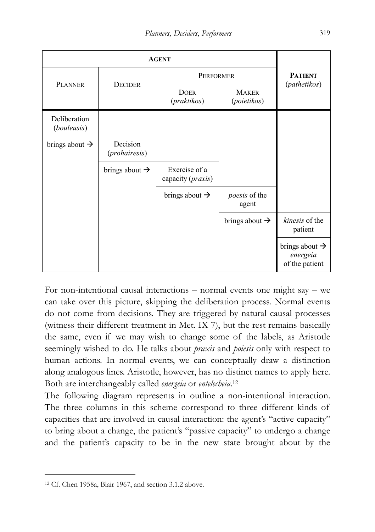| <b>AGENT</b>                       |                                    |                                             |                               |                                                          |
|------------------------------------|------------------------------------|---------------------------------------------|-------------------------------|----------------------------------------------------------|
|                                    |                                    | PERFORMER                                   |                               | <b>PATIENT</b>                                           |
| <b>PLANNER</b>                     | <b>DECIDER</b>                     | <b>DOER</b><br>( <i>praktikos</i> )         | <b>MAKER</b><br>(poietikos)   | ( <i>pathetikos</i> )                                    |
| Deliberation<br><i>(bouleusis)</i> |                                    |                                             |                               |                                                          |
| brings about $\rightarrow$         | Decision<br>( <i>prohairesis</i> ) |                                             |                               |                                                          |
|                                    | brings about $\rightarrow$         | Exercise of a<br>capacity ( <i>praxis</i> ) |                               |                                                          |
|                                    |                                    | brings about $\rightarrow$                  | <i>poesis</i> of the<br>agent |                                                          |
|                                    |                                    |                                             | brings about $\rightarrow$    | kinesis of the<br>patient                                |
|                                    |                                    |                                             |                               | brings about $\rightarrow$<br>energeia<br>of the patient |

For non-intentional causal interactions – normal events one might say – we can take over this picture, skipping the deliberation process. Normal events do not come from decisions. They are triggered by natural causal processes (witness their different treatment in Met. IX 7), but the rest remains basically the same, even if we may wish to change some of the labels, as Aristotle seemingly wished to do. He talks about *praxis* and *poiesis* only with respect to human actions. In normal events, we can conceptually draw a distinction along analogous lines. Aristotle, however, has no distinct names to apply here. Both are interchangeably called *energeia* or *entelecheia*. 12

The following diagram represents in outline a non-intentional interaction. The three columns in this scheme correspond to three different kinds of capacities that are involved in causal interaction: the agent's "active capacity" to bring about a change, the patient's "passive capacity" to undergo a change and the patient's capacity to be in the new state brought about by the

<sup>12</sup> Cf. Chen 1958a, Blair 1967, and section 3.1.2 above.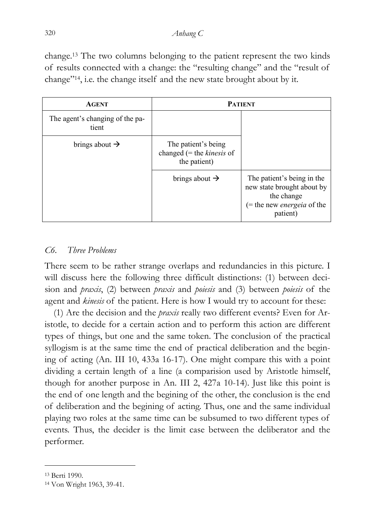change.13 The two columns belonging to the patient represent the two kinds of results connected with a change: the "resulting change" and the "result of change"14, i.e. the change itself and the new state brought about by it.

| <b>AGENT</b>                             | <b>PATIENT</b>                                                          |                                                                                                                            |
|------------------------------------------|-------------------------------------------------------------------------|----------------------------------------------------------------------------------------------------------------------------|
| The agent's changing of the pa-<br>tient |                                                                         |                                                                                                                            |
| brings about $\rightarrow$               | The patient's being<br>changed (= the <i>kinesis</i> of<br>the patient) |                                                                                                                            |
|                                          | brings about $\rightarrow$                                              | The patient's being in the<br>new state brought about by<br>the change<br>$($ = the new <i>energeia</i> of the<br>patient) |

#### *C6. Three Problems*

There seem to be rather strange overlaps and redundancies in this picture. I will discuss here the following three difficult distinctions: (1) between decision and *praxis*, (2) between *praxis* and *poiesis* and (3) between *poiesis* of the agent and *kinesis* of the patient. Here is how I would try to account for these:

(1) Are the decision and the *praxis* really two different events? Even for Aristotle, to decide for a certain action and to perform this action are different types of things, but one and the same token. The conclusion of the practical syllogism is at the same time the end of practical deliberation and the begining of acting (An. III 10, 433a 16-17). One might compare this with a point dividing a certain length of a line (a comparision used by Aristotle himself, though for another purpose in An. III 2, 427a 10-14). Just like this point is the end of one length and the begining of the other, the conclusion is the end of deliberation and the begining of acting. Thus, one and the same individual playing two roles at the same time can be subsumed to two different types of events. Thus, the decider is the limit case between the deliberator and the performer.

<sup>13</sup> Berti 1990.

<sup>14</sup> Von Wright 1963, 39-41.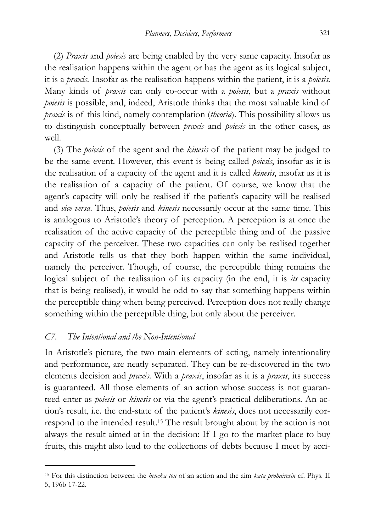(2) *Praxis* and *poiesis* are being enabled by the very same capacity. Insofar as the realisation happens within the agent or has the agent as its logical subject, it is a *praxis*. Insofar as the realisation happens within the patient, it is a *poiesis*. Many kinds of *praxis* can only co-occur with a *poiesis*, but a *praxis* without *poiesis* is possible, and, indeed, Aristotle thinks that the most valuable kind of *praxis* is of this kind, namely contemplation (*theoria*). This possibility allows us to distinguish conceptually between *praxis* and *poiesis* in the other cases, as well.

(3) The *poiesis* of the agent and the *kinesis* of the patient may be judged to be the same event. However, this event is being called *poiesis*, insofar as it is the realisation of a capacity of the agent and it is called *kinesis*, insofar as it is the realisation of a capacity of the patient. Of course, we know that the agent's capacity will only be realised if the patient's capacity will be realised and *vice versa*. Thus, *poiesis* and *kinesis* necessarily occur at the same time. This is analogous to Aristotle's theory of perception. A perception is at once the realisation of the active capacity of the perceptible thing and of the passive capacity of the perceiver. These two capacities can only be realised together and Aristotle tells us that they both happen within the same individual, namely the perceiver. Though, of course, the perceptible thing remains the logical subject of the realisation of its capacity (in the end, it is *its* capacity that is being realised), it would be odd to say that something happens within the perceptible thing when being perceived. Perception does not really change something within the perceptible thing, but only about the perceiver.

#### *C7. The Intentional and the Non-Intentional*

 $\overline{a}$ 

In Aristotle's picture, the two main elements of acting, namely intentionality and performance, are neatly separated. They can be re-discovered in the two elements decision and *praxis*. With a *praxis*, insofar as it is a *praxis*, its success is guaranteed. All those elements of an action whose success is not guaranteed enter as *poiesis* or *kinesis* or via the agent's practical deliberations. An action's result, i.e. the end-state of the patient's *kinesis*, does not necessarily correspond to the intended result.15 The result brought about by the action is not always the result aimed at in the decision: If I go to the market place to buy fruits, this might also lead to the collections of debts because I meet by acci-

<sup>15</sup> For this distinction between the *heneka tou* of an action and the aim *kata prohairesin* cf. Phys. II 5, 196b 17-22.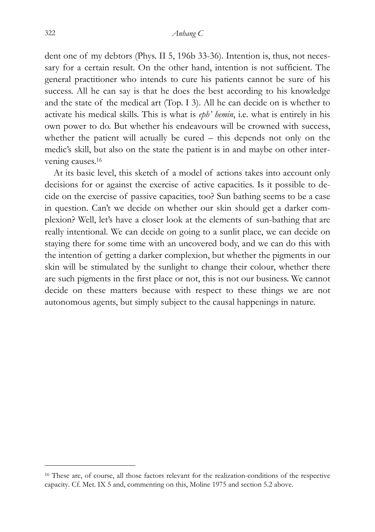dent one of my debtors (Phys. II 5, 196b 33-36). Intention is, thus, not necessary for a certain result. On the other hand, intention is not sufficient. The general practitioner who intends to cure his patients cannot be sure of his success. All he can say is that he does the best according to his knowledge and the state of the medical art (Top. I 3). All he can decide on is whether to activate his medical skills. This is what is *eph' hemin*, i.e*.* what is entirely in his own power to do. But whether his endeavours will be crowned with success, whether the patient will actually be cured – this depends not only on the medic's skill, but also on the state the patient is in and maybe on other intervening causes.<sup>16</sup>

At its basic level, this sketch of a model of actions takes into account only decisions for or against the exercise of active capacities. Is it possible to decide on the exercise of passive capacities, too? Sun bathing seems to be a case in question. Can't we decide on whether our skin should get a darker complexion? Well, let's have a closer look at the elements of sun-bathing that are really intentional. We can decide on going to a sunlit place, we can decide on staying there for some time with an uncovered body, and we can do this with the intention of getting a darker complexion, but whether the pigments in our skin will be stimulated by the sunlight to change their colour, whether there are such pigments in the first place or not, this is not our business. We cannot decide on these matters because with respect to these things we are not autonomous agents, but simply subject to the causal happenings in nature.

<sup>&</sup>lt;sup>16</sup> These are, of course, all those factors relevant for the realization-conditions of the respective capacity. Cf. Met. IX 5 and, commenting on this, Moline 1975 and section 5.2 above.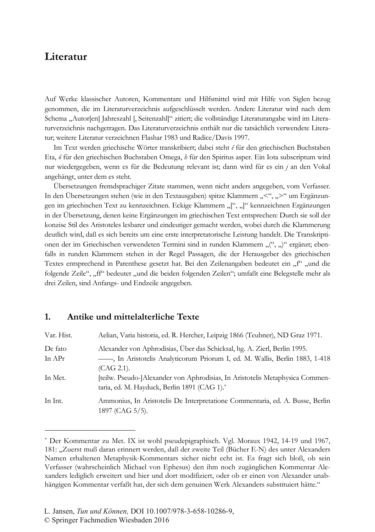## **Literatur**

Auf Werke klassischer Autoren, Kommentare und Hilfsmittel wird mit Hilfe von Siglen bezug genommen, die im Literaturverzeichnis aufgeschlüsselt werden. Andere Literatur wird nach dem Schema "Autor[en] Jahreszahl [, Seitenzahl]" zitiert; die vollständige Literaturangabe wird im Literaturverzeichnis nachgetragen. Das Literaturverzeichnis enthält nur die tatsächlich verwendete Literatur; weitere Literatur verzeichnen Flashar 1983 und Radice/Davis 1997.

Im Text werden griechische Wörter transkribiert; dabei steht *ê* für den griechischen Buchstaben Eta, *ô* für den griechischen Buchstaben Omega, *h* für den Spiritus asper. Ein Iota subscriptum wird nur wiedergegeben, wenn es für die Bedeutung relevant ist; dann wird für es ein *j* an den Vokal angehängt, unter dem es steht.

Übersetzungen fremdsprachiger Zitate stammen, wenn nicht anders angegeben, vom Verfasser. In den Übersetzungen stehen (wie in den Textausgaben) spitze Klammern "<", ">" um Ergänzungen im griechischen Text zu kennzeichnen. Eckige Klammern "[", "]" kennzeichnen Ergänzungen in der Übersetzung, denen keine Ergänzungen im griechischen Text entsprechen: Durch sie soll der konzise Stil des Aristoteles lesbarer und eindeutiger gemacht werden, wobei durch die Klammerung deutlich wird, daß es sich bereits um eine erste interpretatorische Leistung handelt. Die Transkriptionen der im Griechischen verwendeten Termini sind in runden Klammern "(", ")" ergänzt; ebenfalls in runden Klammern stehen in der Regel Passagen, die der Herausgeber des griechischen Textes entsprechend in Parenthese gesetzt hat. Bei den Zeilenangaben bedeutet ein "f" "und die folgende Zeile", "ff" bedeutet "und die beiden folgenden Zeilen"; umfaßt eine Belegstelle mehr als drei Zeilen, sind Anfangs- und Endzeile angegeben.

#### **1. Antike und mittelalterliche Texte**

| Var. Hist. | Aelian, Varia historia, ed. R. Hercher, Leipzig 1866 (Teubner), ND Graz 1971.                                                 |
|------------|-------------------------------------------------------------------------------------------------------------------------------|
| De fato    | Alexander von Aphrodisias, Über das Schicksal, hg. A. Zierl, Berlin 1995.                                                     |
| In APr     | In Aristotelis Analyticorum Priorum I, ed. M. Wallis, Berlin 1883, 1-418                                                      |
|            | $(CAG 2.1)$ .                                                                                                                 |
| In Met.    | [teilw. Pseudo-]Alexander von Aphrodisias, In Aristotelis Metaphysica Commen-<br>taria, ed. M. Hayduck, Berlin 1891 (CAG 1).* |
| In Int.    | Ammonius, In Aristotelis De Interpretatione Commentaria, ed. A. Busse, Berlin<br>1897 (CAG 5/5).                              |

<sup>\*</sup> Der Kommentar zu Met. IX ist wohl pseudepigraphisch. Vgl. Moraux 1942, 14-19 und 1967, 181: "Zuerst muß daran erinnert werden, daß der zweite Teil (Bücher E-N) des unter Alexanders Namen erhaltenen Metaphysik-Kommentars sicher nicht echt ist. Es fragt sich bloß, ob sein Verfasser (wahrscheinlich Michael von Ephesus) den ihm noch zugänglichen Kommentar Alexanders lediglich erweitert und hier und dort modifiziert, oder ob er einen von Alexander unabhängigen Kommentar verfaßt hat, der sich dem genuinen Werk Alexanders substituiert hätte."

L. Jansen, *Tun und Können,* DOI 10.1007/978-3-658-10286-9,

<sup>©</sup> Springer Fachmedien Wiesbaden 2016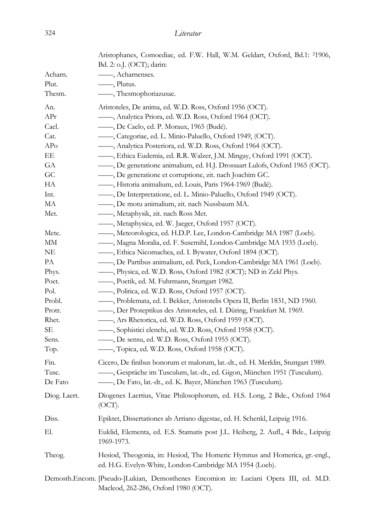| 324 | Literatur |
|-----|-----------|
|     |           |

|              | Aristophanes, Comoediae, ed. F.W. Hall, W.M. Geldart, Oxford, Bd.1: <sup>2</sup> 1906,<br>Bd. 2: o.J. (OCT); darin:                   |
|--------------|---------------------------------------------------------------------------------------------------------------------------------------|
| Acharn.      | —, Achamenses.                                                                                                                        |
| Plut.        | —, Plutus.                                                                                                                            |
| Thesm.       | —, Thesmophoriazusae.                                                                                                                 |
| An.          | Aristoteles, De anima, ed. W.D. Ross, Oxford 1956 (OCT).                                                                              |
| APr          | -, Analytica Priora, ed. W.D. Ross, Oxford 1964 (OCT).                                                                                |
| Cael.        | ——, De Caelo, ed. P. Moraux, 1965 (Budé).                                                                                             |
| Cat.         | –, Categoriae, ed. L. Minio-Paluello, Oxford 1949, (OCT).                                                                             |
| APo          | ——, Analytica Posteriora, ed. W.D. Ross, Oxford 1964 (OCT).                                                                           |
| EЕ           | –, Ethica Eudemia, ed. R.R. Walzer, J.M. Mingay, Oxford 1991 (OCT).                                                                   |
| GА           | -, De generatione animalium, ed. H.J. Drossaart Lulofs, Oxford 1965 (OCT).                                                            |
| GС           | -, De generatione et corruptione, zit. nach Joachim GC.                                                                               |
| НA           | ——, Historia animalium, ed. Louis, Paris 1964-1969 (Budé).                                                                            |
| Int.         | ——, De Interpretatione, ed. L. Minio-Paluello, Oxford 1949 (OCT).                                                                     |
| ΜA           | ——, De motu animalium, zit. nach Nussbaum MA.                                                                                         |
| Met.         | ——, Metaphysik, zit. nach Ross Met.                                                                                                   |
|              | ——, Metaphysica, ed. W. Jaeger, Oxford 1957 (OCT).                                                                                    |
| Mete.        | -, Meteorologica, ed. H.D.P. Lee, London-Cambridge MA 1987 (Loeb).                                                                    |
| MМ           | ——, Magna Moralia, ed. F. Susemihl, London-Cambridge MA 1935 (Loeb).                                                                  |
| NΕ           | ——, Ethica Nicomachea, ed. I. Bywater, Oxford 1894 (OCT).                                                                             |
| РA           | –, De Partibus animalium, ed. Peck, London-Cambridge MA 1961 (Loeb).                                                                  |
| Phys.        | -, Physica, ed. W.D. Ross, Oxford 1982 (OCT); ND in Zekl Phys.                                                                        |
| Poet.        | –, Poetik, ed. M. Fuhrmann, Stuttgart 1982.                                                                                           |
| Pol.         | —, Politica, ed. W.D. Ross, Oxford 1957 (OCT).                                                                                        |
| Probl.       | –, Problemata, ed. I. Bekker, Aristotelis Opera II, Berlin 1831, ND 1960.                                                             |
| Protr.       | ——, Der Proteptikus des Aristoteles, ed. I. Düring, Frankfurt M. 1969.                                                                |
| Rhet.        | –, Ars Rhetorica, ed. W.D. Ross, Oxford 1959 (OCT).                                                                                   |
| SЕ           | ——, Sophistici elenchi, ed. W.D. Ross, Oxford 1958 (OCT).                                                                             |
| Sens.        | –, De sensu, ed. W.D. Ross, Oxford 1955 (OCT).                                                                                        |
| Top.         | –, Topica, ed. W.D. Ross, Oxford 1958 (OCT).                                                                                          |
| Fin.         | Cicero, De finibus bonorum et malorum, lat.-dt., ed. H. Merklin, Stuttgart 1989.                                                      |
| Tusc.        | –, Gespräche im Tusculum, lat.-dt., ed. Gigon, München 1951 (Tusculum).                                                               |
| De Fato      | ——, De Fato, lat.-dt., ed. K. Bayer, München 1963 (Tusculum).                                                                         |
| Diog. Laert. | Diogenes Laertius, Vitae Philosophorum, ed. H.S. Long, 2 Bde., Oxford 1964<br>(OCT).                                                  |
| Diss.        | Epiktet, Dissertationes ab Arriano digestae, ed. H. Schenkl, Leipzig 1916.                                                            |
| El.          | Euklid, Elementa, ed. E.S. Stamatis post J.L. Heiberg, 2. Aufl., 4 Bde., Leipzig<br>1969-1973.                                        |
| Theog.       | Hesiod, Theogonia, in: Hesiod, The Homeric Hymnus and Homerica, gr.-engl.,<br>ed. H.G. Evelyn-White, London-Cambridge MA 1954 (Loeb). |
|              | Demosth.Encom. [Pseudo-]Lukian, Demosthenes Encomion in: Luciani Opera III, ed. M.D.<br>Macleod, 262-286, Oxford 1980 (OCT).          |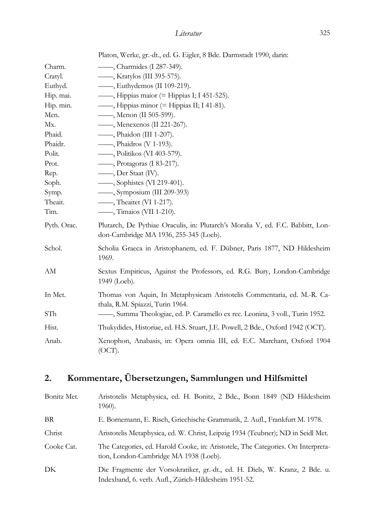Platon, Werke, gr.-dt., ed. G. Eigler, 8 Bde. Darmstadt 1990, darin:

| Charm.      | -, Charmides (I 287-349).                                                                                                 |
|-------------|---------------------------------------------------------------------------------------------------------------------------|
| Cratyl.     | - Kratylos (III 395-575).                                                                                                 |
| Euthyd.     | -, Euthydemos (II 109-219).                                                                                               |
| Hip. mai.   | - Hippias maior (= Hippias I; I 451-525).                                                                                 |
| Hip. min.   | $\longrightarrow$ , Hippias minor (= Hippias II; I 41-81).                                                                |
| Men.        | -, Menon (II 505-599).                                                                                                    |
| Mx.         | -, Menexenos (II 221-267).                                                                                                |
| Phaid.      | -, Phaidon (III 1-207).                                                                                                   |
| Phaidr.     | -, Phaidros (V 1-193).                                                                                                    |
| Polit.      | - Politikos (VI 403-579).                                                                                                 |
| Prot.       | - Protagoras (I 83-217).                                                                                                  |
| Rep.        | - Der Staat (IV).                                                                                                         |
| Soph.       | -, Sophistes (VI 219-401).                                                                                                |
| Symp.       | -, Symposium (III 209-393)                                                                                                |
| Theait.     | -, Theaitet (VI 1-217).                                                                                                   |
| Tim.        | —, Timaios (VII 1-210).                                                                                                   |
| Pyth. Orac. | Plutarch, De Pythiae Oraculis, in: Plutarch's Moralia V, ed. F.C. Babbitt, Lon-<br>don-Cambridge MA 1936, 255-345 (Loeb). |
| Schol.      | Scholia Graeca in Aristophanem, ed. F. Dübner, Paris 1877, ND Hildesheim<br>1969.                                         |
| AМ          | Sextus Empiricus, Against the Professors, ed. R.G. Bury, London-Cambridge<br>1949 (Loeb).                                 |
| In Met.     | Thomas von Aquin, In Metaphysicam Aristotelis Commentaria, ed. M.-R. Ca-<br>thala, R.M. Spiazzi, Turin 1964.              |
| STh         | -, Summa Theologiae, ed. P. Caramello ex rec. Leonina, 3 voll., Turin 1952.                                               |
| Hist.       | Thukydides, Historiae, ed. H.S. Stuart, J.E. Powell, 2 Bde., Oxford 1942 (OCT).                                           |
| Anab.       | Xenophon, Anabasis, in: Opera omnia III, ed. E.C. Marchant, Oxford 1904<br>(OCT).                                         |

# **2. Kommentare, Übersetzungen, Sammlungen und Hilfsmittel**

| Bonitz Met. | Aristotelis Metaphysica, ed. H. Bonitz, 2 Bde., Bonn 1849 (ND Hildesheim<br>1960).                                                   |
|-------------|--------------------------------------------------------------------------------------------------------------------------------------|
| <b>BR</b>   | E. Bornemann, E. Risch, Griechische Grammatik, 2. Aufl., Frankfurt M. 1978.                                                          |
| Christ      | Aristotelis Metaphysica, ed. W. Christ, Leipzig 1934 (Teubner); ND in Seidl Met.                                                     |
| Cooke Cat.  | The Categories, ed. Harold Cooke, in: Aristotele, The Categories. On Interpreta-<br>tion, London-Cambridge MA 1938 (Loeb).           |
| DK          | Die Fragmente der Vorsokratiker, gr.-dt., ed. H. Diels, W. Kranz, 2 Bde. u.<br>Indexband, 6. verb. Aufl., Zürich-Hildesheim 1951-52. |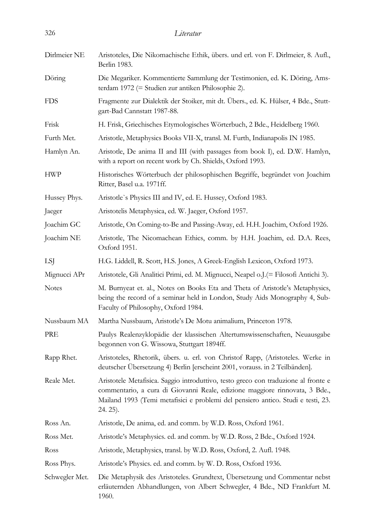| 326            | Literatur                                                                                                                                                                                                                                                         |
|----------------|-------------------------------------------------------------------------------------------------------------------------------------------------------------------------------------------------------------------------------------------------------------------|
| Dirlmeier NE   | Aristoteles, Die Nikomachische Ethik, übers. und erl. von F. Dirlmeier, 8. Aufl.,<br>Berlin 1983.                                                                                                                                                                 |
| Döring         | Die Megariker. Kommentierte Sammlung der Testimonien, ed. K. Döring, Ams-<br>terdam 1972 (= Studien zur antiken Philosophie 2).                                                                                                                                   |
| <b>FDS</b>     | Fragmente zur Dialektik der Stoiker, mit dt. Übers., ed. K. Hülser, 4 Bde., Stutt-<br>gart-Bad Cannstatt 1987-88.                                                                                                                                                 |
| Frisk          | H. Frisk, Griechisches Etymologisches Wörterbuch, 2 Bde., Heidelberg 1960.                                                                                                                                                                                        |
| Furth Met.     | Aristotle, Metaphysics Books VII-X, transl. M. Furth, Indianapolis IN 1985.                                                                                                                                                                                       |
| Hamlyn An.     | Aristotle, De anima II and III (with passages from book I), ed. D.W. Hamlyn,<br>with a report on recent work by Ch. Shields, Oxford 1993.                                                                                                                         |
| <b>HWP</b>     | Historisches Wörterbuch der philosophischen Begriffe, begründet von Joachim<br>Ritter, Basel u.a. 1971ff.                                                                                                                                                         |
| Hussey Phys.   | Aristotle's Physics III and IV, ed. E. Hussey, Oxford 1983.                                                                                                                                                                                                       |
| Jaeger         | Aristotelis Metaphysica, ed. W. Jaeger, Oxford 1957.                                                                                                                                                                                                              |
| Joachim GC     | Aristotle, On Coming-to-Be and Passing-Away, ed. H.H. Joachim, Oxford 1926.                                                                                                                                                                                       |
| Joachim NE     | Aristotle, The Nicomachean Ethics, comm. by H.H. Joachim, ed. D.A. Rees,<br>Oxford 1951.                                                                                                                                                                          |
| LSJ            | H.G. Liddell, R. Scott, H.S. Jones, A Greek-English Lexicon, Oxford 1973.                                                                                                                                                                                         |
| Mignucci APr   | Aristotele, Gli Analitici Primi, ed. M. Mignucci, Neapel o.J. (= Filosofi Antichi 3).                                                                                                                                                                             |
| <b>Notes</b>   | M. Burnyeat et. al., Notes on Books Eta and Theta of Aristotle's Metaphysics,<br>being the record of a seminar held in London, Study Aids Monography 4, Sub-<br>Faculty of Philosophy, Oxford 1984.                                                               |
| Nussbaum MA    | Martha Nussbaum, Aristotle's De Motu animalium, Princeton 1978.                                                                                                                                                                                                   |
| PRE            | Paulys Realenzyklopädie der klassischen Altertumswissenschaften, Neuausgabe<br>begonnen von G. Wissowa, Stuttgart 1894ff.                                                                                                                                         |
| Rapp Rhet.     | Aristoteles, Rhetorik, übers. u. erl. von Christof Rapp, (Aristoteles. Werke in<br>deutscher Übersetzung 4) Berlin [erscheint 2001, vorauss. in 2 Teilbänden].                                                                                                    |
| Reale Met.     | Aristotele Metafisica. Saggio introduttivo, testo greco con traduzione al fronte e<br>commentario, a cura di Giovanni Reale, edizione maggiore rinnovata, 3 Bde.,<br>Mailand 1993 (Temi metafisici e problemi del pensiero antico. Studi e testi, 23.<br>24. 25). |
| Ross An.       | Aristotle, De anima, ed. and comm. by W.D. Ross, Oxford 1961.                                                                                                                                                                                                     |
| Ross Met.      | Aristotle's Metaphysics. ed. and comm. by W.D. Ross, 2 Bde., Oxford 1924.                                                                                                                                                                                         |
| Ross           | Aristotle, Metaphysics, transl. by W.D. Ross, Oxford, 2. Aufl. 1948.                                                                                                                                                                                              |
| Ross Phys.     | Aristotle's Physics. ed. and comm. by W. D. Ross, Oxford 1936.                                                                                                                                                                                                    |
| Schwegler Met. | Die Metaphysik des Aristoteles. Grundtext, Ubersetzung und Commentar nebst<br>erläuternden Abhandlungen, von Albert Schwegler, 4 Bde., ND Frankfurt M.<br>1960.                                                                                                   |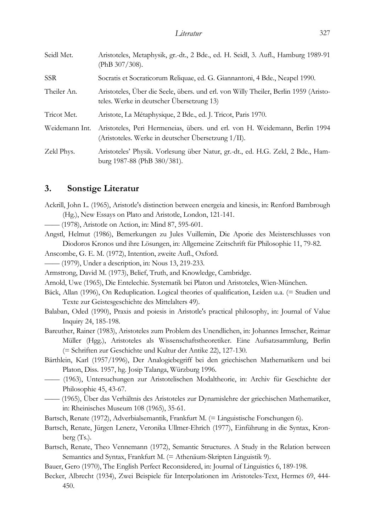| Seidl Met.     | Aristoteles, Metaphysik, gr.-dt., 2 Bde., ed. H. Seidl, 3. Aufl., Hamburg 1989-91<br>(PhB $307/308$ ).                             |
|----------------|------------------------------------------------------------------------------------------------------------------------------------|
| <b>SSR</b>     | Socratis et Socraticorum Reliquae, ed. G. Giannantoni, 4 Bde., Neapel 1990.                                                        |
| Theiler An.    | Aristoteles, Über die Seele, übers. und erl. von Willy Theiler, Berlin 1959 (Aristo-<br>teles. Werke in deutscher Übersetzung 13)  |
| Tricot Met.    | Aristote, La Métaphysique, 2 Bde., ed. J. Tricot, Paris 1970.                                                                      |
| Weidemann Int. | Aristoteles, Peri Hermeneias, übers. und erl. von H. Weidemann, Berlin 1994<br>(Aristoteles. Werke in deutscher Übersetzung 1/II). |
| Zekl Phys.     | Aristoteles' Physik. Vorlesung über Natur, gr.-dt., ed. H.G. Zekl, 2 Bde., Ham-<br>burg 1987-88 (PhB 380/381).                     |

#### **3. Sonstige Literatur**

Ackrill, John L. (1965), Aristotle's distinction between energeia and kinesis, in: Renford Bambrough (Hg.), New Essays on Plato and Aristotle, London, 121-141.

—— (1978), Aristotle on Action, in: Mind 87, 595-601.

Angstl, Helmut (1986), Bemerkungen zu Jules Vuillemin, Die Aporie des Meisterschlusses von Diodoros Kronos und ihre Lösungen, in: Allgemeine Zeitschrift für Philosophie 11, 79-82.

Anscombe, G. E. M. (1972), Intention, zweite Aufl., Oxford.

—— (1979), Under a description, in: Nous 13, 219-233.

Armstrong, David M. (1973), Belief, Truth, and Knowledge, Cambridge.

Arnold, Uwe (1965), Die Entelechie. Systematik bei Platon und Aristoteles, Wien-München.

Bäck, Allan (1996), On Reduplication. Logical theories of qualification, Leiden u.a. (= Studien und Texte zur Geistesgeschichte des Mittelalters 49).

Balaban, Oded (1990), Praxis and poiesis in Aristotle's practical philosophy, in: Journal of Value Inquiry 24, 185-198.

Bareuther, Rainer (1983), Aristoteles zum Problem des Unendlichen, in: Johannes Irmscher, Reimar Müller (Hgg.), Aristoteles als Wissenschaftstheoretiker. Eine Aufsatzsammlung, Berlin (= Schriften zur Geschichte und Kultur der Antike 22), 127-130.

Bärthlein, Karl (1957/1996), Der Analogiebegriff bei den griechischen Mathematikern und bei Platon, Diss. 1957, hg. Josip Talanga, Würzburg 1996.

- —— (1963), Untersuchungen zur Aristotelischen Modaltheorie, in: Archiv für Geschichte der Philosophie 45, 43-67.
- —— (1965), Über das Verhältnis des Aristoteles zur Dynamislehre der griechischen Mathematiker, in: Rheinisches Museum 108 (1965), 35-61.

Bartsch, Renate (1972), Adverbialsemantik, Frankfurt M. (= Linguistische Forschungen 6).

- Bartsch, Renate, Jürgen Lenerz, Veronika Ullmer-Ehrich (1977), Einführung in die Syntax, Kronberg (Ts.).
- Bartsch, Renate, Theo Vennemann (1972), Semantic Structures. A Study in the Relation between Semantics and Syntax, Frankfurt M. (= Athenäum-Skripten Linguistik 9).
- Bauer, Gero (1970), The English Perfect Reconsidered, in: Journal of Linguistics 6, 189-198.
- Becker, Albrecht (1934), Zwei Beispiele für Interpolationen im Aristoteles-Text, Hermes 69, 444- 450.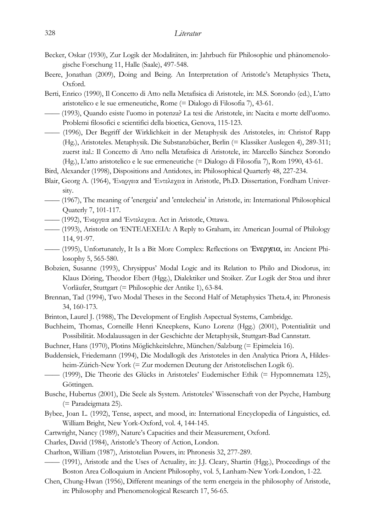- Becker, Oskar (1930), Zur Logik der Modalitäten, in: Jahrbuch für Philosophie und phänomenologische Forschung 11, Halle (Saale), 497-548.
- Beere, Jonathan (2009), Doing and Being. An Interpretation of Aristotle's Metaphysics Theta, Oxford.
- Berti, Enrico (1990), Il Concetto di Atto nella Metafisica di Aristotele, in: M.S. Sorondo (ed.), L'atto aristotelico e le sue ermeneutiche, Rome (= Dialogo di Filosofia 7), 43-61.
- —— (1993), Quando esiste l'uomo in potenza? La tesi die Aristotele, in: Nacita e morte dell'uomo. Problemi filosofici e scientifici della bioetica, Genova, 115-123.
- —— (1996), Der Begriff der Wirklichkeit in der Metaphysik des Aristoteles, in: Christof Rapp (Hg.), Aristoteles. Metaphysik. Die Substanzbücher, Berlin (= Klassiker Auslegen 4), 289-311; zuerst ital.: Il Concetto di Atto nella Metafisica di Aristotele, in: Marcello Sánchez Sorondo (Hg.), L'atto aristotelico e le sue ermeneutiche (= Dialogo di Filosofia 7), Rom 1990, 43-61.
- Bird, Alexander (1998), Dispositions and Antidotes, in: Philosophical Quarterly 48, 227-234.
- Blair, Georg A. (1964), 'Ενεργεια and 'Εντελεχεια in Aristotle, Ph.D. Dissertation, Fordham University.
- —— (1967), The meaning of 'energeia' and 'entelecheia' in Aristotle, in: International Philosophical Quaterly 7, 101-117.
- —— (1992), 'Ενεργεια and 'Εντελεχεια. Act in Aristotle, Ottawa.
- —— (1993), Aristotle on 'ΕΝΤΕΛΕΧΕΙΑ: A Reply to Graham, in: American Journal of Philology 114, 91-97.
- —— (1995), Unfortunately, It Is a Bit More Complex: Reflections on 'Ενεργεια, in: Ancient Philosophy 5, 565-580.
- Bobzien, Susanne (1993), Chrysippus' Modal Logic and its Relation to Philo and Diodorus, in: Klaus Döring, Theodor Ebert (Hgg.), Dialektiker und Stoiker. Zur Logik der Stoa und ihrer Vorläufer, Stuttgart (= Philosophie der Antike 1), 63-84.
- Brennan, Tad (1994), Two Modal Theses in the Second Half of Metaphysics Theta.4, in: Phronesis 34, 160-173.
- Brinton, Laurel J. (1988), The Development of English Aspectual Systems, Cambridge.
- Buchheim, Thomas, Corneille Henri Kneepkens, Kuno Lorenz (Hgg.) (2001), Potentialität und Possibilität. Modalaussagen in der Geschichte der Metaphysik, Stuttgart-Bad Cannstatt.
- Buchner, Hans (1970), Plotins Möglichkeitslehre, München/Salzburg (= Epimeleia 16).
- Buddensiek, Friedemann (1994), Die Modallogik des Aristoteles in den Analytica Priora A, Hildesheim-Zürich-New York (= Zur modernen Deutung der Aristotelischen Logik 6).
- —— (1999), Die Theorie des Glücks in Aristoteles' Eudemischer Ethik (= Hypomnemata 125), Göttingen.
- Busche, Hubertus (2001), Die Seele als System. Aristoteles' Wissenschaft von der Psyche, Hamburg (= Paradeigmata 25).
- Bybee, Joan L. (1992), Tense, aspect, and mood, in: International Encyclopedia of Linguistics, ed. William Bright, New York-Oxford, vol. 4, 144-145.
- Cartwright, Nancy (1989), Nature's Capacities and their Measurement, Oxford.
- Charles, David (1984), Aristotle's Theory of Action, London.
- Charlton, William (1987), Aristotelian Powers, in: Phronesis 32, 277-289.
- —— (1991), Aristotle and the Uses of Actuality, in: J.J. Cleary, Shartin (Hgg.), Proceedings of the Boston Area Colloquium in Ancient Philosophy, vol. 5, Lanham-New York-London, 1-22.
- Chen, Chung-Hwan (1956), Different meanings of the term energeia in the philosophy of Aristotle, in: Philosophy and Phenomenological Research 17, 56-65.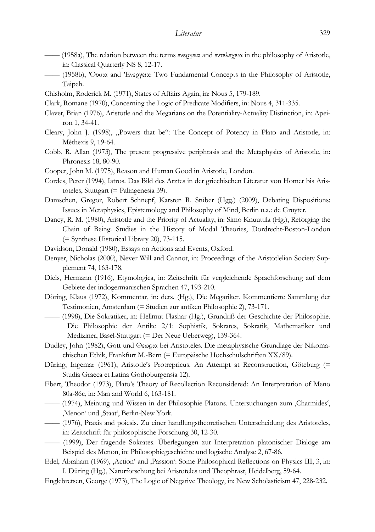- $\sim$  (1958a). The relation between the terms ενεργεια and εντελεγεια in the philosophy of Aristotle, in: Classical Quarterly NS 8, 12-17.
- —— (1958b), 'Ουσια and 'Ενεργεια: Two Fundamental Concepts in the Philosophy of Aristotle, Taipeh.
- Chisholm, Roderick M. (1971), States of Affairs Again, in: Nous 5, 179-189.
- Clark, Romane (1970), Concerning the Logic of Predicate Modifiers, in: Nous 4, 311-335.
- Clavet, Brian (1976), Aristotle and the Megarians on the Potentiality-Actuality Distinction, in: Apeiron 1, 34-41.
- Cleary, John J. (1998), "Powers that be": The Concept of Potency in Plato and Aristotle, in: Méthexis 9, 19-64.
- Cobb, R. Allan (1973), The present progressive periphrasis and the Metaphysics of Aristotle, in: Phronesis 18, 80-90.
- Cooper, John M. (1975), Reason and Human Good in Aristotle, London.
- Cordes, Peter (1994), Iatros. Das Bild des Arztes in der griechischen Literatur von Homer bis Aristoteles, Stuttgart (= Palingenesia 39).
- Damschen, Gregor, Robert Schnepf, Karsten R. Stüber (Hgg.) (2009), Debating Dispositions: Issues in Metaphysics, Epistemology and Philosophy of Mind, Berlin u.a.: de Gruyter.
- Dancy, R. M. (1980), Aristotle and the Priority of Actuality, in: Simo Knuuttila (Hg.), Reforging the Chain of Being. Studies in the History of Modal Theories, Dordrecht-Boston-London (= Synthese Historical Library 20), 73-115.
- Davidson, Donald (1980), Essays on Actions and Events, Oxford.
- Denyer, Nicholas (2000), Never Will and Cannot, in: Proceedings of the Aristotlelian Society Supplement 74, 163-178.
- Diels, Hermann (1916), Etymologica, in: Zeitschrift für vergleichende Sprachforschung auf dem Gebiete der indogermanischen Sprachen 47, 193-210.
- Döring, Klaus (1972), Kommentar, in: ders. (Hg.), Die Megariker. Kommentierte Sammlung der Testimonien, Amsterdam (= Studien zur antiken Philosophie 2), 73-171.
- —— (1998), Die Sokratiker, in: Hellmut Flashar (Hg.), Grundriß der Geschichte der Philosophie. Die Philosophie der Antike 2/1: Sophistik, Sokrates, Sokratik, Mathematiker und Mediziner, Basel-Stuttgart (= Der Neue Ueberweg), 139-364.
- Dudley, John (1982), Gott und Θεωρια bei Aristoteles. Die metaphysische Grundlage der Nikomachischen Ethik, Frankfurt M.-Bern (= Europäische Hochschulschriften XX/89).
- Düring, Ingemar (1961), Aristotle's Protrepricus. An Attempt at Reconstruction, Göteburg (= Studia Graeca et Latina Gothoburgensia 12).
- Ebert, Theodor (1973), Plato's Theory of Recollection Reconsidered: An Interpretation of Meno 80a-86c, in: Man and World 6, 163-181.
- —— (1974), Meinung und Wissen in der Philosophie Platons. Untersuchungen zum 'Charmides', ,Menon' und ,Staat', Berlin-New York.
- —— (1976), Praxis and poiesis. Zu einer handlungstheoretischen Unterscheidung des Aristoteles, in: Zeitschrift für philosophische Forschung 30, 12-30.
- —— (1999), Der fragende Sokrates. Überlegungen zur Interpretation platonischer Dialoge am Beispiel des Menon, in: Philosophiegeschichte und logische Analyse 2, 67-86.
- Edel, Abraham (1969), , Action' and , Passion': Some Philosophical Reflections on Physics III, 3, in: I. Düring (Hg.), Naturforschung bei Aristoteles und Theophrast, Heidelberg, 59-64.
- Englebretsen, George (1973), The Logic of Negative Theology, in: New Scholasticism 47, 228-232.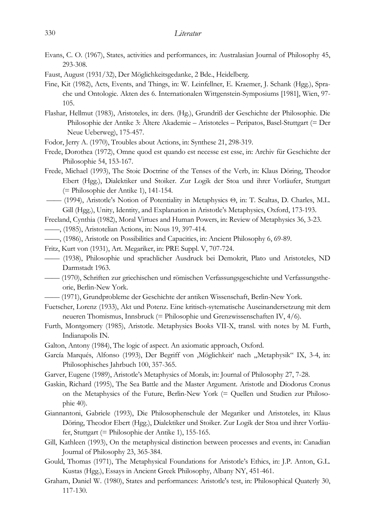- Evans, C. O. (1967), States, activities and performances, in: Australasian Journal of Philosophy 45, 293-308.
- Faust, August (1931/32), Der Möglichkeitsgedanke, 2 Bde., Heidelberg.
- Fine, Kit (1982), Acts, Events, and Things, in: W. Leinfellner, E. Kraemer, J. Schank (Hgg.), Sprache und Ontologie. Akten des 6. Internationalen Wittgenstein-Symposiums [1981], Wien, 97- 105.
- Flashar, Hellmut (1983), Aristoteles, in: ders. (Hg.), Grundriß der Geschichte der Philosophie. Die Philosophie der Antike 3: Ältere Akademie – Aristoteles – Peripatos, Basel-Stuttgart (= Der Neue Ueberweg), 175-457.
- Fodor, Jerry A. (1970), Troubles about Actions, in: Synthese 21, 298-319.
- Frede, Dorothea (1972), Omne quod est quando est necesse est esse, in: Archiv für Geschichte der Philosophie 54, 153-167.
- Frede, Michael (1993), The Stoic Doctrine of the Tenses of the Verb, in: Klaus Döring, Theodor Ebert (Hgg.), Dialektiker und Stoiker. Zur Logik der Stoa und ihrer Vorläufer, Stuttgart (= Philosophie der Antike 1), 141-154.
- —— (1994), Aristotle's Notion of Potentiality in Metaphysics Θ, in: T. Scaltas, D. Charles, M.L. Gill (Hgg.), Unity, Identity, and Explanation in Aristotle's Metaphysics, Oxford, 173-193.
- Freeland, Cynthia (1982), Moral Virtues and Human Powers, in: Review of Metaphysics 36, 3-23.
- ——, (1985), Aristotelian Actions, in: Nous 19, 397-414.
- ——, (1986), Aristotle on Possibilities and Capacities, in: Ancient Philosophy 6, 69-89.
- Fritz, Kurt von (1931), Art. Megariker, in: PRE Suppl. V, 707-724.
- —— (1938), Philosophie und sprachlicher Ausdruck bei Demokrit, Plato und Aristoteles, ND Darmstadt 1963.
- —— (1970), Schriften zur griechischen und römischen Verfassungsgeschichte und Verfassungstheorie, Berlin-New York.
- —— (1971), Grundprobleme der Geschichte der antiken Wissenschaft, Berlin-New York.
- Fuetscher, Lorenz (1933), Akt und Potenz. Eine kritisch-sytematische Auseinandersetzung mit dem neueren Thomismus, Innsbruck (= Philosophie und Grenzwissenschaften IV, 4/6).
- Furth, Montgomery (1985), Aristotle. Metaphysics Books VII-X, transl. with notes by M. Furth, Indianapolis IN.
- Galton, Antony (1984), The logic of aspect. An axiomatic approach, Oxford.
- García Marqués, Alfonso (1993), Der Begriff von "Möglichkeit" nach "Metaphysik" IX, 3-4, in: Philosophisches Jahrbuch 100, 357-365.
- Garver, Eugene (1989), Aristotle's Metaphysics of Morals, in: Journal of Philosophy 27, 7-28.
- Gaskin, Richard (1995), The Sea Battle and the Master Argument. Aristotle and Diodorus Cronus on the Metaphysics of the Future, Berlin-New York (= Quellen und Studien zur Philosophie 40).
- Giannantoni, Gabriele (1993), Die Philosophenschule der Megariker und Aristoteles, in: Klaus Döring, Theodor Ebert (Hgg.), Dialektiker und Stoiker. Zur Logik der Stoa und ihrer Vorläufer, Stuttgart (= Philosophie der Antike 1), 155-165.
- Gill, Kathleen (1993), On the metaphysical distinction between processes and events, in: Canadian Journal of Philosophy 23, 365-384.
- Gould, Thomas (1971), The Metaphysical Foundations for Aristotle's Ethics, in: J.P. Anton, G.L. Kustas (Hgg.), Essays in Ancient Greek Philosophy, Albany NY, 451-461.
- Graham, Daniel W. (1980), States and performances: Aristotle's test, in: Philosophical Quaterly 30, 117-130.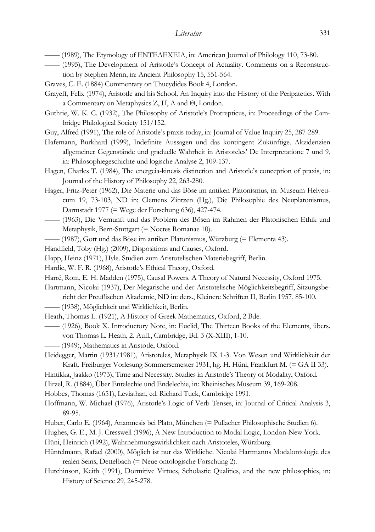- —— (1989), The Etymology of ΕΝΤΕΛΕΧΕΙΑ, in: American Journal of Philology 110, 73-80.
- —— (1995), The Development of Aristotle's Concept of Actuality. Comments on a Reconstruction by Stephen Menn, in: Ancient Philosophy 15, 551-564.
- Graves, C. E. (1884) Commentary on Thucydides Book 4, London.
- Grayeff, Felix (1974), Aristotle and his School. An Inquiry into the History of the Peripatetics. With a Commentary on Metaphysics Ζ, Η, Λ and Θ, London.
- Guthrie, W. K. C. (1932), The Philosophy of Aristotle's Protrepticus, in: Proceedings of the Cambridge Philological Society 151/152.
- Guy, Alfred (1991), The role of Aristotle's praxis today, in: Journal of Value Inquiry 25, 287-289.
- Hafemann, Burkhard (1999), Indefinite Aussagen und das kontingent Zukünftige. Akzidenzien allgemeiner Gegenstände und graduelle Wahrheit in Aristoteles' De Interpretatione 7 und 9, in: Philosophiegeschichte und logische Analyse 2, 109-137.
- Hagen, Charles T. (1984), The energeia-kinesis distinction and Aristotle's conception of praxis, in: Journal of the History of Philosophy 22, 263-280.
- Hager, Fritz-Peter (1962), Die Materie und das Böse im antiken Platonismus, in: Museum Helveticum 19, 73-103, ND in: Clemens Zintzen (Hg.), Die Philosophie des Neuplatonismus, Darmstadt 1977 (= Wege der Forschung 636), 427-474.
- —— (1963), Die Vernunft und das Problem des Bösen im Rahmen der Platonischen Ethik und Metaphysik, Bern-Stuttgart (= Noctes Romanae 10).
- —— (1987), Gott und das Böse im antiken Platonismus, Würzburg (= Elementa 43).
- Handfield, Toby (Hg.) (2009), Dispositions and Causes, Oxford.
- Happ, Heinz (1971), Hyle. Studien zum Aristotelischen Materiebegriff, Berlin.
- Hardie, W. F. R. (1968), Aristotle's Ethical Theory, Oxford.
- Harré, Rom, E. H. Madden (1975), Causal Powers. A Theory of Natural Necessity, Oxford 1975.
- Hartmann, Nicolai (1937), Der Megarische und der Aristotelische Möglichkeitsbegriff, Sitzungsbericht der Preußischen Akademie, ND in: ders., Kleinere Schriften II, Berlin 1957, 85-100.
- —— (1938), Möglichkeit und Wirklichkeit, Berlin.
- Heath, Thomas L. (1921), A History of Greek Mathematics, Oxford, 2 Bde.
- —— (1926), Book X. Introductory Note, in: Euclid, The Thirteen Books of the Elements, übers. von Thomas L. Heath, 2. Aufl., Cambridge, Bd. 3 (X-XIII), 1-10.
- —— (1949), Mathematics in Aristotle, Oxford.
- Heidegger, Martin (1931/1981), Aristoteles, Metaphysik IX 1-3. Von Wesen und Wirklichkeit der Kraft. Freiburger Vorlesung Sommersemester 1931, hg. H. Hüni, Frankfurt M. (= GA II 33).
- Hintikka, Jaakko (1973), Time and Necessity. Studies in Aristotle's Theory of Modality, Oxford.
- Hirzel, R. (1884), Über Entelechie und Endelechie, in: Rheinisches Museum 39, 169-208.
- Hobbes, Thomas (1651), Leviathan, ed. Richard Tuck, Cambridge 1991.
- Hoffmann, W. Michael (1976), Aristotle's Logic of Verb Tenses, in: Journal of Critical Analysis 3, 89-95.
- Huber, Carlo E. (1964), Anamnesis bei Plato, München (= Pullacher Philosophische Studien 6).
- Hughes, G. E., M. J. Cresswell (1996), A New Introduction to Modal Logic, London-New York.
- Hüni, Heinrich (1992), Wahrnehmungswirklichkeit nach Aristoteles, Würzburg.
- Hüntelmann, Rafael (2000), Möglich ist nur das Wirkliche. Nicolai Hartmanns Modalontologie des realen Seins, Dettelbach (= Neue ontologische Forschung 2).
- Hutchinson, Keith (1991), Dormitive Virtues, Scholastic Qualities, and the new philosophies, in: History of Science 29, 245-278.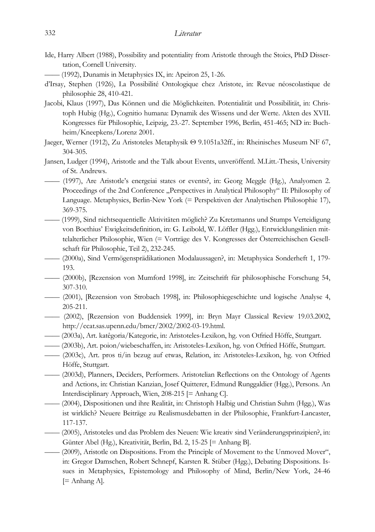- Ide, Harry Albert (1988), Possibility and potentiality from Aristotle through the Stoics, PhD Dissertation, Cornell University.
- —— (1992), Dunamis in Metaphysics IX, in: Apeiron 25, 1-26.
- d'Irsay, Stephen (1926), La Possibilité Ontologique chez Aristote, in: Revue néoscolastique de philosophie 28, 410-421.
- Jacobi, Klaus (1997), Das Können und die Möglichkeiten. Potentialität und Possibilität, in: Christoph Hubig (Hg.), Cognitio humana: Dynamik des Wissens und der Werte. Akten des XVII. Kongresses für Philosophie, Leipzig, 23.-27. September 1996, Berlin, 451-465; ND in: Buchheim/Kneepkens/Lorenz 2001.
- Jaeger, Werner (1912), Zu Aristoteles Metaphysik Θ 9.1051a32ff., in: Rheinisches Museum NF 67, 304-305.
- Jansen, Ludger (1994), Aristotle and the Talk about Events, unveröffentl. M.Litt.-Thesis, University of St. Andrews.
- —— (1997), Are Aristotle's energeiai states or events?, in: Georg Meggle (Hg.), Analyomen 2. Proceedings of the 2nd Conference "Perspectives in Analytical Philosophy" II: Philosophy of Language. Metaphysics, Berlin-New York (= Perspektiven der Analytischen Philosophie 17), 369-375.
- —— (1999), Sind nichtsequentielle Aktivitäten möglich? Zu Kretzmanns und Stumps Verteidigung von Boethius' Ewigkeitsdefinition, in: G. Leibold, W. Löffler (Hgg.), Entwicklungslinien mittelalterlicher Philosophie, Wien (= Vorträge des V. Kongresses der Österreichischen Gesellschaft für Philosophie, Teil 2), 232-245.
- —— (2000a), Sind Vermögensprädikationen Modalaussagen?, in: Metaphysica Sonderheft 1, 179- 193.
- —— (2000b), [Rezension von Mumford 1998], in: Zeitschrift für philosophische Forschung 54, 307-310.
- —— (2001), [Rezension von Strobach 1998], in: Philosophiegeschichte und logische Analyse 4, 205-211.
- —— (2002), [Rezension von Buddensiek 1999], in: Bryn Mayr Classical Review 19.03.2002, http://ccat.sas.upenn.edu/bmcr/2002/2002-03-19.html.
- —— (2003a), Art. katêgoria/Kategorie, in: Aristoteles-Lexikon, hg. von Otfried Höffe, Stuttgart.
- —— (2003b), Art. poion/wiebeschaffen, in: Aristoteles-Lexikon, hg. von Otfried Höffe, Stuttgart.
- —— (2003c), Art. pros ti/in bezug auf etwas, Relation, in: Aristoteles-Lexikon, hg. von Otfried Höffe, Stuttgart.
- —— (2003d), Planners, Deciders, Performers. Aristotelian Reflections on the Ontology of Agents and Actions, in: Christian Kanzian, Josef Quitterer, Edmund Runggaldier (Hgg.), Persons. An Interdisciplinary Approach, Wien, 208-215 [= Anhang C].
- —— (2004), Dispositionen und ihre Realität, in: Christoph Halbig und Christian Suhm (Hgg.), Was ist wirklich? Neuere Beiträge zu Realismusdebatten in der Philosophie, Frankfurt-Lancaster, 117-137.
- —— (2005), Aristoteles und das Problem des Neuen: Wie kreativ sind Veränderungsprinzipien?, in: Günter Abel (Hg.), Kreativität, Berlin, Bd. 2, 15-25 [= Anhang B].
- —— (2009), Aristotle on Dispositions. From the Principle of Movement to the Unmoved Mover", in: Gregor Damschen, Robert Schnepf, Karsten R. Stüber (Hgg.), Debating Dispositions. Issues in Metaphysics, Epistemology and Philosophy of Mind, Berlin/New York, 24-46  $[$  = Anhang A].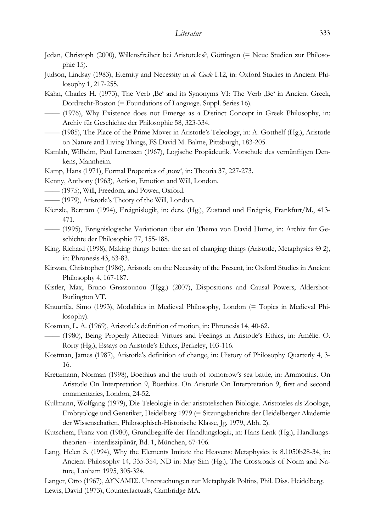- Jedan, Christoph (2000), Willensfreiheit bei Aristoteles?, Göttingen (= Neue Studien zur Philosophie 15).
- Judson, Lindsay (1983), Eternity and Necessity in *de Caelo* I.12, in: Oxford Studies in Ancient Philosophy 1, 217-255.
- Kahn, Charles H. (1973), The Verb .Be' and its Synonyms VI: The Verb .Be' in Ancient Greek, Dordrecht-Boston (= Foundations of Language. Suppl. Series 16).
- —— (1976), Why Existence does not Emerge as a Distinct Concept in Greek Philosophy, in: Archiv für Geschichte der Philosophie 58, 323-334.
- —— (1985), The Place of the Prime Mover in Aristotle's Teleology, in: A. Gotthelf (Hg.), Aristotle on Nature and Living Things, FS David M. Balme, Pittsburgh, 183-205.
- Kamlah, Wilhelm, Paul Lorenzen (1967), Logische Propädeutik. Vorschule des vernünftigen Denkens, Mannheim.
- Kamp, Hans (1971), Formal Properties of ,now', in: Theoria 37, 227-273.
- Kenny, Anthony (1963), Action, Emotion and Will, London.
- —— (1975), Will, Freedom, and Power, Oxford.
- —— (1979), Aristotle's Theory of the Will, London.
- Kienzle, Bertram (1994), Ereignislogik, in: ders. (Hg.), Zustand und Ereignis, Frankfurt/M., 413- 471.
- —— (1995), Ereignislogische Variationen über ein Thema von David Hume, in: Archiv für Geschichte der Philosophie 77, 155-188.
- King, Richard (1998), Making things better: the art of changing things (Aristotle, Metaphysics  $\Theta$  2), in: Phronesis 43, 63-83.
- Kirwan, Christopher (1986), Aristotle on the Necessity of the Present, in: Oxford Studies in Ancient Philosophy 4, 167-187.
- Kistler, Max, Bruno Gnassounou (Hgg.) (2007), Dispositions and Causal Powers, Aldershot-Burlington VT.
- Knuuttila, Simo (1993), Modalities in Medieval Philosophy, London (= Topics in Medieval Philosophy).
- Kosman, L. A. (1969), Aristotle's definition of motion, in: Phronesis 14, 40-62.
- —— (1980), Being Properly Affected: Virtues and Feelings in Aristotle's Ethics, in: Amélie. O. Rorty (Hg.), Essays on Aristotle's Ethics, Berkeley, 103-116.
- Kostman, James (1987), Aristotle's definition of change, in: History of Philosophy Quarterly 4, 3- 16.
- Kretzmann, Norman (1998), Boethius and the truth of tomorrow's sea battle, in: Ammonius. On Aristotle On Interpretation 9, Boethius. On Aristotle On Interpretation 9, first and second commentaries, London, 24-52.
- Kullmann, Wolfgang (1979), Die Teleologie in der aristotelischen Biologie. Aristoteles als Zoologe, Embryologe und Genetiker, Heidelberg 1979 (= Sitzungsberichte der Heidelberger Akademie der Wissenschaften, Philosophisch-Historische Klasse, Jg. 1979, Abh. 2).
- Kutschera, Franz von (1980), Grundbegriffe der Handlungslogik, in: Hans Lenk (Hg.), Handlungstheorien – interdisziplinär, Bd. 1, München, 67-106.
- Lang, Helen S. (1994), Why the Elements Imitate the Heavens: Metaphysics ix 8.1050b28-34, in: Ancient Philosophy 14, 335-354; ND in: May Sim (Hg.), The Crossroads of Norm and Nature, Lanham 1995, 305-324.
- Langer, Otto (1967), ∆ΥΝΑΜΙΣ. Untersuchungen zur Metaphysik Poltins, Phil. Diss. Heidelberg.
- Lewis, David (1973), Counterfactuals, Cambridge MA.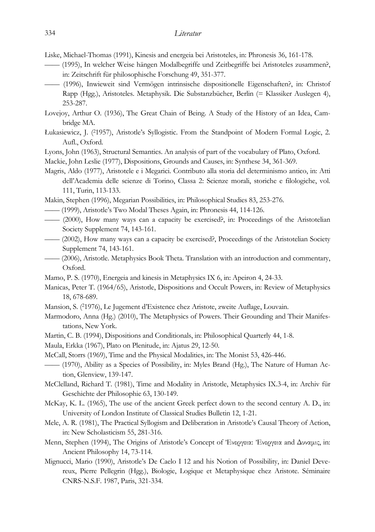- Liske, Michael-Thomas (1991), Kinesis and energeia bei Aristoteles, in: Phronesis 36, 161-178.
- —— (1995), In welcher Weise hängen Modalbegriffe und Zeitbegriffe bei Aristoteles zusammen?, in: Zeitschrift für philosophische Forschung 49, 351-377.
- —— (1996), Inwieweit sind Vermögen intrinsische dispositionelle Eigenschaften?, in: Christof Rapp (Hgg.), Aristoteles. Metaphysik. Die Substanzbücher, Berlin (= Klassiker Auslegen 4), 253-287.
- Lovejoy, Arthur O. (1936), The Great Chain of Being. A Study of the History of an Idea, Cambridge MA.
- Łukasiewicz, J. (<sup>2</sup>1957), Aristotle's Syllogistic. From the Standpoint of Modern Formal Logic, 2. Aufl., Oxford.
- Lyons, John (1963), Structural Semantics. An analysis of part of the vocabulary of Plato, Oxford.
- Mackie, John Leslie (1977), Dispositions, Grounds and Causes, in: Synthese 34, 361-369.
- Magris, Aldo (1977), Aristotele e i Megarici. Contributo alla storia del determinismo antico, in: Atti dell'Academia delle scienze di Torino, Classa 2: Scienze morali, storiche e filologiche, vol. 111, Turin, 113-133.
- Makin, Stephen (1996), Megarian Possibilities, in: Philosophical Studies 83, 253-276.
- —— (1999), Aristotle's Two Modal Theses Again, in: Phronesis 44, 114-126.
- —— (2000), How many ways can a capacity be exercised?, in: Proceedings of the Aristotelian Society Supplement 74, 143-161.
- —— (2002), How many ways can a capacity be exercised?, Proceedings of the Aristotelian Society Supplement 74, 143-161.
- —— (2006), Aristotle. Metaphysics Book Theta. Translation with an introduction and commentary, Oxford.
- Mamo, P. S. (1970), Energeia and kinesis in Metaphysics IX 6, in: Apeiron 4, 24-33.
- Manicas, Peter T. (1964/65), Aristotle, Dispositions and Occult Powers, in: Review of Metaphysics 18, 678-689.
- Mansion, S. (<sup>2</sup>1976), Le Jugement d'Existence chez Aristote, zweite Auflage, Louvain.
- Marmodoro, Anna (Hg.) (2010), The Metaphysics of Powers. Their Grounding and Their Manifestations, New York.
- Martin, C. B. (1994), Dispositions and Conditionals, in: Philosophical Quarterly 44, 1-8.
- Maula, Erkka (1967), Plato on Plenitude, in: Ajatus 29, 12-50.
- McCall, Storrs (1969), Time and the Physical Modalities, in: The Monist 53, 426-446.
- —— (1970), Ability as a Species of Possibility, in: Myles Brand (Hg.), The Nature of Human Action, Glenview, 139-147.
- McClelland, Richard T. (1981), Time and Modality in Aristotle, Metaphysics IX.3-4, in: Archiv für Geschichte der Philosophie 63, 130-149.
- McKay, K. L. (1965), The use of the ancient Greek perfect down to the second century A. D., in: University of London Institute of Classical Studies Bulletin 12, 1-21.
- Mele, A. R. (1981), The Practical Syllogism and Deliberation in Aristotle's Causal Theory of Action, in: New Scholasticism 55, 281-316.
- Menn, Stephen (1994), The Origins of Aristotle's Concept of 'Ενεργεια: 'Ενεργεια and ∆υναµις, in: Ancient Philosophy 14, 73-114.
- Mignucci, Mario (1990), Aristotle's De Caelo I 12 and his Notion of Possibility, in: Daniel Devereux, Pierre Pellegrin (Hgg.), Biologie, Logique et Metaphysique chez Aristote. Séminaire CNRS-N.S.F. 1987, Paris, 321-334.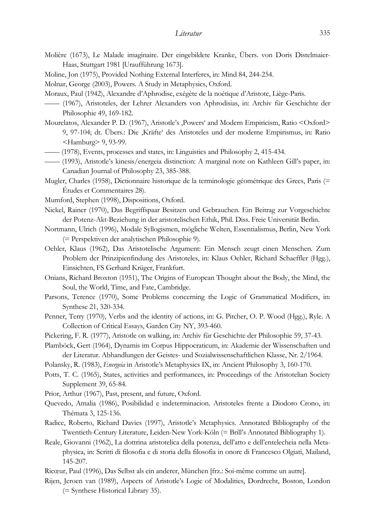- Molière (1673), Le Malade imaginaire. Der eingebildete Kranke, Übers. von Doris Distelmaier-Haas, Stuttgart 1981 [Uraufführung 1673].
- Moline, Jon (1975), Provided Nothing External Interferes, in: Mind 84, 244-254.
- Molnar, George (2003), Powers. A Study in Metaphysics, Oxford.
- Moraux, Paul (1942), Alexandre d'Aphrodise, exégète de la noétique d'Aristote, Liège-Paris.
- —— (1967), Aristoteles, der Lehrer Alexanders von Aphrodisias, in: Archiv für Geschichte der Philosophie 49, 169-182.
- Mourelatos, Alexander P. D. (1967), Aristotle's ,Powers' and Modern Empiricism, Ratio <Oxford> 9, 97-104; dt. Übers.: Die 'Kräfte' des Aristoteles und der moderne Empirismus, in: Ratio <Hamburg> 9, 93-99.
- —— (1978), Events, processes and states, in: Linguistics and Philosophy 2, 415-434.
- —— (1993), Aristotle's kinesis/energeia distinction: A marginal note on Kathleen Gill's paper, in: Canadian Journal of Philosophy 23, 385-388.
- Mugler, Charles (1958), Dictionnaire historique de la terminologie géométrique des Grecs, Paris (= Études et Commentaires 28).
- Mumford, Stephen (1998), Dispositions, Oxford.
- Nickel, Rainer (1970), Das Begriffspaar Besitzen und Gebrauchen. Ein Beitrag zur Vorgeschichte der Potenz-Akt-Beziehung in der aristotelischen Ethik, Phil. Diss. Freie Universität Berlin.
- Nortmann, Ulrich (1996), Modale Syllogismen, mögliche Welten, Essentialismus, Berlin, New York (= Perspektiven der analytischen Philosophie 9).
- Oehler, Klaus (1962), Das Aristotelische Argument: Ein Mensch zeugt einen Menschen. Zum Problem der Prinzipienfindung des Aristoteles, in: Klaus Oehler, Richard Schaeffler (Hgg.), Einsichten, FS Gerhard Krüger, Frankfurt.
- Onians, Richard Broxton (1951), The Origins of European Thought about the Body, the Mind, the Soul, the World, Time, and Fate, Cambridge.
- Parsons, Terence (1970), Some Problems concerning the Logic of Grammatical Modifiers, in: Synthese 21, 320-334.
- Penner, Terry (1970), Verbs and the identity of actions, in: G. Pitcher, O. P. Wood (Hgg.), Ryle. A Collection of Critical Essays, Garden City NY, 393-460.
- Pickering, F. R. (1977), Aristotle on walking, in: Archiv für Geschichte der Philosophie 59, 37-43.
- Plamböck, Gert (1964), Dynamis im Corpus Hippocraticum, in: Akademie der Wissenschaften und der Literatur. Abhandlungen der Geistes- und Sozialwissenschaftlichen Klasse, Nr. 2/1964.
- Polansky, R. (1983), *Energeia* in Aristotle's Metaphysics IX, in: Ancient Philosophy 3, 160-170.
- Potts, T. C. (1965), States, activities and performances, in: Proceedings of the Aristotelian Society Supplement 39, 65-84.
- Prior, Arthur (1967), Past, present, and future, Oxford.
- Quevedo, Amalia (1986), Posibilidad e indeterminacion. Aristoteles frente a Diodoro Crono, in: Thémata 3, 125-136.
- Radice, Roberto, Richard Davies (1997), Aristotle's Metaphysics. Annotated Bibliography of the Twentieth-Century Literature, Leiden-New York-Köln (= Brill's Annotated Bibliography 1).
- Reale, Giovanni (1962), La dottrina aristotelica della potenza, dell'atto e dell'entelecheia nella Metaphysica, in: Scritti di filosofia e di storia della filosofia in onore di Francesco Olgiati, Mailand, 145-207.
- Ricœur, Paul (1996), Das Selbst als ein anderer, München [frz.: Soi-même comme un autre].
- Rijen, Jeroen van (1989), Aspects of Aristotle's Logic of Modalities, Dordrecht, Boston, London (= Synthese Historical Library 35).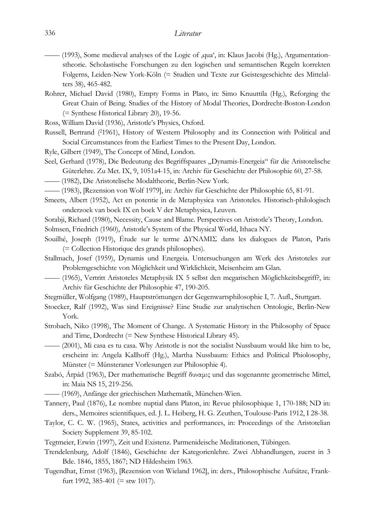- —— (1993), Some medieval analyses of the Logic of 'qua', in: Klaus Jacobi (Hg.), Argumentationstheorie. Scholastische Forschungen zu den logischen und semantischen Regeln korrekten Folgerns, Leiden-New York-Köln (= Studien und Texte zur Geistesgeschichte des Mittelalters 38), 465-482.
- Rohrer, Michael David (1980), Empty Forms in Plato, in: Simo Knuuttila (Hg.), Reforging the Great Chain of Being. Studies of the History of Modal Theories, Dordrecht-Boston-London (= Synthese Historical Library 20), 19-56.
- Ross, William David (1936), Aristotle's Physics, Oxford.
- Russell, Bertrand (<sup>2</sup>1961), History of Western Philosophy and its Connection with Political and Social Circumstances from the Earliest Times to the Present Day, London.
- Ryle, Gilbert (1949), The Concept of Mind, London.
- Seel, Gerhard (1978), Die Bedeutung des Begriffspaares "Dynamis-Energeia" für die Aristotelische Güterlehre. Zu Met. IX, 9, 1051a4-15, in: Archiv für Geschichte der Philosophie 60, 27-58.
- —— (1982), Die Aristotelische Modaltheorie, Berlin-New York.
- —— (1983), [Rezension von Wolf 1979], in: Archiv für Geschichte der Philosophie 65, 81-91.
- Smeets, Albert (1952), Act en potentie in de Metaphysica van Aristoteles. Historisch-philologisch onderzoek van boek IX en boek V der Metaphysica, Leuven.
- Sorabji, Richard (1980), Necessity, Cause and Blame. Perspectives on Aristotle's Theory, London.
- Solmsen, Friedrich (1960), Aristotle's System of the Physical World, Ithaca NY.
- Souilhé, Joseph (1919), Étude sur le terme ∆ΥΝΑΜΙΣ dans les dialogues de Platon, Paris (= Collection Historique des grands philosophes).
- Stallmach, Josef (1959), Dynamis und Energeia. Untersuchungen am Werk des Aristoteles zur Problemgeschichte von Möglichkeit und Wirklichkeit, Meisenheim am Glan.
- —— (1965), Vertritt Aristoteles Metaphysik IX 5 selbst den megarischen Möglichkeitsbegriff?, in: Archiv für Geschichte der Philosophie 47, 190-205.
- Stegmüller, Wolfgang (1989), Hauptströmungen der Gegenwartsphilosophie I, 7. Aufl., Stuttgart.
- Stoecker, Ralf (1992), Was sind Ereignisse? Eine Studie zur analytischen Ontologie, Berlin-New York.
- Strobach, Niko (1998), The Moment of Change. A Systematic History in the Philosophy of Space and Time, Dordrecht (= New Synthese Historical Library 45).
- —— (2001), Mi casa es tu casa. Why Aristotle is not the socialist Nussbaum would like him to be, erscheint in: Angela Kallhoff (Hg.), Martha Nussbaum: Ethics and Political Phiolosophy, Münster (= Münsteraner Vorlesungen zur Philosophie 4).
- Szabó, Árpád (1963), Der mathematische Begriff δυναµις und das sogenannte geometrische Mittel, in: Maia NS 15, 219-256.
- —— (1969), Anfänge der griechischen Mathematik, München-Wien.
- Tannery, Paul (1876), Le nombre nuptial dans Platon, in: Revue philosophique 1, 170-188; ND in: ders., Memoires scientifiques, ed. J. L. Heiberg, H. G. Zeuthen, Toulouse-Paris 1912, I 28-38.
- Taylor, C. C. W. (1965), States, activities and performances, in: Proceedings of the Aristotelian Society Supplement 39, 85-102.
- Tegtmeier, Erwin (1997), Zeit und Existenz. Parmenideische Meditationen, Tübingen.
- Trendelenburg, Adolf (1846), Geschichte der Kategorienlehre. Zwei Abhandlungen, zuerst in 3 Bde. 1846, 1855, 1867; ND Hildesheim 1963.
- Tugendhat, Ernst (1963), [Rezension von Wieland 1962], in: ders., Philosophische Aufsätze, Frankfurt 1992, 385-401 (= stw 1017).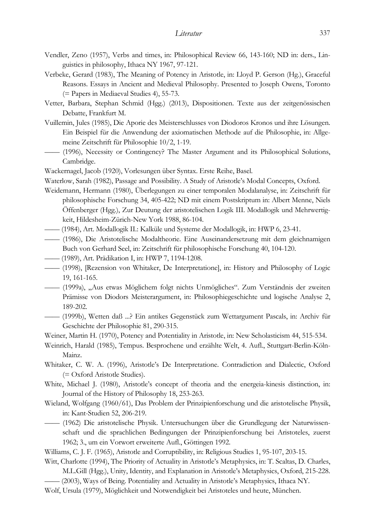- Vendler, Zeno (1957), Verbs and times, in: Philosophical Review 66, 143-160; ND in: ders., Linguistics in philosophy, Ithaca NY 1967, 97-121.
- Verbeke, Gerard (1983), The Meaning of Potency in Aristotle, in: Lloyd P. Gerson (Hg.), Graceful Reasons. Essays in Ancient and Medieval Philosophy. Presented to Joseph Owens, Toronto (= Papers in Mediaeval Studies 4), 55-73.
- Vetter, Barbara, Stephan Schmid (Hgg.) (2013), Dispositionen. Texte aus der zeitgenössischen Debatte, Frankfurt M.
- Vuillemin, Jules (1985), Die Aporie des Meisterschlusses von Diodoros Kronos und ihre Lösungen. Ein Beispiel für die Anwendung der axiomatischen Methode auf die Philosophie, in: Allgemeine Zeitschrift für Philosophie 10/2, 1-19.
- —— (1996), Necessity or Contingency? The Master Argument and its Philosophical Solutions, Cambridge.
- Wackernagel, Jacob (1920), Vorlesungen über Syntax. Erste Reihe, Basel.
- Waterlow, Sarah (1982), Passage and Possibility. A Study of Aristotle's Modal Concepts, Oxford.
- Weidemann, Hermann (1980), Überlegungen zu einer temporalen Modalanalyse, in: Zeitschrift für philosophische Forschung 34, 405-422; ND mit einem Postskriptum in: Albert Menne, Niels Öffenberger (Hgg.), Zur Deutung der aristotelischen Logik III. Modallogik und Mehrwertigkeit, Hildesheim-Zürich-New York 1988, 86-104.
- —— (1984), Art. Modallogik II.: Kalküle und Systeme der Modallogik, in: HWP 6, 23-41.
- —— (1986), Die Aristotelische Modaltheorie. Eine Auseinandersetzung mit dem gleichnamigen Buch von Gerhard Seel, in: Zeitschrift für philosophische Forschung 40, 104-120.
- —— (1989), Art. Prädikation I, in: HWP 7, 1194-1208.
- —— (1998), [Rezension von Whitaker, De Interpretatione], in: History and Philosophy of Logic 19, 161-165.
- —— (1999a), "Aus etwas Möglichem folgt nichts Unmögliches". Zum Verständnis der zweiten Prämisse von Diodors Meisterargument, in: Philosophiegeschichte und logische Analyse 2, 189-202.
- —— (1999b), Wetten daß ...? Ein antikes Gegenstück zum Wettargument Pascals, in: Archiv für Geschichte der Philosophie 81, 290-315.
- Weiner, Martin H. (1970), Potency and Potentiality in Aristotle, in: New Scholasticism 44, 515-534.
- Weinrich, Harald (1985), Tempus. Besprochene und erzählte Welt, 4. Aufl., Stuttgart-Berlin-Köln-Mainz.
- Whitaker, C. W. A. (1996), Aristotle's De Interpretatione. Contradiction and Dialectic, Oxford (= Oxford Aristotle Studies).
- White, Michael J. (1980), Aristotle's concept of theoria and the energeia-kinesis distinction, in: Journal of the History of Philosophy 18, 253-263.
- Wieland, Wolfgang (1960/61), Das Problem der Prinzipienforschung und die aristotelische Physik, in: Kant-Studien 52, 206-219.
- —— (1962) Die aristotelische Physik. Untersuchungen über die Grundlegung der Naturwissenschaft und die sprachlichen Bedingungen der Prinzipienforschung bei Aristoteles, zuerst 1962; 3., um ein Vorwort erweiterte Aufl., Göttingen 1992.
- Williams, C. J. F. (1965), Aristotle and Corruptibility, in: Religious Studies 1, 95-107, 203-15.
- Witt, Charlotte (1994), The Priority of Actuality in Aristotle's Metaphysics, in: T. Scaltas, D. Charles, M.L.Gill (Hgg.), Unity, Identity, and Explanation in Aristotle's Metaphysics, Oxford, 215-228.
- —— (2003), Ways of Being. Potentiality and Actuality in Aristotle's Metaphysics, Ithaca NY.
- Wolf, Ursula (1979), Möglichkeit und Notwendigkeit bei Aristoteles und heute, München.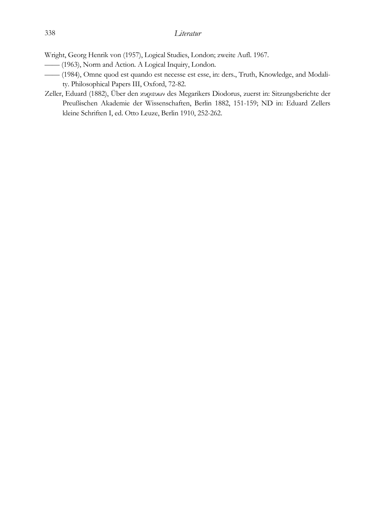Wright, Georg Henrik von (1957), Logical Studies, London; zweite Aufl. 1967.

- —— (1963), Norm and Action. A Logical Inquiry, London.
- —— (1984), Omne quod est quando est necesse est esse, in: ders., Truth, Knowledge, and Modality. Philosophical Papers III, Oxford, 72-82.
- Zeller, Eduard (1882), Über den κυριευων des Megarikers Diodorus, zuerst in: Sitzungsberichte der Preußischen Akademie der Wissenschaften, Berlin 1882, 151-159; ND in: Eduard Zellers kleine Schriften I, ed. Otto Leuze, Berlin 1910, 252-262.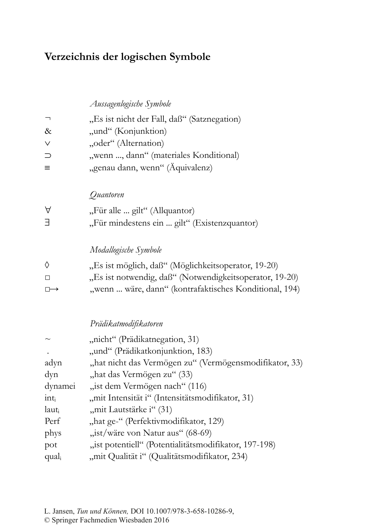## **Verzeichnis der logischen Symbole**

*Aussagenlogische Symbole* 

| ┑         | "Es ist nicht der Fall, daß" (Satznegation)             |
|-----------|---------------------------------------------------------|
| $\&$      | "und" (Konjunktion)                                     |
| $\vee$    | "oder" (Alternation)                                    |
| $\supset$ | "wenn , dann" (materiales Konditional)                  |
| ≡         | "genau dann, wenn" (Äquivalenz)                         |
|           | Ouantoren                                               |
| A         | "Für alle  gilt" (Allquantor)                           |
| Е         | "Für mindestens ein  gilt" (Existenzquantor)            |
|           | Modallogische Symbole                                   |
| ♦         | "Es ist möglich, daß" (Möglichkeitsoperator, 19-20)     |
| П         | "Es ist notwendig, daß" (Notwendigkeitsoperator, 19-20) |
|           | "wenn  wäre, dann" (kontrafaktisches Konditional, 194)  |
|           |                                                         |
|           | Prädikatmodifikatoren                                   |
|           | "nicht" (Prädikatnegation, 31)                          |
|           | "und" (Prädikatkonjunktion, 183)                        |
| adyn      | "hat nicht das Vermögen zu" (Vermögensmodifikator, 33)  |
| dyn       | "hat das Vermögen zu" (33)                              |
| dynamei   | "ist dem Vermögen nach" (116)                           |

laut<sub>i</sub> "mit Lautstärke i" (31) Perf "hat ge-" (Perfektivmodifikator, 129)

int<sub>i</sub> "mit Intensität i" (Intensitätsmodifikator, 31)

- phys "bit/wäre von Natur aus" (68-69)
- pot "ist potentiell" (Potentialitätsmodifikator, 197-198)
- qual<sub>i</sub> "mit Qualität i" (Qualitätsmodifikator, 234)

© Springer Fachmedien Wiesbaden 2016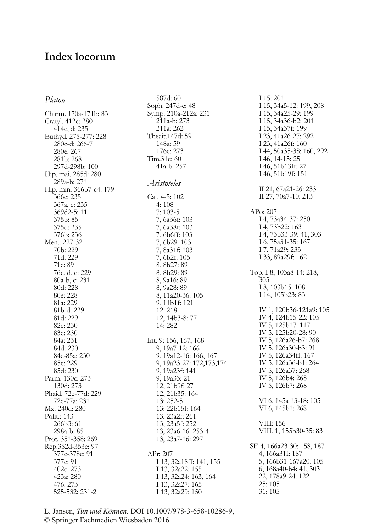## **Index locorum**

#### *Platon*

Charm. 170a-171b: 83 Cratyl. 412c: 280 414c, d: 235 Euthyd. 275-277: 228 280c-d: 266-7 280e: 267 281b: 268 297d-298b: 100 Hip. mai. 285d: 280 289a-b: 271 Hip. min. 366b7-c4: 179 366e: 235 367a, c: 235 369d2-5: 11 375b: 85 375d: 235 376b: 236 Men.: 227-32 70b: 229 71d: 229 71e: 89 76c, d, e: 229 80a-b, c: 231 80d: 228 80e: 228 81a: 229 81b-d: 229 81d: 229 82e: 230 83e: 230 84a: 231 84d: 230 84e-85a: 230 85c: 229 85d: 230 Parm. 130c: 273 130d: 273 Phaid. 72e-77d: 229 72e-77a: 231 Mx. 240d: 280 Polit.: 143 266b3: 61 298a-b: 85 Prot. 351-358: 269 Rep.352d-353e: 97 377e-378e: 91 377e: 91 402c: 273 423a: 280 476: 273 525-532: 231-2

587d: 60 Soph. 247d-e: 48 Symp. 210a-212a: 231 211a-b: 273 211a: 262 Theait.147d: 59 148a: 59 176e: 273 Tim.31c: 60 41a-b: 257 *Aristoteles*  Cat. 4-5: 102 4: 108 7: 103-5 7, 6a36f: 103 7, 6a38f: 103 7, 6b6ff: 103 7, 6b29: 103 7, 8a31f: 103 7, 6b2f: 105 8, 8b27: 89 8, 8b29: 89 8, 9a16: 89 8, 9a28: 89 8, 11a20-36: 105 9, 11b1f: 121 12: 218 12, 14b3-8: 77 14: 282 Int. 9: 156, 167, 168 9, 19a7-12: 166 9, 19a12-16: 166, 167 9, 19a23-27: 172,173,174 9, 19a23f: 141 9, 19a33: 21 12, 21b9f: 27 12, 21b35: 164 13: 252-5 13: 22b15f: 164 13, 23a2f: 261 13, 23a5f: 252 13, 23a6-16: 253-4 13, 23a7-16: 297 APr: 207 I 13, 32a18ff: 141, 155 I 13, 32a22: 155 I 13, 32a24: 163, 164 I 13, 32a27: 165 I 13, 32a29: 150

I 15: 201 I 15, 34a5-12: 199, 208 I 15, 34a25-29: 199 I 15, 34a36-b2: 201 I 15, 34a37f: 199 I 23, 41a26-27: 292 I 23, 41a26f: 160 I 44, 50a35-38: 160, 292 I 46, 14-15: 25 I 46, 51b13ff: 27 I 46, 51b19f: 151 II 21, 67a21-26: 233 II 27, 70a7-10: 213 APo: 207 I 4, 73a34-37: 250 I 4, 73b22: 163 I 4, 73b33-39: 41, 303 I 6, 75a31-35: 167 I 7, 71a29: 233 I 33, 89a29f: 162 Top. I 8, 103a8-14: 218, 305 I 8, 103b15: 108 I 14, 105b23: 83 IV 1, 120b36-121a9: 105 IV 4, 124b15-22: 105 IV 5, 125b17: 117 IV 5, 125b20-28: 90 IV 5, 126a26-b7: 268 IV 5, 126a30-b3: 91 IV 5, 126a34ff: 167 IV 5, 126a36-b1: 264 IV 5, 126a37: 268 IV 5, 126b4: 268 IV 5, 126b7: 268 VI 6, 145a 13-18: 105 VI 6, 145b1: 268 VIII: 156 VIII, 1, 155b30-35: 83 SE 4, 166a23-30: 158, 187 4, 166a31f: 187 5, 166b31-167a20: 105 6, 168a40-b4: 41, 303 22, 178a9-24: 122 25: 105 31: 105

L. Jansen, *Tun und Können,* DOI 10.1007/978-3-658-10286-9, © Springer Fachmedien Wiesbaden 2016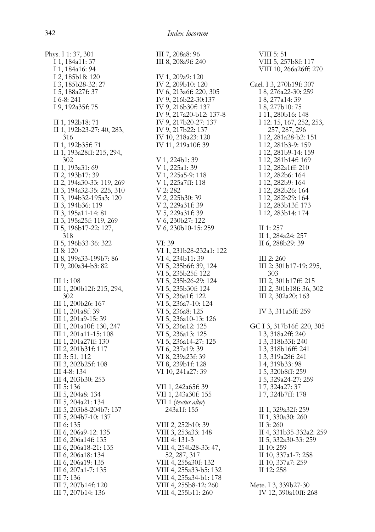Phys. I 1: 37, 301 I 1, 184a11: 37 I 1, 184a16: 94 I 2, 185b18: 120 I 3, 185b28-32: 27 I 5, 188a27f: 37 I 6-8: 241 I 9, 192a35f: 75 II 1, 192b18: 71 II 1, 192b23-27: 40, 283, 316 II 1, 192b35f: 71 II 1, 193a28ff: 215, 294, 302 II 1, 193a31: 69 II 2, 193b17: 39 II 2, 194a30-33: 119, 269 II 3, 194a32-35: 225, 310 II 3, 194b32-195a3: 120 II 3, 194b36: 119 II 3, 195a11-14: 81 II 3, 195a25f: 119, 269 II 5, 196b17-22: 127, 318 II 5, 196b33-36: 322 II 8: 120 II 8, 199a33-199b7: 86 II 9, 200a34-b3: 82 III 1: 108 III 1, 200b12f: 215, 294, 302 III 1, 200b26: 167 III 1, 201a8f: 39 III 1, 201a9-15: 39 III 1, 201a10f: 130, 247 III 1, 201a11-15: 108 III 1, 201a27ff: 130 III 2, 201b31f: 117 III 3: 51, 112 III 3, 202b25f: 108 III 4-8: 134 III 4, 203b30: 253 III 5: 136 III 5, 204a8: 134 III 5, 204a21: 134 III 5, 203b8-204b7: 137 III 5, 204b7-10: 137 III 6: 135 III 6, 206a9-12: 135 III 6, 206a14f: 135 III 6, 206a18-21: 135 III 6, 206a18: 134 III 6, 206a19: 135 III 6, 207a1-7: 135 III 7: 136 III 7, 207b14f: 120 III 7, 207b14: 136

III 7, 208a8: 96 III 8, 208a9f: 240 IV 1, 209a9: 120 IV 2, 209b10: 120 IV 6, 213a6f: 220, 305 IV 9, 216b22-30:137 IV 9, 216b30f: 137 IV 9, 217a20-b12: 137-8 IV 9, 217b20-27: 137 IV 9, 217b22: 137 IV 10, 218a23: 120 IV 11, 219a10f: 39 V 1, 224b1: 39 V 1, 225a1: 39 V 1, 225a5-9: 118 V 1, 225a7ff: 118 V 2: 282 V 2, 225b30: 39 V 2, 229a31f: 39 V 5, 229a31f: 39 V 6, 230b27: 122 V 6, 230b10-15: 259 VI: 39 VI 1, 231b28-232a1: 122 VI 4, 234b11: 39 VI 5, 235b6f: 39, 124 VI 5, 235b25f: 122 VI 5, 235b26-29: 124 VI 5, 235b30f: 124 VI 5, 236a1f: 122 VI 5, 236a7-10: 124 VI 5, 236a8: 125 VI 5, 236a10-13: 126 VI 5, 236a12: 125 VI 5, 236a13: 125 VI 5, 236a14-27: 125 VI 6, 237a19: 39 VI 8, 239a23f: 39 VI 8, 239b1f: 128 VI 10, 241a27: 39 VII 1, 242a65f: 39 VII 1, 243a30f: 155 VII 1 (*textus alter*) 243a1f: 155 VIII 2, 252b10: 39 VIII 3, 253a33: 148 VIII 4: 131-3 VIII 4, 254b28-33: 47, 52, 287, 317 VIII 4, 255a30f: 132 VIII 4, 255a33-b5: 132 VIII 4, 255a34-b1: 178 VIII 4, 255b8-12: 260 VIII 4, 255b11: 260

VIII 5: 51 VIII 5, 257b8f: 117 VIII 10, 266a26ff: 270 Cael. I 3, 270b19f: 307 I 8, 276a22-30: 259 I 8, 277a14: 39 I 8, 277b10: 75 I 11, 280b16: 148 I 12: 15, 167, 252, 253, 257, 287, 296 I 12, 281a28-b2: 151 I 12, 281b3-9: 159 I 12, 281b9-14: 159 I 12, 281b14f: 169 I 12, 282a1ff: 210 I 12, 282b6: 164 I 12, 282b9: 164 I 12, 282b26: 164 I 12, 282b29: 164 I 12, 283b13f: 173 I 12, 283b14: 174 II 1: 257 II 1, 284a24: 257 II 6, 288b29: 39 III 2: 260 III 2: 301b17-19: 295, 303 III 2, 301b17ff: 215 III 2, 301b18f: 36, 302 III 2, 302a20: 163 IV 3, 311a5ff: 259 GC I 3, 317b16f: 220, 305 I 3, 318a2ff: 240 I 3, 318b33f: 240 I 3, 318b16ff: 241 I 3, 319a28f: 241 I 4, 319b33: 98 I 5, 320b8ff: 259 I 5, 329a24-27: 259 I 7, 324a27: 37 I 7, 324b7ff: 178 II 1, 329a32f: 259 II 1, 330a30: 260 II 3: 260 II 4, 331b35-332a2: 259 II 5, 332a30-33: 259 II 10: 259 II 10, 337a1-7: 258 II 10, 337a7: 259 II 12: 258 Mete. I 3, 339b27-30

IV 12, 390a10ff: 268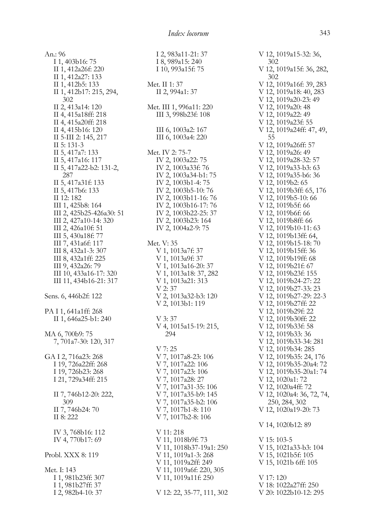An.: 96 I 1, 403b16: 75 II 1, 412a26f: 220 II 1, 412a27: 133 II 1, 412b5: 133 II 1, 412b17: 215, 294, 302 II 2, 413a14: 120 II 4, 415a18ff: 218 II 4, 415a20ff: 218 II 4, 415b16: 120 II 5-III 2: 145, 217 II 5: 131-3 II 5, 417a7: 133 II 5, 417a16: 117 II 5, 417a22-b2: 131-2, 287 II 5, 417a31f: 133 II 5, 417b6: 133 II 12: 182 III 1, 425b8: 164 III 2, 425b25-426a30: 51 III 2, 427a10-14: 320 III 2, 426a10f: 51 III 5, 430a18f: 77 III 7, 431a6f: 117 III 8, 432a1-3: 307 III 8, 432a1ff: 225 III 9, 432a26: 79 III 10, 433a16-17: 320 III 11, 434b16-21: 317 Sens. 6, 446b2f: 122 PA I 1, 641a1ff: 268 II 1, 646a25-b1: 240 MA 6, 700b9: 75 7, 701a7-30: 120, 317 GA I 2, 716a23: 268 I 19, 726a22ff: 268 I 19, 726b23: 268 I 21, 729a34ff: 215 II 7, 746b12-20: 222, 309 II 7, 746b24: 70 II 8: 222 IV 3, 768b16: 112 IV 4, 770b17: 69 Probl. XXX 8: 119 Met. I: 143 I 1, 981b23ff: 307 I 1, 981b27ff: 37 I 2, 982b4-10: 37

I 2, 983a11-21: 37 I 8, 989a15: 240 I 10, 993a15f: 75 Met. II 1: 37 II 2, 994a1: 37 Met. III 1, 996a11: 220 III 3, 998b23f: 108 III 6, 1003a2: 167 III 6, 1003a4: 220 Met. IV 2: 75-7 IV 2, 1003a22: 75 IV 2, 1003a33f: 76 IV 2, 1003a34-b1: 75 IV 2, 1003b1-4: 75 IV 2, 1003b5-10: 76 IV 2, 1003b11-16: 76 IV 2, 1003b16-17: 76 IV 2, 1003b22-25: 37 IV 2, 1003b23: 164 IV 2, 1004a2-9: 75 Met. V: 35 V 1, 1013a7f: 37 V 1, 1013a9f: 37 V 1, 1013a16-20: 37 V 1, 1013a18: 37, 282 V 1, 1013a21: 313 V 2: 37 V 2, 1013a32-b3: 120 V 2, 1013b1: 119 V 3: 37 V 4, 1015a15-19: 215, 294 V 7: 25 V 7, 1017a8-23: 106 V 7, 1017a22: 106 V 7, 1017a23: 106 V 7, 1017a28: 27 V 7, 1017a31-35: 106 V 7, 1017a35-b9: 145 V 7, 1017a35-b2: 106 V 7, 1017b1-8: 110 V 7, 1017b2-8: 106 V 11: 218 V 11, 1018b9f: 73 V 11, 1018b37-19a1: 250 V 11, 1019a1-3: 268 V 11, 1019a2ff: 249 V 11, 1019a6f: 220, 305 V 11, 1019a11f: 250 V 12: 22, 35-77, 111, 302

V 12, 1019a15-32: 36, 302 V 12, 1019a15f: 36, 282, 302 V 12, 1019a16f: 39, 283 V 12, 1019a18: 40, 283 V 12, 1019a20-23: 49 V 12, 1019a20: 48 V 12, 1019a22: 49 V 12, 1019a23f: 55 V 12, 1019a24ff: 47, 49, 55 V 12, 1019a26ff: 57 V 12, 1019a26: 49 V 12, 1019a28-32: 57 V 12, 1019a33-b3: 63 V 12, 1019a35-b6: 36 V 12, 1019b2: 65 V 12, 1019b3ff: 65, 176 V 12, 1019b5-10: 66 V 12, 1019b5f: 66 V 12, 1019b6f: 66 V 12, 1019b8ff: 66 V 12, 1019b10-11: 63 V 12, 1019b13ff: 64, V 12, 1019b15-18: 70 V 12, 1019b15ff: 36 V 12, 1019b19ff: 68 V 12, 1019b21f: 67 V 12, 1019b23f: 155 V 12, 1019b24-27: 22 V 12, 1019b27-33: 23 V 12, 1019b27-29: 22-3 V 12, 1019b27ff: 22 V 12, 1019b29f: 22 V 12, 1019b30ff: 22 V 12, 1019b33f: 58 V 12, 1019b33: 36 V 12, 1019b33-34: 281 V 12, 1019b34: 285 V 12, 1019b35: 24, 176 V 12, 1019b35-20a4: 72 V 12, 1019b35-20a1: 74 V 12, 1020a1: 72 V 12, 1020a4ff: 72 V 12, 1020a4: 36, 72, 74, 250, 284, 302 V 12, 1020a19-20: 73 V 14, 1020b12: 89 V 15: 103-5 V 15, 1021a33-b3: 104 V 15, 1021b5f: 105 V 15, 1021b 6ff: 105 V 17: 120 V 18: 1022a27ff: 250 V 20: 1022b10-12: 295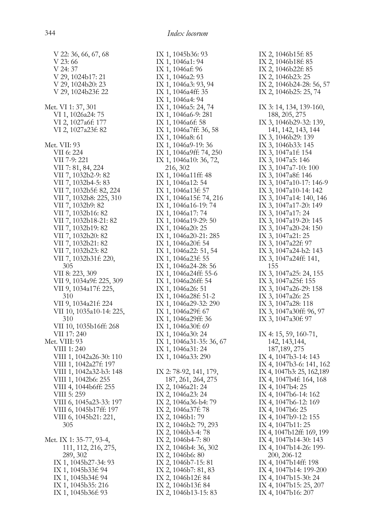V 22: 36, 66, 67, 68 V 23: 66 V 24: 37 V 29, 1024b17: 21 V 29, 1024b20: 23 V 29, 1024b23f: 22 Met. VI 1: 37, 301 VI 1, 1026a24: 75 VI 2, 1027a6f: 177 VI 2, 1027a23f: 82 Met. VII: 93 VII 6: 224 VII 7-9: 221 VII 7: 81, 84, 224 VII 7, 1032b2-9: 82 VII 7, 1032b4-5: 83 VII 7, 1032b5f: 82, 224 VII 7, 1032b8: 225, 310 VII 7, 1032b9: 82 VII 7, 1032b16: 82 VII 7, 1032b18-21: 82 VII 7, 1032b19: 82 VII 7, 1032b20: 82 VII 7, 1032b21: 82 VII 7, 1032b23: 82 VII 7, 1032b31f: 220, 305 VII 8: 223, 309 VII 9, 1034a9f: 225, 309 VII 9, 1034a17f: 225, 310 VII 9, 1034a21f: 224 VII 10, 1035a10-14: 225, 310 VII 10, 1035b16ff: 268 VII 17: 240 Met. VIII: 93 VIII 1: 240 VIII 1, 1042a26-30: 110 VIII 1, 1042a27f: 197 VIII 1, 1042a32-b3: 148 VIII 1, 1042b6: 255 VIII 4, 1044b6ff: 255 VIII 5: 259 VIII 6, 1045a23-33: 197 VIII 6, 1045b17ff: 197 VIII 6, 1045b21: 221, 305 Met. IX 1: 35-77, 93-4, 111, 112, 216, 275, 289, 302 IX 1, 1045b27-34: 93 IX 1, 1045b33f: 94 IX 1, 1045b34f: 94 IX 1, 1045b35: 216 IX 1, 1045b36f: 93

IX 1, 1045b36: 93 IX 1, 1046a1: 94 IX 1, 1046af: 96 IX 1, 1046a2: 93 IX 1, 1046a3: 93, 94 IX 1, 1046a4ff: 35 IX 1, 1046a4: 94 IX 1, 1046a5: 24, 74 IX 1, 1046a6-9: 281 IX 1, 1046a6f: 58 IX 1, 1046a7ff: 36, 58 IX 1, 1046a8: 61 IX 1, 1046a9-19: 36 IX 1, 1046a9ff: 74, 250 IX 1, 1046a10: 36, 72, 216, 302 IX 1, 1046a11ff: 48 IX 1, 1046a12: 54 IX 1, 1046a13f: 57 IX 1, 1046a15f: 74, 216 IX 1, 1046a16-19: 74 IX 1, 1046a17: 74 IX 1, 1046a19-29: 50 IX 1, 1046a20: 25 IX 1, 1046a20-21: 285 IX 1, 1046a20f: 54 IX 1, 1046a22: 51, 54 IX 1, 1046a23f: 55 IX 1, 1046a24-28: 56 IX 1, 1046a24ff: 55-6 IX 1, 1046a26ff: 54 IX 1, 1046a26: 51 IX 1, 1046a28f: 51-2 IX 1, 1046a29-32: 290 IX 1, 1046a29f: 67 IX 1, 1046a29ff: 36 IX 1, 1046a30f: 69 IX 1, 1046a30: 24 IX 1, 1046a31-35: 36, 67 IX 1, 1046a31: 24 IX 1, 1046a33: 290 IX 2: 78-92, 141, 179, 187, 261, 264, 275 IX 2, 1046a21: 24 IX 2, 1046a23: 24 IX 2, 1046a36-b4: 79 IX 2, 1046a37f: 78 IX 2, 1046b1: 79 IX 2, 1046b2: 79, 293 IX 2, 1046b3-4: 78 IX 2, 1046b4-7: 80 IX 2, 1046b4: 36, 302 IX 2, 1046b6: 80 IX 2, 1046b7-15: 81 IX 2, 1046b7: 81, 83 IX 2, 1046b12f: 84 IX 2, 1046b13f: 84 IX 2, 1046b13-15: 83

IX 2, 1046b15f: 85 IX 2, 1046b18f: 85 IX 2, 1046b22f: 85 IX 2, 1046b23: 25 IX 2, 1046b24-28: 56, 57 IX 2, 1046b25: 25, 74 IX 3: 14, 134, 139-160, 188, 205, 275 IX 3, 1046b29-32: 139, 141, 142, 143, 144 IX 3, 1046b29: 139 IX 3, 1046b33: 145 IX 3, 1047a1f: 154 IX 3, 1047a5: 146 IX 3, 1047a7-10: 100 IX 3, 1047a8f: 146 IX 3, 1047a10-17: 146-9 IX 3, 1047a10-14: 142 IX 3, 1047a14: 140, 146 IX 3, 1047a17-20: 149 IX 3, 1047a17: 24 IX 3, 1047a19-20: 145 IX 3, 1047a20-24: 150 IX 3, 1047a21: 25 IX 3, 1047a22f: 97 IX 3, 1047a24-b2: 143 IX 3, 1047a24ff: 141, 155 IX 3, 1047a25: 24, 155 IX 3, 1047a25f: 155 IX 3, 1047a26-29: 158 IX 3, 1047a26: 25 IX 3, 1047a28: 118 IX 3, 1047a30ff: 96, 97 IX 3, 1047a30f: 97 IX 4: 15, 59, 160-71, 142, 143,144, 187,189, 275 IX 4, 1047b3-14: 143 IX 4, 1047b3-6: 141, 162 IX 4, 1047b3: 25, 162,189 IX 4, 1047b4f: 164, 168 IX 4, 1047b4: 25 IX 4, 1047b6-14: 162 IX 4, 1047b6-12: 169 IX 4, 1047b6: 25 IX 4, 1047b9-12: 155 IX 4, 1047b11: 25 IX 4, 1047b12ff: 169, 199 IX 4, 1047b14-30: 143 IX 4, 1047b14-26: 199- 200, 206-12 IX 4, 1047b14ff: 198 IX 4, 1047b14: 199-200 IX 4, 1047b15-30: 24 IX 4, 1047b15: 25, 207 IX 4, 1047b16: 207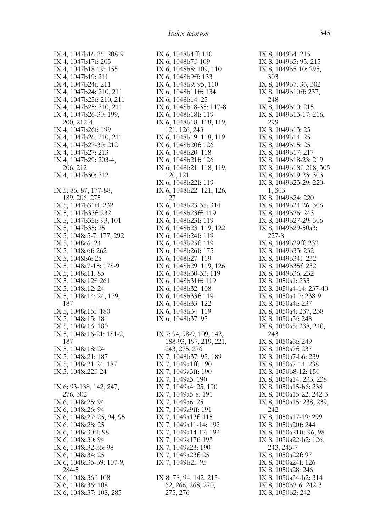IX 4, 1047b16-26: 208-9 IX 4, 1047b17f: 205 IX 4, 1047b18-19: 155 IX 4, 1047b19: 211 IX 4, 1047b24f: 211 IX 4, 1047b24: 210, 211 IX 4, 1047b25f: 210, 211 IX 4, 1047b25: 210, 211 IX 4, 1047b26-30: 199, 200, 212-4 IX 4, 1047b26f: 199 IX 4, 1047b26: 210, 211 IX 4, 1047b27-30: 212 IX 4, 1047b27: 213 IX 4, 1047b29: 203-4, 206, 212 IX 4, 1047b30: 212 IX 5: 86, 87, 177-88, 189, 206, 275 IX 5, 1047b31ff: 232 IX 5, 1047b33f: 232 IX 5, 1047b35f: 93, 101 IX 5, 1047b35: 25 IX 5, 1048a5-7: 177, 292 IX 5, 1048a6: 24 IX 5, 1048a6f: 262 IX 5, 1048b6: 25 IX 5, 1048a7-15: 178-9 IX 5, 1048a11: 85 IX 5, 1048a12f: 261 IX 5, 1048a12: 24 IX 5, 1048a14: 24, 179, 187 IX 5, 1048a15f: 180 IX 5, 1048a15: 181 IX 5, 1048a16: 180 IX 5, 1048a16-21: 181-2, 187 IX 5, 1048a18: 24 IX 5, 1048a21: 187 IX 5, 1048a21-24: 187 IX 5, 1048a22f: 24 IX 6: 93-138, 142, 247, 276, 302 IX 6, 1048a25: 94 IX 6, 1048a26: 94 IX 6, 1048a27: 25, 94, 95 IX 6, 1048a28: 25 IX 6, 1048a30ff: 98 IX 6, 1048a30: 94 IX 6, 1048a32-35: 98 IX 6, 1048a34: 25 IX 6, 1048a35-b9: 107-9, 284-5 IX 6, 1048a36f: 108 IX 6, 1048a36: 108 IX 6, 1048a37: 108, 285

IX 6, 1048b4ff: 110 IX 6, 1048b7f: 109 IX 6, 1048b8: 109, 110 IX 6, 1048b9ff: 133 IX 6, 1048b9: 95, 110 IX 6, 1048b11ff: 134 IX 6, 1048b14: 25 IX 6, 1048b18-35: 117-8 IX 6, 1048b18f: 119 IX 6, 1048b18: 118, 119, 121, 126, 243 IX 6, 1048b19: 118, 119 IX 6, 1048b20f: 126 IX 6, 1048b20: 118 IX 6, 1048b21f: 126 IX 6, 1048b21: 118, 119, 120, 121 IX 6, 1048b22f: 119 IX 6, 1048b22: 121, 126, 127 IX 6, 1048b23-35: 314 IX 6, 1048b23ff: 119 IX 6, 1048b23f: 119 IX 6, 1048b23: 119, 122 IX 6, 1048b24f: 119 IX 6, 1048b25f: 119 IX 6, 1048b26f: 175 IX 6, 1048b27: 119 IX 6, 1048b29: 119, 126 IX 6, 1048b30-33: 119 IX 6, 1048b31ff: 119 IX 6, 1048b32: 108 IX 6, 1048b33f: 119 IX 6, 1048b33: 122 IX 6, 1048b34: 119 IX 6, 1048b37: 95 IX 7: 94, 98-9, 109, 142, 188-93, 197, 219, 221, 243, 275, 276 IX 7, 1048b37: 95, 189 IX 7, 1049a1ff: 190 IX 7, 1049a3ff: 190 IX 7, 1049a3: 190 IX 7, 1049a4: 25, 190 IX 7, 1049a5-8: 191 IX 7, 1049a6: 25 IX 7, 1049a9ff: 191 IX 7, 1049a13f: 115 IX 7, 1049a11-14: 192 IX 7, 1049a14-17: 192 IX 7, 1049a17f: 193 IX 7, 1049a23: 190 IX 7, 1049a23f: 25 IX 7, 1049b2f: 95 IX 8: 78, 94, 142, 215- 62, 266, 268, 270, 275, 276

IX 8, 1049b4: 215 IX 8, 1049b5: 95, 215 IX 8, 1049b5-10: 295, 303 IX 8, 1049b7: 36, 302 IX 8, 1049b10ff: 237, 248 IX 8, 1049b10: 215 IX 8, 1049b13-17: 216, 299 IX 8, 1049b13: 25 IX 8, 1049b14: 25 IX 8, 1049b15: 25 IX 8, 1049b17: 217 IX 8, 1049b18-23: 219 IX 8, 1049b18f: 218, 305 IX 8, 1049b19-23: 303 IX 8, 1049b23-29: 220- 1, 303 IX 8, 1049b24: 220 IX 8, 1049b24-26: 306 IX 8, 1049b26: 243 IX 8, 1049b27-29: 306 IX 8, 1049b29-50a3: 227-8 IX 8, 1049b29ff: 232 IX 8, 1049b33: 232 IX 8, 1049b34f: 232 IX 8, 1049b35f: 232 IX 8, 1049b36: 232 IX 8, 1050a1: 233 IX 8, 1050a4-14: 237-40 IX 8, 1050a4-7: 238-9 IX 8, 1050a4f: 237 IX 8, 1050a4: 237, 238 IX 8, 1050a5f: 248 IX 8, 1050a5: 238, 240, 243 IX 8, 1050a6f: 249 IX 8, 1050a7f: 237 IX 8, 1050a7-b6: 239 IX 8, 1050a7-14: 238 IX 8, 1050b8-12: 150 IX 8, 1050a14: 233, 238 IX 8, 1050a15-b6: 238 IX 8, 1050a15-22: 242-3 IX 8, 1050a15: 238, 239, 242 IX 8, 1050a17-19: 299 IX 8, 1050a20f: 244 IX 8, 1050a21ff: 96, 98 IX 8, 1050a22-b2: 126, 243, 245-7 IX 8, 1050a22f: 97 IX 8, 1050a24f: 126 IX 8, 1050a28: 246 IX 8, 1050a34-b2: 314 IX 8, 1050b2-6: 242-3 IX 8, 1050b2: 242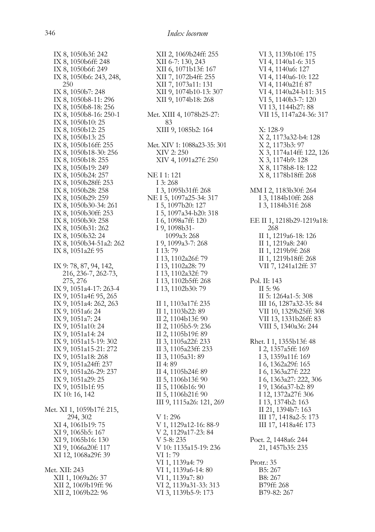XII 2, 1069b24ff: 255 XII 6-7: 130, 243 XII 6, 1071b13f: 167

IX 8, 1050b3f: 242 IX 8, 1050b6ff: 248 IX 8, 1050b6f: 249 IX 8, 1050b6: 243, 248, 250 IX 8, 1050b7: 248 IX 8, 1050b8-11: 296 IX 8, 1050b8-18: 256 IX 8, 1050b8-16: 250-1 IX 8, 1050b10: 25 IX 8, 1050b12: 25 IX 8, 1050b13: 25 IX 8, 1050b16ff: 255 IX 8, 1050b18-30: 256 IX 8, 1050b18: 255 IX 8, 1050b19: 249 IX 8, 1050b24: 257 IX 8, 1050b28ff: 253 IX 8, 1050b28: 258 IX 8, 1050b29: 259 IX 8, 1050b30-34: 261 IX 8, 1050b30ff: 253 IX 8, 1050b30: 258 IX 8, 1050b31: 262 IX 8, 1050b32: 24 IX 8, 1050b34-51a2: 262 IX 8, 1051a2f: 95 IX 9: 78, 87, 94, 142, 216, 236-7, 262-73, 275, 276 IX 9, 1051a4-17: 263-4 IX 9, 1051a4f: 95, 265 IX 9, 1051a4: 262, 263 IX 9, 1051a6: 24 IX 9, 1051a7: 24 IX 9, 1051a10: 24 IX 9, 1051a14: 24 IX 9, 1051a15-19: 302 IX 9, 1051a15-21: 272 IX 9, 1051a18: 268 IX 9, 1051a24ff: 237 IX 9, 1051a26-29: 237 IX 9, 1051a29: 25 IX 9, 1051b1f: 95 IX 10: 16, 142 Met. XI 1, 1059b17f: 215, 294, 302 XI 4, 1061b19: 75 XI 9, 1065b5: 167 XI 9, 1065b16: 130 XI 9, 1066a20f: 117 XI 12, 1068a29f: 39 Met. XII: 243 XII 1, 1069a26: 37 XII 2, 1069b19ff: 96 XII 2, 1069b22: 96

XII 7, 1072b4ff: 255 XII 7, 1073a11: 131 XII 9, 1074b10-13: 307 XII 9, 1074b18: 268 Met. XIII 4, 1078b25-27: 83 XIII 9, 1085b2: 164 Met. XIV 1: 1088a23-35: 301 XIV 2: 250 XIV 4, 1091a27f: 250 NE I 1: 121 I 3: 268 I 3, 1095b31ff: 268 NE I 5, 1097a25-34: 317 I 5, 1097b20: 127 I 5, 1097a34-b20: 318 I 6, 1098a7ff: 120 I 9, 1098b31- 1099a3: 268 I 9, 1099a3-7: 268 I 13: 79 I 13, 1102a26f: 79 I 13, 1102a28: 79 I 13, 1102a32f: 79 I 13, 1102b5ff: 268 I 13, 1102b30: 79 II 1, 1103a17f: 235 II 1, 1103b22: 89 II 2, 1104b13f: 90 II 2, 1105b5-9: 236 II 2, 1105b19f: 89 II 3, 1105a22f: 233 II 3, 1105a23ff: 233 II 3, 1105a31: 89 II 4: 89 II 4, 1105b24f: 89 II 5, 1106b13f: 90 II 5, 1106b16: 90 II 5, 1106b21f: 90 III 9, 1115a26: 121, 269 V 1: 296 V 1, 1129a12-16: 88-9 V 2, 1129a17-23: 84 V 5-8: 235 V 10: 1135a15-19: 236 VI 1: 79 VI 1, 1139a4: 79 VI 1, 1139a6-14: 80 VI 1, 1139a7: 80 VI 2, 1139a31-33: 313 VI 3, 1139b5-9: 173

VI 3, 1139b10f: 175 VI 4, 1140a1-6: 315 VI 4, 1140a6: 127 VI 4, 1140a6-10: 122 VI 4, 1140a21f: 87 VI 4, 1140a24-b11: 315 VI 5, 1140b3-7: 120 VI 13, 1144b27: 88 VII 15, 1147a24-36: 317 X: 128-9 X 2, 1173a32-b4: 128 X 2, 1173b3: 97 X 3, 1174a14ff: 122, 126 X 3, 1174b9: 128 X 8, 1178b8-18: 122 X 8, 1178b18ff: 268 MM I 2, 1183b30f: 264 I 3, 1184b10ff: 268 I 3, 1184b31f: 268 EE II 1, 1218b29-1219a18: 268 II 1, 1219a6-18: 126 II 1, 1219a8: 240 II 1, 1219b9f: 268 II 1, 1219b18ff: 268 VII 7, 1241a12ff: 37 Pol. II: 143 II 5: 96 II 5: 1264a1-5: 308 III 16, 1287a32-35: 84 VII 10, 1329b25ff: 308 VII 13, 1331b26ff: 83 VIII 5, 1340a36: 244 Rhet. I 1, 1355b13f: 48 I 2, 1357a5ff: 169 I 3, 1359a11f: 169 I 6, 1362a29f: 165 I 6, 1363a27f: 222 I 6, 1363a27: 222, 306 I 9, 1366a37-b2: 89 I 12, 1372a27f: 306 I 13, 1374b2: 163 II 21, 1394b7: 163 III 17, 1418a2-5: 173 III 17, 1418a4f: 173 Poet. 2, 1448a6: 244 21, 1457b35: 235 Protr.: 35 B5: 267 B8: 267 B79ff: 268 B79-82: 267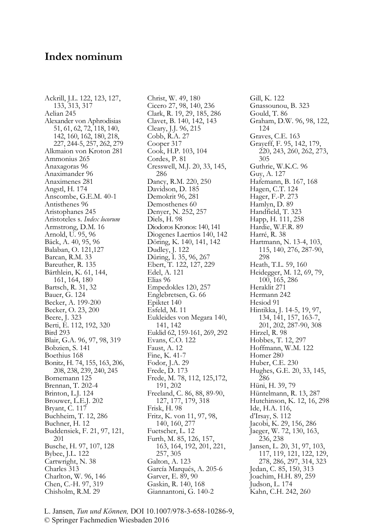## **Index nominum**

Ackrill, J.L. 122, 123, 127, 133, 313, 317 Aelian 245 Alexander von Aphrodisias 51, 61, 62, 72, 118, 140, 142, 160, 162, 180, 218, 227, 244-5, 257, 262, 279 Alkmaion von Kroton 281 Ammonius 265 Anaxagoras 96 Anaximander 96 Anaximenes 281 Angstl, H. 174 Anscombe, G.E.M. 40-1 Antisthenes 96 Aristophanes 245 Aristoteles s. *Index locorum* Armstrong, D.M. 16 Arnold, U. 95, 96 Bäck, A. 40, 95, 96 Balaban, O. 121,127 Barcan, R.M. 33 Bareuther, R. 135 Bärthlein, K. 61, 144, 161, 164, 180 Bartsch, R. 31, 32 Bauer, G. 124 Becker, A. 199-200 Becker, O. 23, 200 Beere, J. 323 Berti, E. 112, 192, 320 Bird 293 Blair, G.A. 96, 97, 98, 319 Bobzien, S. 141 Boethius 168 Bonitz, H. 74, 155, 163, 206, 208, 238, 239, 240, 245 Bornemann 125 Brennan, T. 202-4 Brinton, L.J. 124 Brouwer, L.E.J. 202 Bryant, C. 117 Buchheim, T. 12, 286 Buchner, H. 12 Buddensiek, F. 21, 97, 121, 201 Busche, H. 97, 107, 128 Bybee, J.L. 122 Cartwright, N. 38 Charles 313 Charlton, W. 96, 146 Chen, C.-H. 97, 319 Chisholm, R.M. 29

Christ, W. 49, 180 Cicero 27, 98, 140, 236 Clark, R. 19, 29, 185, 286 Clavet, B. 140, 142, 143 Cleary, J.J. 96, 215 Cobb, R.A. 27 Cooper 317 Cook, H.P. 103, 104 Cordes, P. 81 Cresswell, M.J. 20, 33, 145, 286 Dancy, R.M. 220, 250 Davidson, D. 185 Demokrit 96, 281 Demosthenes 60 Denyer, N. 252, 257 Diels, H. 98 Diodoros Kronos: 140, 141 Diogenes Laertios 140, 142 Döring, K. 140, 141, 142 Dudley, J. 122 Düring, I. 35, 96, 267 Ebert, T. 122, 127, 229 Edel, A. 121 Elias 96 Empedokles 120, 257 Englebretsen, G. 66 Epiktet 140 Esfeld, M. 11 Eukleides von Megara 140, 141, 142 Euklid 62, 159-161, 269, 292 Evans, C.O. 122 Faust, A. 12 Fine, K. 41-7 Fodor, J.A. 29 Frede, D. 173 Frede, M. 78, 112, 125,172, 191, 202 Freeland, C. 86, 88, 89-90, 127, 177, 179, 318 Frisk, H. 98 Fritz, K. von 11, 97, 98, 140, 160, 277 Fuetscher, L. 12 Furth, M. 85, 126, 157, 163, 164, 192, 201, 221, 257, 305 Galton, A. 123 García Marqués, A. 205-6 Garver, E. 89, 90 Gaskin, R. 140, 168 Giannantoni, G. 140-2

Gill, K. 122 Gnassounou, B. 323 Gould, T. 86 Graham, D.W. 96, 98, 122, 124 Graves, C.E. 163 Grayeff, F. 95, 142, 179, 220, 243, 260, 262, 273, 305 Guthrie, W.K.C. 96 Guy, A. 127 Hafemann, B. 167, 168 Hagen, C.T. 124 Hager, F.-P. 273 Hamlyn, D. 89 Handfield, T. 323 Happ, H. 111, 258 Hardie, W.F.R. 89 Harré, R. 38 Hartmann, N. 13-4, 103, 115, 140, 276, 287-90, 298 Heath, T.L. 59, 160 Heidegger, M. 12, 69, 79, 100, 165, 286 Heraklit 271 Hermann 242 Hesiod 91 Hintikka, J. 14-5, 19, 97, 134, 141, 157, 163-7, 201, 202, 287-90, 308 Hirzel, R. 98 Hobbes, T. 12, 297 Hoffmann, W.M. 122 Homer 280 Huber, C.E. 230 Hughes, G.E. 20, 33, 145, 286 Hüni, H. 39, 79 Hüntelmann, R. 13, 287 Hutchinson, K. 12, 16, 298 Ide, H.A. 116, d'Irsay, S. 112 Jacobi, K. 29, 156, 286 Jaeger, W. 72, 130, 163, 236, 238 Jansen, L. 20, 31, 97, 103, 117, 119, 121, 122, 129, 278, 286, 297, 314, 323 Jedan, C. 85, 150, 313 Joachim, H.H. 89, 259 Judson, L. 174 Kahn, C.H. 242, 260

L. Jansen, *Tun und Können,* DOI 10.1007/978-3-658-10286-9, © Springer Fachmedien Wiesbaden 2016